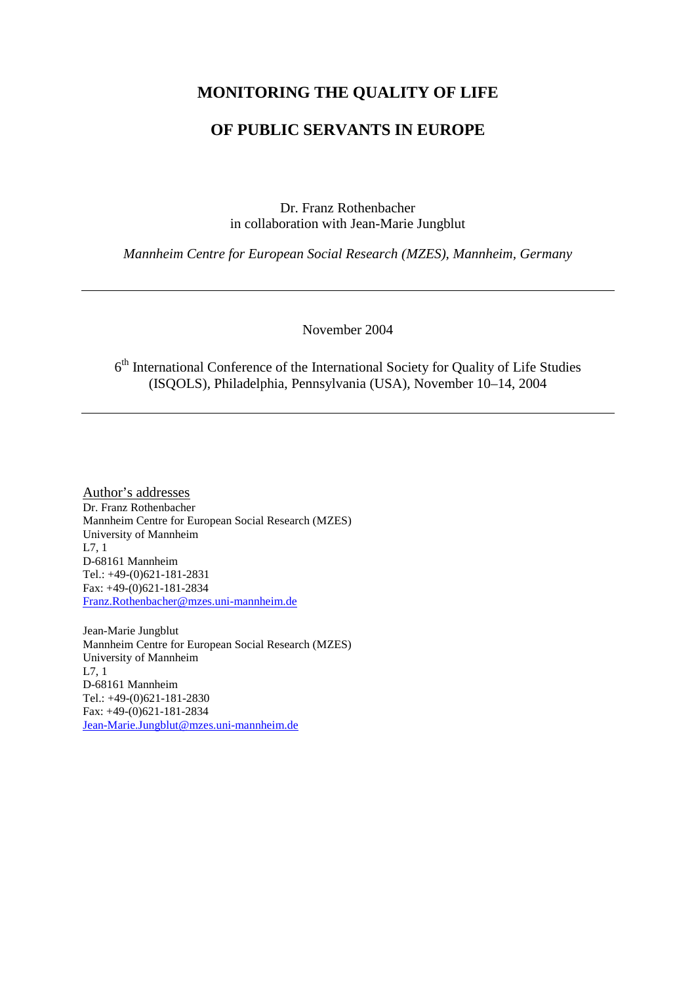#### **MONITORING THE QUALITY OF LIFE**

#### **OF PUBLIC SERVANTS IN EUROPE**

Dr. Franz Rothenbacher in collaboration with Jean-Marie Jungblut

*Mannheim Centre for European Social Research (MZES), Mannheim, Germany*

November 2004

 $6<sup>th</sup>$  International Conference of the International Society for Quality of Life Studies (ISQOLS), Philadelphia, Pennsylvania (USA), November 10–14, 2004

Author's addresses Dr. Franz Rothenbacher Mannheim Centre for European Social Research (MZES) University of Mannheim L7, 1 D-68161 Mannheim Tel.: +49-(0)621-181-2831 Fax: +49-(0)621-181-2834 [Franz.Rothenbacher@mzes.uni-mannheim.de](mailto:Franz.Rothenbacher@mzes.uni-mannheim.de)

Jean-Marie Jungblut Mannheim Centre for European Social Research (MZES) University of Mannheim L7, 1 D-68161 Mannheim Tel.: +49-(0)621-181-2830 Fax: +49-(0)621-181-2834 [Jean-Marie.Jungblut@mzes.uni-mannheim.de](mailto:Jean-Marie.Jungblut@mzes.uni-mannheim.de)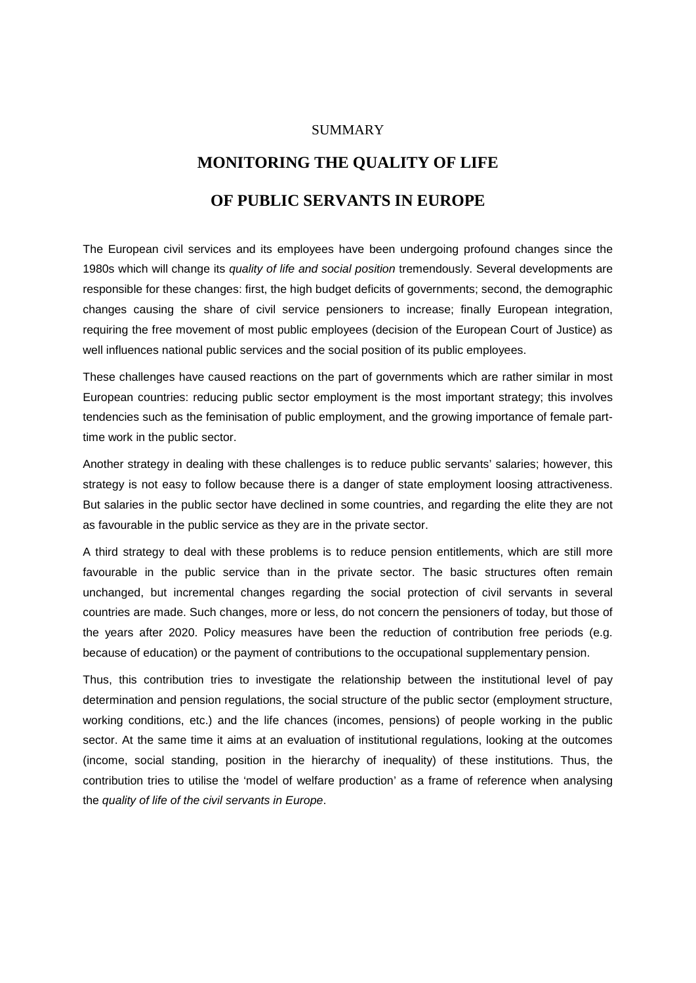#### SUMMARY

# **MONITORING THE QUALITY OF LIFE**

### **OF PUBLIC SERVANTS IN EUROPE**

The European civil services and its employees have been undergoing profound changes since the 1980s which will change its *quality of life and social position* tremendously. Several developments are responsible for these changes: first, the high budget deficits of governments; second, the demographic changes causing the share of civil service pensioners to increase; finally European integration, requiring the free movement of most public employees (decision of the European Court of Justice) as well influences national public services and the social position of its public employees.

These challenges have caused reactions on the part of governments which are rather similar in most European countries: reducing public sector employment is the most important strategy; this involves tendencies such as the feminisation of public employment, and the growing importance of female parttime work in the public sector.

Another strategy in dealing with these challenges is to reduce public servants' salaries; however, this strategy is not easy to follow because there is a danger of state employment loosing attractiveness. But salaries in the public sector have declined in some countries, and regarding the elite they are not as favourable in the public service as they are in the private sector.

A third strategy to deal with these problems is to reduce pension entitlements, which are still more favourable in the public service than in the private sector. The basic structures often remain unchanged, but incremental changes regarding the social protection of civil servants in several countries are made. Such changes, more or less, do not concern the pensioners of today, but those of the years after 2020. Policy measures have been the reduction of contribution free periods (e.g. because of education) or the payment of contributions to the occupational supplementary pension.

Thus, this contribution tries to investigate the relationship between the institutional level of pay determination and pension regulations, the social structure of the public sector (employment structure, working conditions, etc.) and the life chances (incomes, pensions) of people working in the public sector. At the same time it aims at an evaluation of institutional regulations, looking at the outcomes (income, social standing, position in the hierarchy of inequality) of these institutions. Thus, the contribution tries to utilise the 'model of welfare production' as a frame of reference when analysing the *quality of life of the civil servants in Europe*.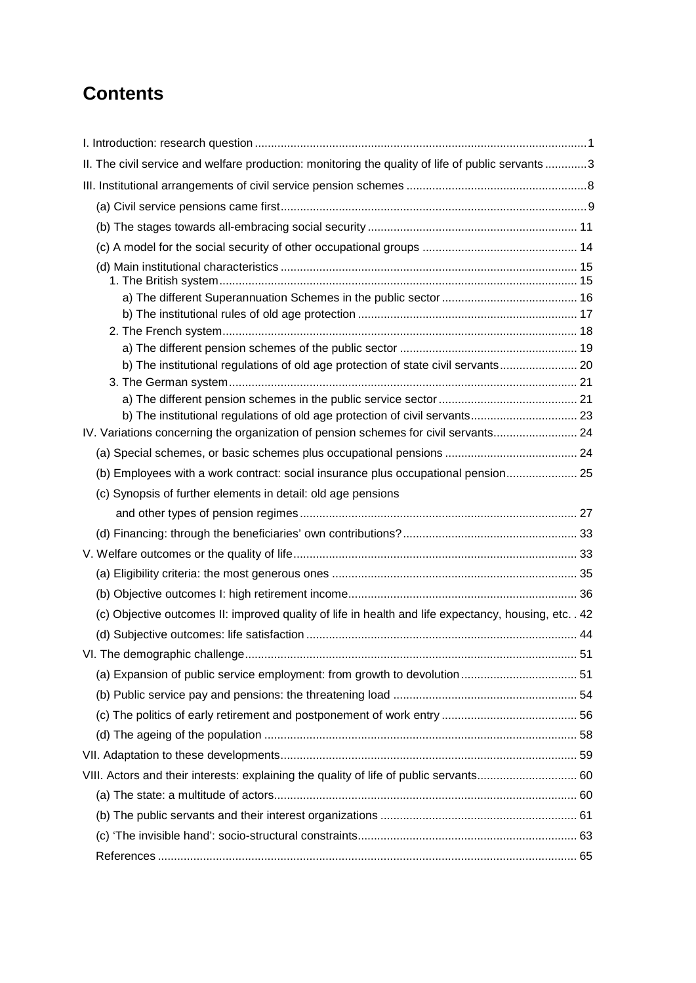## **Contents**

| II. The civil service and welfare production: monitoring the quality of life of public servants3      |  |
|-------------------------------------------------------------------------------------------------------|--|
|                                                                                                       |  |
|                                                                                                       |  |
|                                                                                                       |  |
|                                                                                                       |  |
|                                                                                                       |  |
|                                                                                                       |  |
|                                                                                                       |  |
|                                                                                                       |  |
|                                                                                                       |  |
| b) The institutional regulations of old age protection of state civil servants 20                     |  |
|                                                                                                       |  |
|                                                                                                       |  |
| b) The institutional regulations of old age protection of civil servants 23                           |  |
| IV. Variations concerning the organization of pension schemes for civil servants 24                   |  |
|                                                                                                       |  |
| (b) Employees with a work contract: social insurance plus occupational pension 25                     |  |
| (c) Synopsis of further elements in detail: old age pensions                                          |  |
|                                                                                                       |  |
|                                                                                                       |  |
|                                                                                                       |  |
|                                                                                                       |  |
|                                                                                                       |  |
| (c) Objective outcomes II: improved quality of life in health and life expectancy, housing, etc. . 42 |  |
|                                                                                                       |  |
|                                                                                                       |  |
|                                                                                                       |  |
|                                                                                                       |  |
|                                                                                                       |  |
|                                                                                                       |  |
|                                                                                                       |  |
| VIII. Actors and their interests: explaining the quality of life of public servants 60                |  |
|                                                                                                       |  |
|                                                                                                       |  |
|                                                                                                       |  |
|                                                                                                       |  |
|                                                                                                       |  |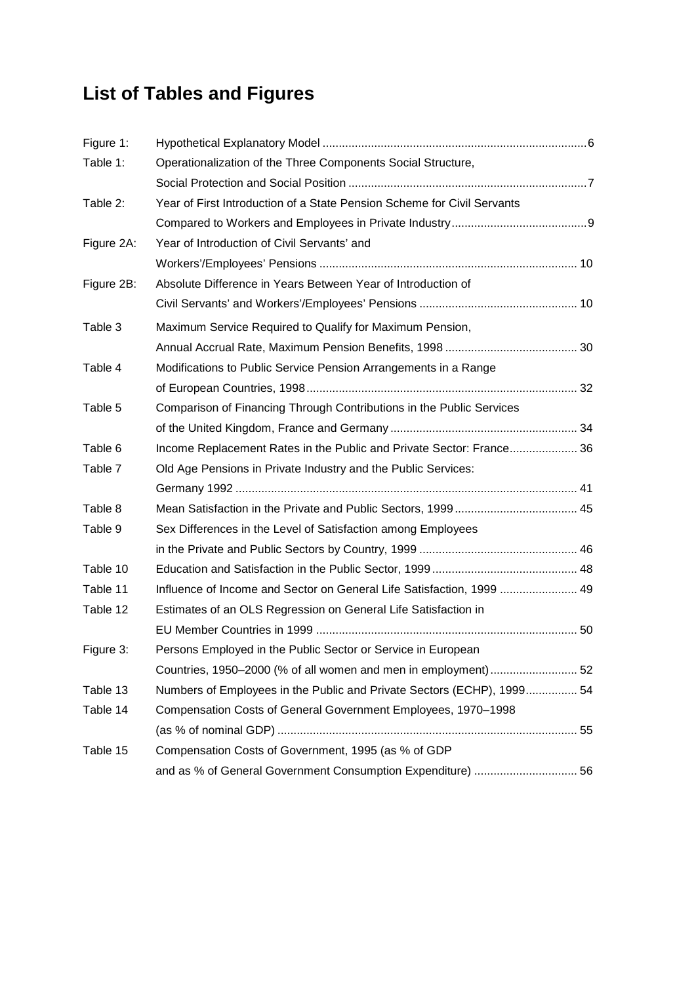## **List of Tables and Figures**

| Figure 1:  |                                                                         |  |
|------------|-------------------------------------------------------------------------|--|
| Table 1:   | Operationalization of the Three Components Social Structure,            |  |
|            |                                                                         |  |
| Table 2:   | Year of First Introduction of a State Pension Scheme for Civil Servants |  |
|            |                                                                         |  |
| Figure 2A: | Year of Introduction of Civil Servants' and                             |  |
|            |                                                                         |  |
| Figure 2B: | Absolute Difference in Years Between Year of Introduction of            |  |
|            |                                                                         |  |
| Table 3    | Maximum Service Required to Qualify for Maximum Pension,                |  |
|            |                                                                         |  |
| Table 4    | Modifications to Public Service Pension Arrangements in a Range         |  |
|            |                                                                         |  |
| Table 5    | Comparison of Financing Through Contributions in the Public Services    |  |
|            |                                                                         |  |
| Table 6    | Income Replacement Rates in the Public and Private Sector: France 36    |  |
| Table 7    | Old Age Pensions in Private Industry and the Public Services:           |  |
|            |                                                                         |  |
| Table 8    |                                                                         |  |
| Table 9    | Sex Differences in the Level of Satisfaction among Employees            |  |
|            |                                                                         |  |
| Table 10   |                                                                         |  |
| Table 11   | Influence of Income and Sector on General Life Satisfaction, 1999  49   |  |
| Table 12   | Estimates of an OLS Regression on General Life Satisfaction in          |  |
|            |                                                                         |  |
| Figure 3:  | Persons Employed in the Public Sector or Service in European            |  |
|            | Countries, 1950–2000 (% of all women and men in employment)  52         |  |
| Table 13   | Numbers of Employees in the Public and Private Sectors (ECHP), 1999 54  |  |
| Table 14   | Compensation Costs of General Government Employees, 1970-1998           |  |
|            |                                                                         |  |
| Table 15   | Compensation Costs of Government, 1995 (as % of GDP                     |  |
|            | and as % of General Government Consumption Expenditure)  56             |  |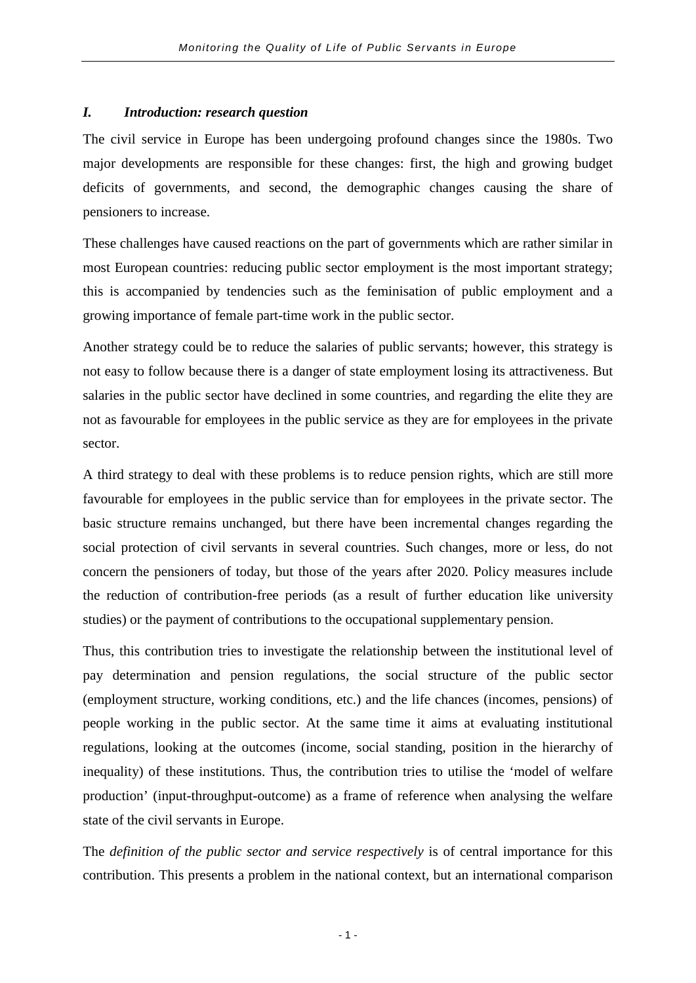#### *I. Introduction: research question*

The civil service in Europe has been undergoing profound changes since the 1980s. Two major developments are responsible for these changes: first, the high and growing budget deficits of governments, and second, the demographic changes causing the share of pensioners to increase.

These challenges have caused reactions on the part of governments which are rather similar in most European countries: reducing public sector employment is the most important strategy; this is accompanied by tendencies such as the feminisation of public employment and a growing importance of female part-time work in the public sector.

Another strategy could be to reduce the salaries of public servants; however, this strategy is not easy to follow because there is a danger of state employment losing its attractiveness. But salaries in the public sector have declined in some countries, and regarding the elite they are not as favourable for employees in the public service as they are for employees in the private sector.

A third strategy to deal with these problems is to reduce pension rights, which are still more favourable for employees in the public service than for employees in the private sector. The basic structure remains unchanged, but there have been incremental changes regarding the social protection of civil servants in several countries. Such changes, more or less, do not concern the pensioners of today, but those of the years after 2020. Policy measures include the reduction of contribution-free periods (as a result of further education like university studies) or the payment of contributions to the occupational supplementary pension.

Thus, this contribution tries to investigate the relationship between the institutional level of pay determination and pension regulations, the social structure of the public sector (employment structure, working conditions, etc.) and the life chances (incomes, pensions) of people working in the public sector. At the same time it aims at evaluating institutional regulations, looking at the outcomes (income, social standing, position in the hierarchy of inequality) of these institutions. Thus, the contribution tries to utilise the 'model of welfare production' (input-throughput-outcome) as a frame of reference when analysing the welfare state of the civil servants in Europe.

The *definition of the public sector and service respectively* is of central importance for this contribution. This presents a problem in the national context, but an international comparison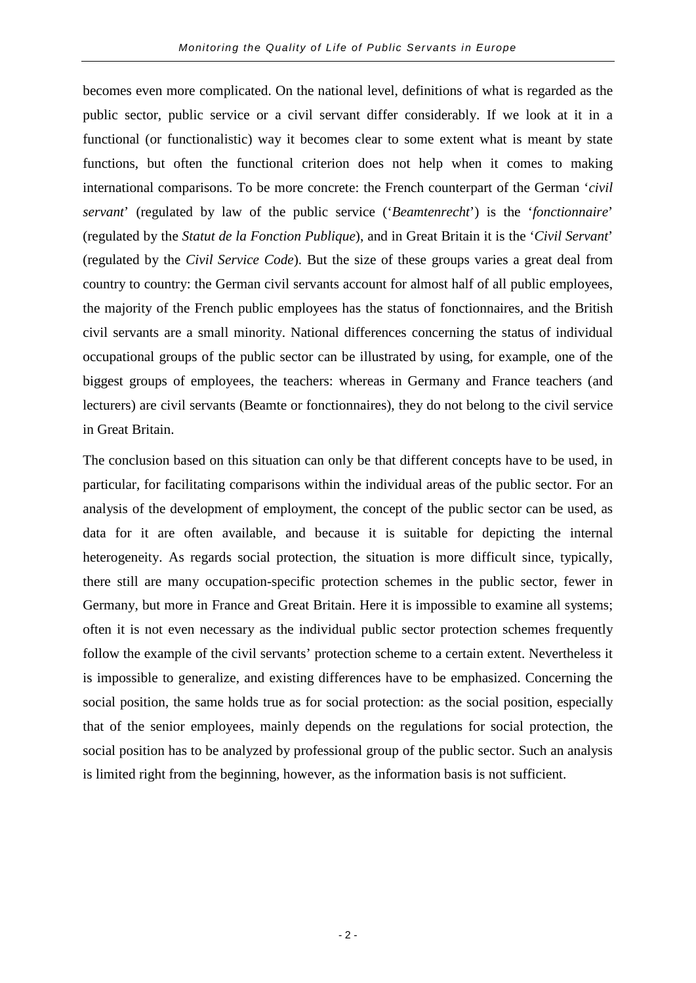becomes even more complicated. On the national level, definitions of what is regarded as the public sector, public service or a civil servant differ considerably. If we look at it in a functional (or functionalistic) way it becomes clear to some extent what is meant by state functions, but often the functional criterion does not help when it comes to making international comparisons. To be more concrete: the French counterpart of the German '*civil servant*' (regulated by law of the public service ('*Beamtenrecht*') is the '*fonctionnaire*' (regulated by the *Statut de la Fonction Publique*), and in Great Britain it is the '*Civil Servant*' (regulated by the *Civil Service Code*). But the size of these groups varies a great deal from country to country: the German civil servants account for almost half of all public employees, the majority of the French public employees has the status of fonctionnaires*,* and the British civil servants are a small minority. National differences concerning the status of individual occupational groups of the public sector can be illustrated by using, for example, one of the biggest groups of employees, the teachers: whereas in Germany and France teachers (and lecturers) are civil servants (Beamte or fonctionnaires), they do not belong to the civil service in Great Britain.

The conclusion based on this situation can only be that different concepts have to be used, in particular, for facilitating comparisons within the individual areas of the public sector. For an analysis of the development of employment, the concept of the public sector can be used, as data for it are often available, and because it is suitable for depicting the internal heterogeneity. As regards social protection, the situation is more difficult since, typically, there still are many occupation-specific protection schemes in the public sector, fewer in Germany, but more in France and Great Britain. Here it is impossible to examine all systems; often it is not even necessary as the individual public sector protection schemes frequently follow the example of the civil servants' protection scheme to a certain extent. Nevertheless it is impossible to generalize, and existing differences have to be emphasized. Concerning the social position, the same holds true as for social protection: as the social position, especially that of the senior employees, mainly depends on the regulations for social protection, the social position has to be analyzed by professional group of the public sector. Such an analysis is limited right from the beginning, however, as the information basis is not sufficient.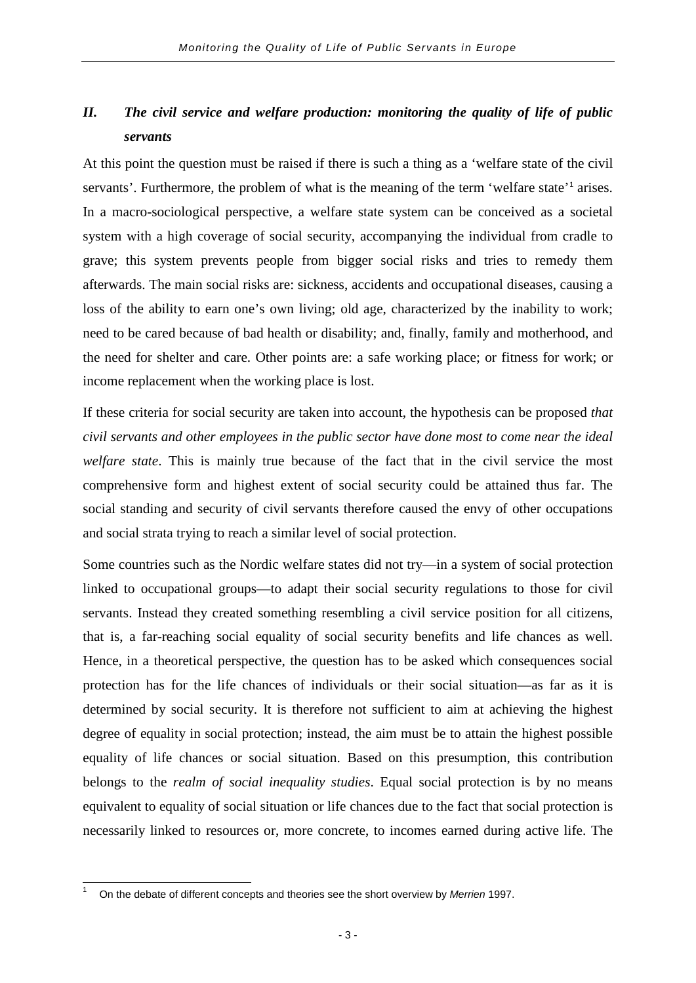### *II. The civil service and welfare production: monitoring the quality of life of public servants*

At this point the question must be raised if there is such a thing as a 'welfare state of the civil servants'. Furthermore, the problem of what is the meaning of the term 'welfare state'<sup>[1](#page-6-0)</sup> arises. In a macro-sociological perspective, a welfare state system can be conceived as a societal system with a high coverage of social security, accompanying the individual from cradle to grave; this system prevents people from bigger social risks and tries to remedy them afterwards. The main social risks are: sickness, accidents and occupational diseases, causing a loss of the ability to earn one's own living; old age, characterized by the inability to work; need to be cared because of bad health or disability; and, finally, family and motherhood, and the need for shelter and care. Other points are: a safe working place; or fitness for work; or income replacement when the working place is lost.

If these criteria for social security are taken into account, the hypothesis can be proposed *that civil servants and other employees in the public sector have done most to come near the ideal welfare state*. This is mainly true because of the fact that in the civil service the most comprehensive form and highest extent of social security could be attained thus far. The social standing and security of civil servants therefore caused the envy of other occupations and social strata trying to reach a similar level of social protection.

Some countries such as the Nordic welfare states did not try—in a system of social protection linked to occupational groups—to adapt their social security regulations to those for civil servants. Instead they created something resembling a civil service position for all citizens, that is, a far-reaching social equality of social security benefits and life chances as well. Hence, in a theoretical perspective, the question has to be asked which consequences social protection has for the life chances of individuals or their social situation—as far as it is determined by social security. It is therefore not sufficient to aim at achieving the highest degree of equality in social protection; instead, the aim must be to attain the highest possible equality of life chances or social situation. Based on this presumption, this contribution belongs to the *realm of social inequality studies*. Equal social protection is by no means equivalent to equality of social situation or life chances due to the fact that social protection is necessarily linked to resources or, more concrete, to incomes earned during active life. The

<span id="page-6-0"></span><sup>1</sup> On the debate of different concepts and theories see the short overview by *Merrien* 1997.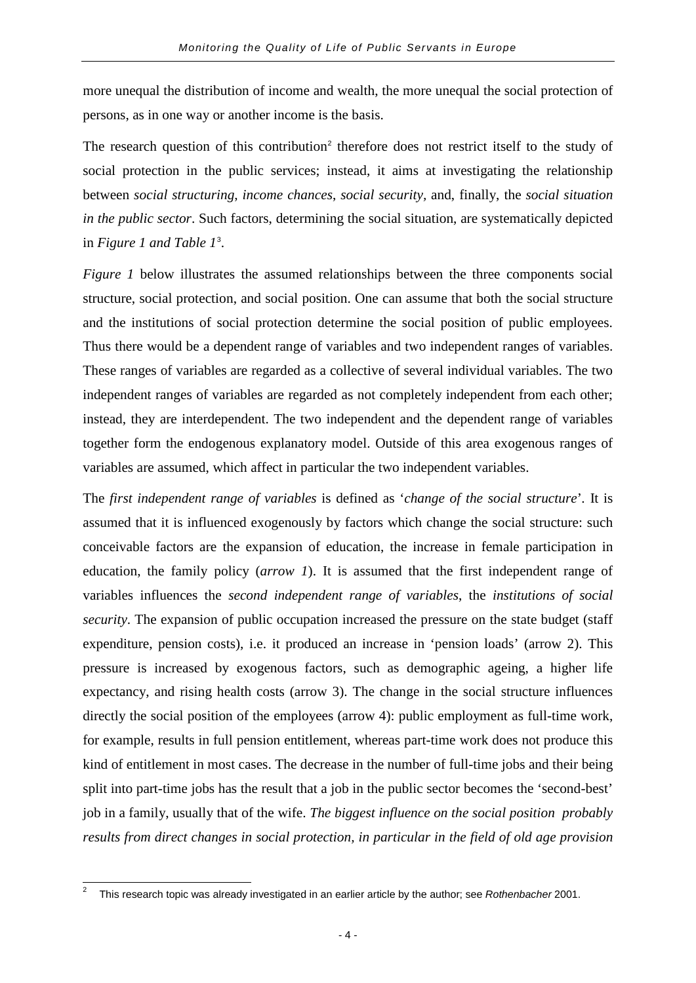more unequal the distribution of income and wealth, the more unequal the social protection of persons, as in one way or another income is the basis.

The research question of this contribution<sup>[2](#page-7-0)</sup> therefore does not restrict itself to the study of social protection in the public services; instead, it aims at investigating the relationship between *social structuring*, *income chances*, *social security,* and, finally, the *social situation in the public sector*. Such factors, determining the social situation, are systematically depicted in *Figure 1 and Table 1*[3](#page-7-1) .

*Figure 1* below illustrates the assumed relationships between the three components social structure, social protection, and social position. One can assume that both the social structure and the institutions of social protection determine the social position of public employees. Thus there would be a dependent range of variables and two independent ranges of variables. These ranges of variables are regarded as a collective of several individual variables. The two independent ranges of variables are regarded as not completely independent from each other; instead, they are interdependent. The two independent and the dependent range of variables together form the endogenous explanatory model. Outside of this area exogenous ranges of variables are assumed, which affect in particular the two independent variables.

The *first independent range of variables* is defined as '*change of the social structure*'*.* It is assumed that it is influenced exogenously by factors which change the social structure: such conceivable factors are the expansion of education, the increase in female participation in education, the family policy (*arrow 1*). It is assumed that the first independent range of variables influences the *second independent range of variables*, the *institutions of social security*. The expansion of public occupation increased the pressure on the state budget (staff expenditure, pension costs), i.e. it produced an increase in 'pension loads' (arrow 2). This pressure is increased by exogenous factors, such as demographic ageing, a higher life expectancy, and rising health costs (arrow 3). The change in the social structure influences directly the social position of the employees (arrow 4): public employment as full-time work, for example, results in full pension entitlement, whereas part-time work does not produce this kind of entitlement in most cases. The decrease in the number of full-time jobs and their being split into part-time jobs has the result that a job in the public sector becomes the 'second-best' job in a family, usually that of the wife. *The biggest influence on the social position probably results from direct changes in social protection, in particular in the field of old age provision* 

<span id="page-7-1"></span><span id="page-7-0"></span><sup>2</sup> This research topic was already investigated in an earlier article by the author; see *Rothenbacher* 2001.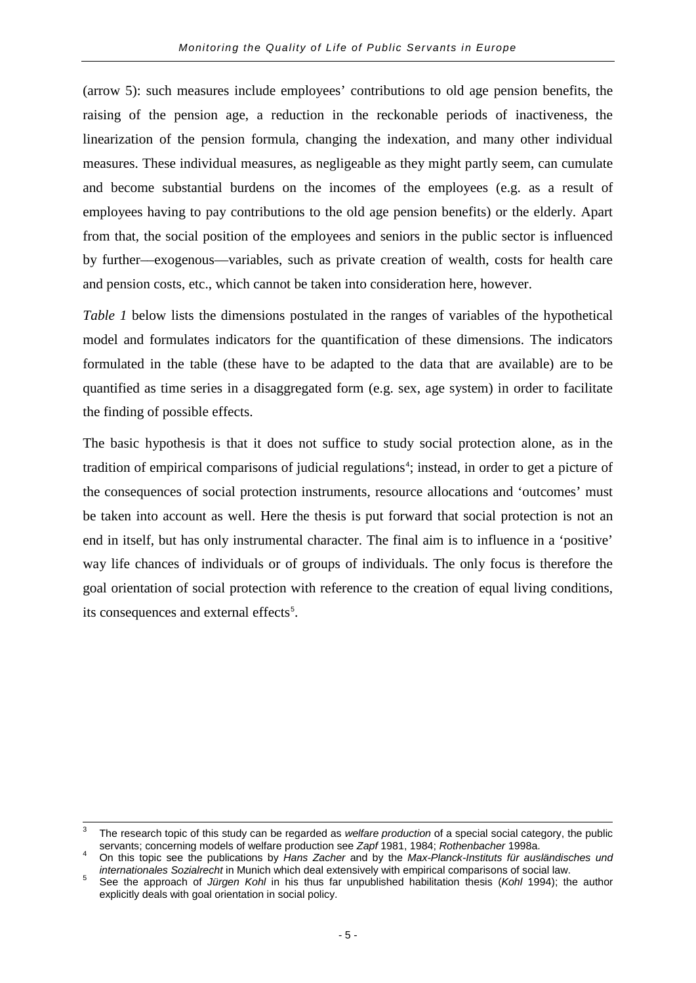(arrow 5): such measures include employees' contributions to old age pension benefits, the raising of the pension age, a reduction in the reckonable periods of inactiveness, the linearization of the pension formula, changing the indexation, and many other individual measures. These individual measures, as negligeable as they might partly seem, can cumulate and become substantial burdens on the incomes of the employees (e.g. as a result of employees having to pay contributions to the old age pension benefits) or the elderly. Apart from that, the social position of the employees and seniors in the public sector is influenced by further––exogenous––variables, such as private creation of wealth, costs for health care and pension costs, etc., which cannot be taken into consideration here, however.

*Table 1* below lists the dimensions postulated in the ranges of variables of the hypothetical model and formulates indicators for the quantification of these dimensions. The indicators formulated in the table (these have to be adapted to the data that are available) are to be quantified as time series in a disaggregated form (e.g. sex, age system) in order to facilitate the finding of possible effects.

The basic hypothesis is that it does not suffice to study social protection alone, as in the tradition of empirical comparisons of judicial regulations<sup>[4](#page-8-0)</sup>; instead, in order to get a picture of the consequences of social protection instruments, resource allocations and 'outcomes' must be taken into account as well. Here the thesis is put forward that social protection is not an end in itself, but has only instrumental character. The final aim is to influence in a 'positive' way life chances of individuals or of groups of individuals. The only focus is therefore the goal orientation of social protection with reference to the creation of equal living conditions, its consequences and external effects<sup>[5](#page-8-1)</sup>.

<sup>&</sup>lt;sup>3</sup> The research topic of this study can be regarded as *welfare production* of a special social category, the public servants: concerning models of welfare production see Zapf 1981. 1984: Rothenbacher 1998a.

<span id="page-8-0"></span>On this topic see the publications by Hans Zacher and by the Max-Planck-Instituts für ausländisches und internationales Sozialrecht in Munich which deal extensively with empirical comparisons of social law.

<span id="page-8-1"></span>See the approach of Jürgen Kohl in his thus far unpublished habilitation thesis (Kohl 1994); the author explicitly deals with goal orientation in social policy.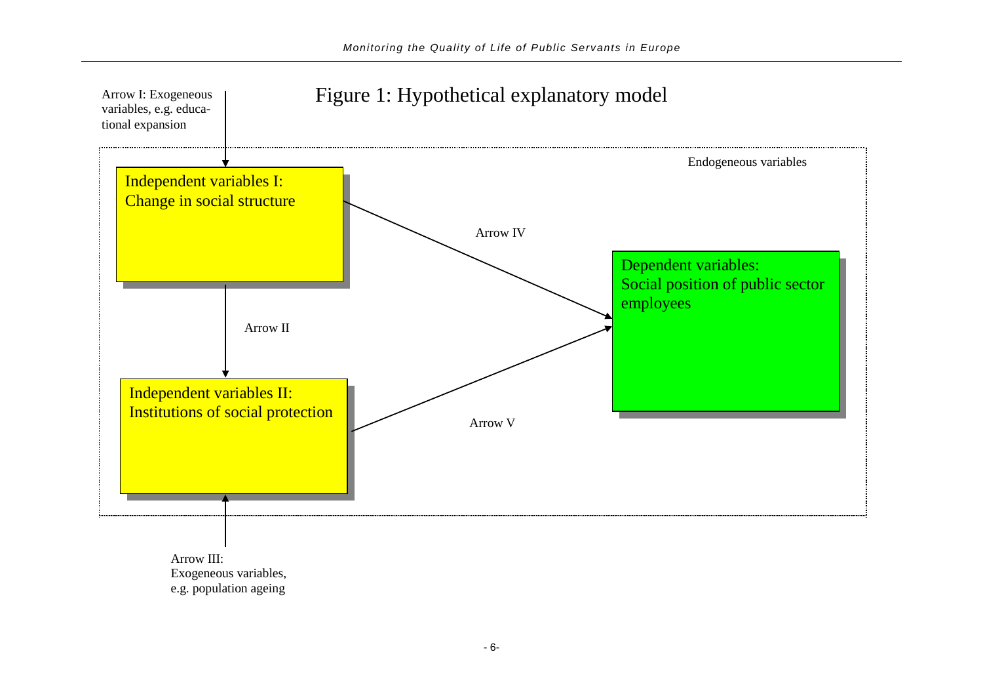

e.g. population ageing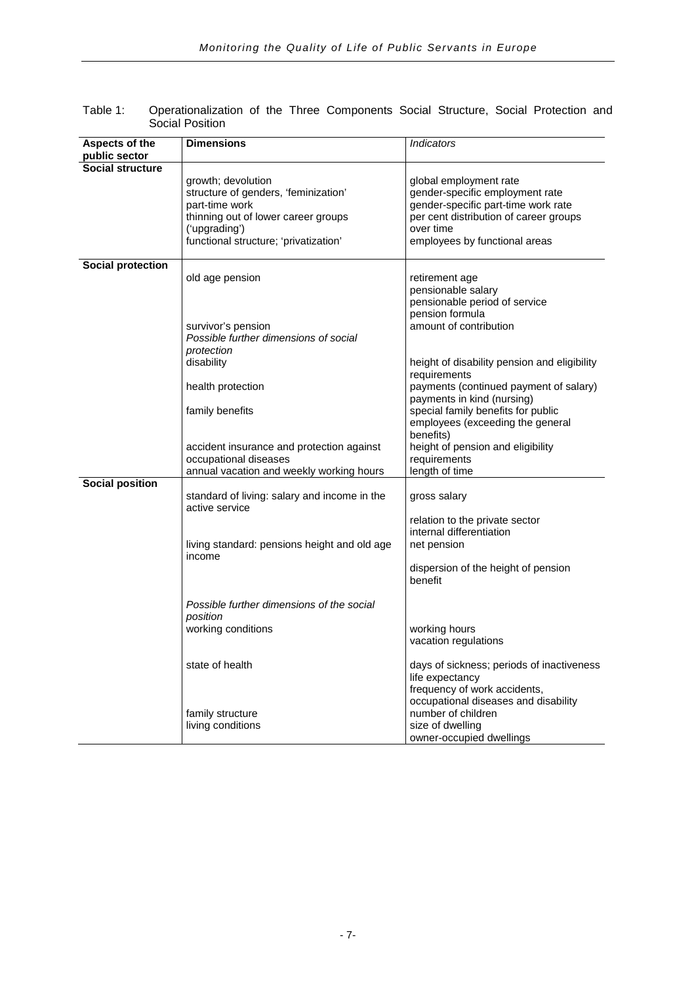| Aspects of the           | <b>Dimensions</b>                            | Indicators                                   |
|--------------------------|----------------------------------------------|----------------------------------------------|
| public sector            |                                              |                                              |
| <b>Social structure</b>  |                                              |                                              |
|                          | growth; devolution                           | global employment rate                       |
|                          | structure of genders, 'feminization'         | gender-specific employment rate              |
|                          | part-time work                               | gender-specific part-time work rate          |
|                          | thinning out of lower career groups          | per cent distribution of career groups       |
|                          | ('upgrading')                                | over time                                    |
|                          | functional structure; 'privatization'        | employees by functional areas                |
|                          |                                              |                                              |
| <b>Social protection</b> |                                              |                                              |
|                          | old age pension                              | retirement age                               |
|                          |                                              | pensionable salary                           |
|                          |                                              | pensionable period of service                |
|                          |                                              | pension formula                              |
|                          | survivor's pension                           | amount of contribution                       |
|                          | Possible further dimensions of social        |                                              |
|                          | protection                                   |                                              |
|                          | disability                                   | height of disability pension and eligibility |
|                          |                                              | requirements                                 |
|                          | health protection                            | payments (continued payment of salary)       |
|                          |                                              | payments in kind (nursing)                   |
|                          | family benefits                              | special family benefits for public           |
|                          |                                              | employees (exceeding the general             |
|                          |                                              | benefits)                                    |
|                          | accident insurance and protection against    | height of pension and eligibility            |
|                          | occupational diseases                        | requirements<br>length of time               |
| <b>Social position</b>   | annual vacation and weekly working hours     |                                              |
|                          | standard of living: salary and income in the | gross salary                                 |
|                          | active service                               |                                              |
|                          |                                              | relation to the private sector               |
|                          |                                              | internal differentiation                     |
|                          | living standard: pensions height and old age | net pension                                  |
|                          | income                                       |                                              |
|                          |                                              | dispersion of the height of pension          |
|                          |                                              | benefit                                      |
|                          |                                              |                                              |
|                          | Possible further dimensions of the social    |                                              |
|                          | position                                     |                                              |
|                          | working conditions                           | working hours                                |
|                          |                                              | vacation regulations                         |
|                          |                                              |                                              |
|                          | state of health                              | days of sickness; periods of inactiveness    |
|                          |                                              | life expectancy                              |
|                          |                                              | frequency of work accidents,                 |
|                          |                                              | occupational diseases and disability         |
|                          | family structure                             | number of children                           |
|                          | living conditions                            | size of dwelling                             |
|                          |                                              | owner-occupied dwellings                     |

| Table 1: | Operationalization of the Three Components Social Structure, Social Protection and |  |  |  |  |  |
|----------|------------------------------------------------------------------------------------|--|--|--|--|--|
|          | Social Position                                                                    |  |  |  |  |  |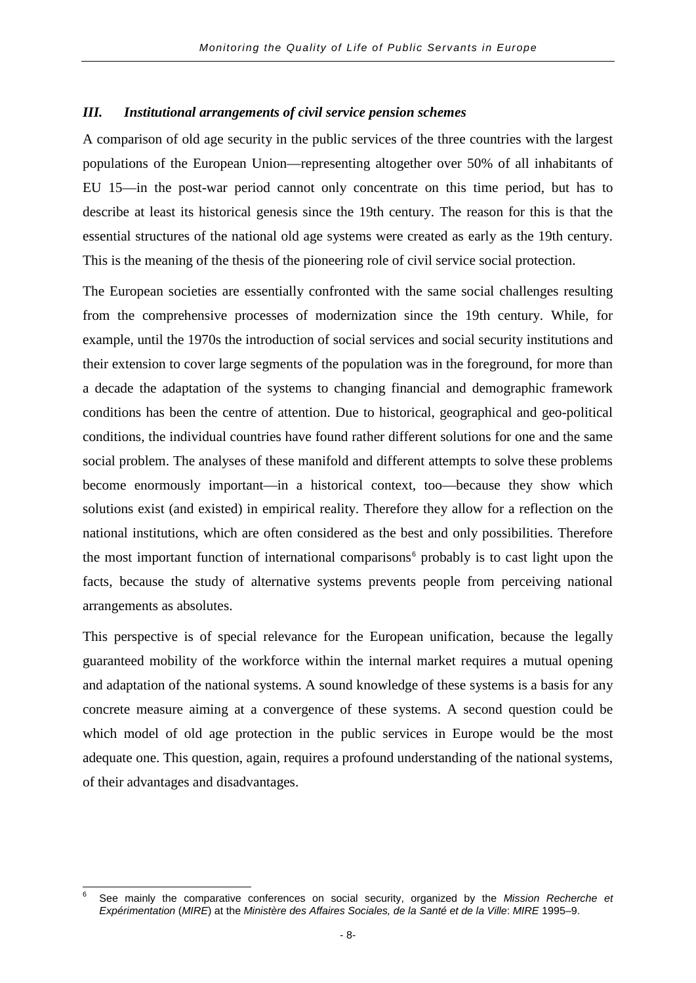#### *III. Institutional arrangements of civil service pension schemes*

A comparison of old age security in the public services of the three countries with the largest populations of the European Union—representing altogether over 50% of all inhabitants of EU 15—in the post-war period cannot only concentrate on this time period, but has to describe at least its historical genesis since the 19th century. The reason for this is that the essential structures of the national old age systems were created as early as the 19th century. This is the meaning of the thesis of the pioneering role of civil service social protection.

The European societies are essentially confronted with the same social challenges resulting from the comprehensive processes of modernization since the 19th century. While, for example, until the 1970s the introduction of social services and social security institutions and their extension to cover large segments of the population was in the foreground, for more than a decade the adaptation of the systems to changing financial and demographic framework conditions has been the centre of attention. Due to historical, geographical and geo-political conditions, the individual countries have found rather different solutions for one and the same social problem. The analyses of these manifold and different attempts to solve these problems become enormously important—in a historical context, too—because they show which solutions exist (and existed) in empirical reality. Therefore they allow for a reflection on the national institutions, which are often considered as the best and only possibilities. Therefore the most important function of international comparisons<sup>[6](#page-11-0)</sup> probably is to cast light upon the facts, because the study of alternative systems prevents people from perceiving national arrangements as absolutes.

This perspective is of special relevance for the European unification, because the legally guaranteed mobility of the workforce within the internal market requires a mutual opening and adaptation of the national systems. A sound knowledge of these systems is a basis for any concrete measure aiming at a convergence of these systems. A second question could be which model of old age protection in the public services in Europe would be the most adequate one. This question, again, requires a profound understanding of the national systems, of their advantages and disadvantages.

<span id="page-11-0"></span><sup>6</sup> See mainly the comparative conferences on social security, organized by the *Mission Recherche et Expérimentation* (*MIRE*) at the *Ministère des Affaires Sociales, de la Santé et de la Ville*: *MIRE* 1995–9.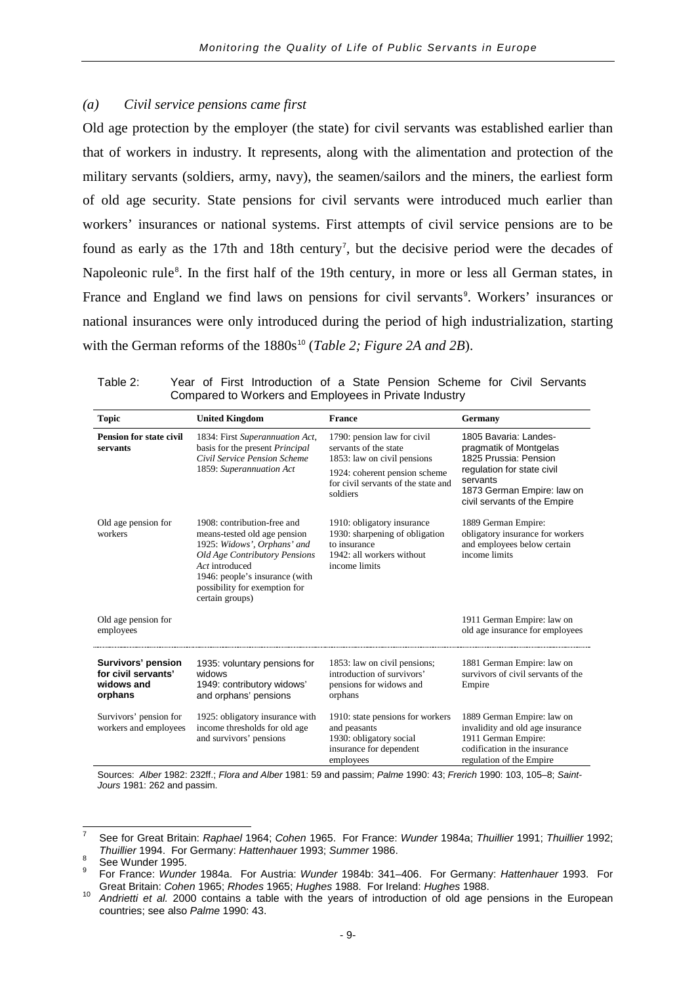#### *(a) Civil service pensions came first*

Old age protection by the employer (the state) for civil servants was established earlier than that of workers in industry. It represents, along with the alimentation and protection of the military servants (soldiers, army, navy), the seamen/sailors and the miners, the earliest form of old age security. State pensions for civil servants were introduced much earlier than workers' insurances or national systems. First attempts of civil service pensions are to be found as early as the 1[7](#page-12-0)th and 18th century<sup>7</sup>, but the decisive period were the decades of Napoleonic rule<sup>[8](#page-12-1)</sup>. In the first half of the 19th century, in more or less all German states, in France and England we find laws on pensions for civil servants<sup>[9](#page-12-2)</sup>. Workers' insurances or national insurances were only introduced during the period of high industrialization, starting with the German reforms of the 1880s<sup>[10](#page-12-3)</sup> (*Table 2; Figure 2A and 2B*).

| <b>Topic</b>                                                       | <b>United Kingdom</b>                                                                                                                                                                                                                      | <b>France</b>                                                                                                                                                           | Germany                                                                                                                                                                          |
|--------------------------------------------------------------------|--------------------------------------------------------------------------------------------------------------------------------------------------------------------------------------------------------------------------------------------|-------------------------------------------------------------------------------------------------------------------------------------------------------------------------|----------------------------------------------------------------------------------------------------------------------------------------------------------------------------------|
| <b>Pension for state civil</b><br>servants                         | 1834: First Superannuation Act,<br>basis for the present Principal<br>Civil Service Pension Scheme<br>1859: Superannuation Act                                                                                                             | 1790: pension law for civil<br>servants of the state<br>1853: law on civil pensions<br>1924: coherent pension scheme<br>for civil servants of the state and<br>soldiers | 1805 Bavaria: Landes-<br>pragmatik of Montgelas<br>1825 Prussia: Pension<br>regulation for state civil<br>servants<br>1873 German Empire: law on<br>civil servants of the Empire |
| Old age pension for<br>workers                                     | 1908: contribution-free and<br>means-tested old age pension<br>1925: Widows', Orphans' and<br><b>Old Age Contributory Pensions</b><br>Act introduced<br>1946: people's insurance (with<br>possibility for exemption for<br>certain groups) | 1910: obligatory insurance<br>1930: sharpening of obligation<br>to insurance<br>1942: all workers without<br>income limits                                              | 1889 German Empire:<br>obligatory insurance for workers<br>and employees below certain<br>income limits                                                                          |
| Old age pension for<br>employees                                   |                                                                                                                                                                                                                                            |                                                                                                                                                                         | 1911 German Empire: law on<br>old age insurance for employees                                                                                                                    |
| Survivors' pension<br>for civil servants'<br>widows and<br>orphans | 1935: voluntary pensions for<br>widows<br>1949: contributory widows'<br>and orphans' pensions                                                                                                                                              | 1853: law on civil pensions;<br>introduction of survivors'<br>pensions for widows and<br>orphans                                                                        | 1881 German Empire: law on<br>survivors of civil servants of the<br>Empire                                                                                                       |
| Survivors' pension for<br>workers and employees                    | 1925: obligatory insurance with<br>income thresholds for old age<br>and survivors' pensions                                                                                                                                                | 1910: state pensions for workers<br>and peasants<br>1930: obligatory social<br>insurance for dependent<br>employees                                                     | 1889 German Empire: law on<br>invalidity and old age insurance<br>1911 German Empire:<br>codification in the insurance<br>regulation of the Empire                               |

Table 2: Year of First Introduction of a State Pension Scheme for Civil Servants Compared to Workers and Employees in Private Industry

Sources: *Alber* 1982: 232ff.; *Flora and Alber* 1981: 59 and passim; *Palme* 1990: 43; *Frerich* 1990: 103, 105–8; *Saint-Jours* 1981: 262 and passim.

<span id="page-12-0"></span><sup>7</sup> See for Great Britain: *Raphael* 1964; *Cohen* 1965. For France: *Wunder* 1984a; *Thuillier* 1991; *Thuillier* 1992;

<span id="page-12-2"></span><span id="page-12-1"></span>

*Thuillier* 1994. For Germany: *Hattenhauer* 1993; *Summer* 1986.<br>See Wunder 1995.<br>For France: *Wunder* 1984a. For Austria: *Wunder* 1984b: 341–406. For Germany: *Hattenhauer* 1993. For<br>Great Britain: *Cohen* 1965; *Rhodes* 

<span id="page-12-3"></span>Andrietti et al. 2000 contains a table with the years of introduction of old age pensions in the European countries; see also *Palme* 1990: 43.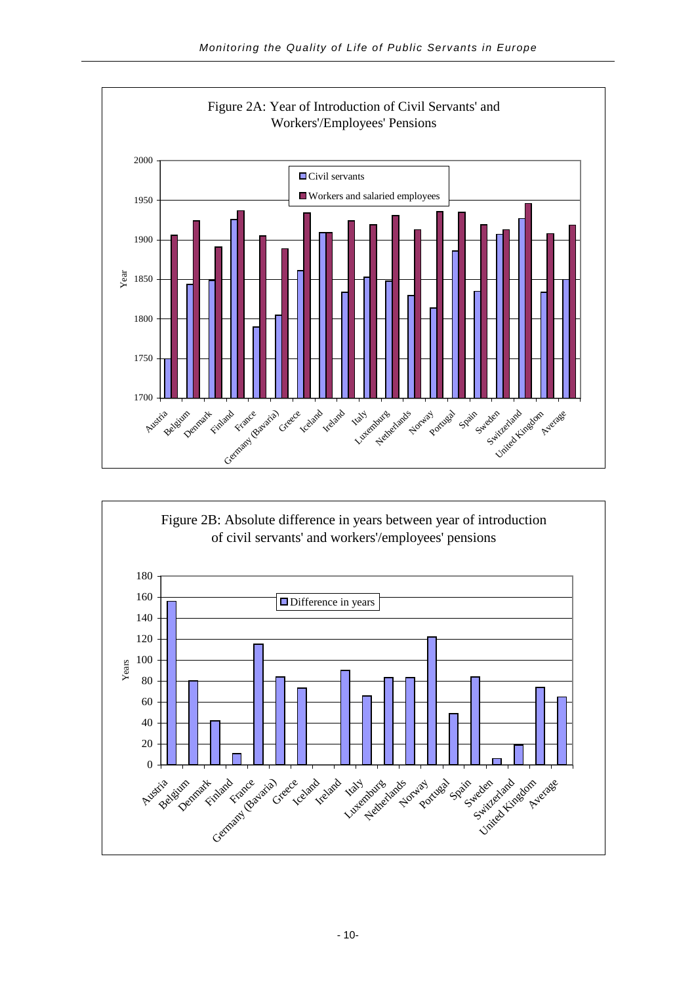

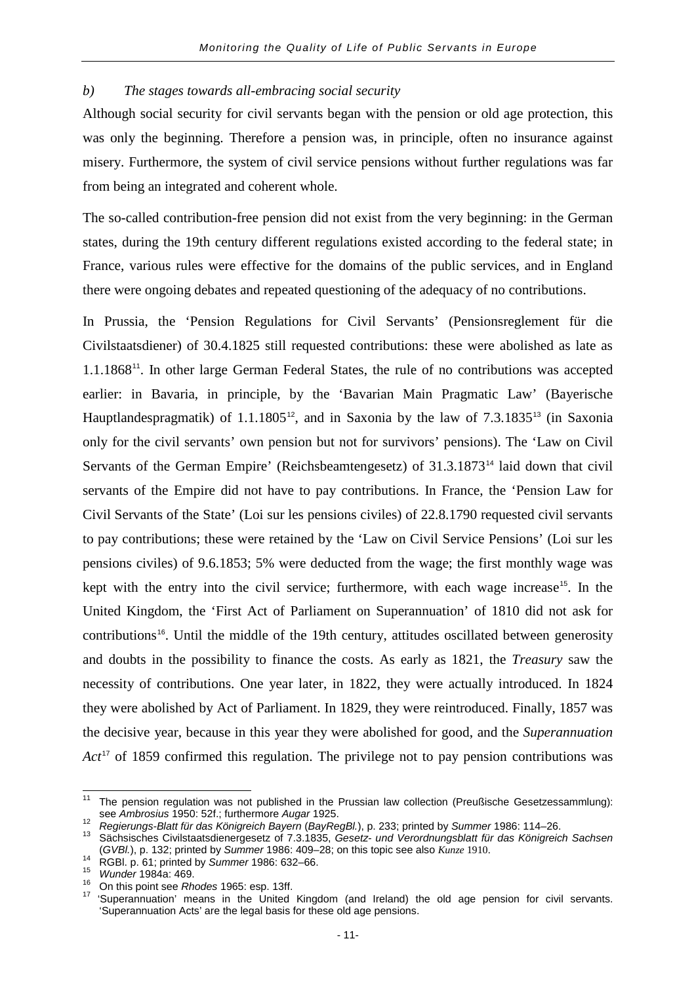#### *b) The stages towards all-embracing social security*

Although social security for civil servants began with the pension or old age protection, this was only the beginning. Therefore a pension was, in principle, often no insurance against misery. Furthermore, the system of civil service pensions without further regulations was far from being an integrated and coherent whole.

The so-called contribution-free pension did not exist from the very beginning: in the German states, during the 19th century different regulations existed according to the federal state; in France, various rules were effective for the domains of the public services, and in England there were ongoing debates and repeated questioning of the adequacy of no contributions.

In Prussia, the 'Pension Regulations for Civil Servants' (Pensionsreglement für die Civilstaatsdiener) of 30.4.1825 still requested contributions: these were abolished as late as 1.1.1868<sup>[11](#page-14-0)</sup>. In other large German Federal States, the rule of no contributions was accepted earlier: in Bavaria, in principle, by the 'Bavarian Main Pragmatic Law' (Bayerische Hauptlandespragmatik) of 1.1.1805<sup>[12](#page-14-1)</sup>, and in Saxonia by the law of  $7.3.1835^{13}$  $7.3.1835^{13}$  $7.3.1835^{13}$  (in Saxonia only for the civil servants' own pension but not for survivors' pensions). The 'Law on Civil Servants of the German Empire' (Reichsbeamtengesetz) of 31.3.1873<sup>[14](#page-14-3)</sup> laid down that civil servants of the Empire did not have to pay contributions. In France, the 'Pension Law for Civil Servants of the State' (Loi sur les pensions civiles) of 22.8.1790 requested civil servants to pay contributions; these were retained by the 'Law on Civil Service Pensions' (Loi sur les pensions civiles) of 9.6.1853; 5% were deducted from the wage; the first monthly wage was kept with the entry into the civil service; furthermore, with each wage increase<sup>[15](#page-14-4)</sup>. In the United Kingdom, the 'First Act of Parliament on Superannuation' of 1810 did not ask for contributions<sup>[16](#page-14-5)</sup>. Until the middle of the 19th century, attitudes oscillated between generosity and doubts in the possibility to finance the costs. As early as 1821, the *Treasury* saw the necessity of contributions. One year later, in 1822, they were actually introduced. In 1824 they were abolished by Act of Parliament. In 1829, they were reintroduced. Finally, 1857 was the decisive year, because in this year they were abolished for good, and the *Superannuation Act*<sup>[17](#page-14-6)</sup> of 1859 confirmed this regulation. The privilege not to pay pension contributions was

<span id="page-14-0"></span><sup>&</sup>lt;sup>11</sup> The pension regulation was not published in the Prussian law collection (Preußische Gesetzessammlung):<br>see Ambrosius 1950: 52f.; furthermore Augar 1925.

<span id="page-14-2"></span><span id="page-14-1"></span>Regierungs-Blatt für das Königreich Bayern (BayRegBl.), p. 233; printed by Summer 1986: 114–26.<br>
Sächsisches Civilstaatsdienergesetz of 7.3.1835, Gesetz- und Verordnungsblatt für das Königreich Sachsen<br>
(GVBl.), p. 132; pr

<span id="page-14-4"></span>

<span id="page-14-6"></span><span id="page-14-5"></span>

<span id="page-14-3"></span><sup>&</sup>lt;sup>14</sup> RGBI. p. 61; printed by Summer 1986: 632–66.<br><sup>15</sup> Wunder 1984a: 469.<br><sup>16</sup> On this point see Rhodes 1965: esp. 13ff.<br><sup>17</sup> 'Superannuation' means in the United Kingdom (and Ireland) the old age pension for civil servan 'Superannuation Acts' are the legal basis for these old age pensions.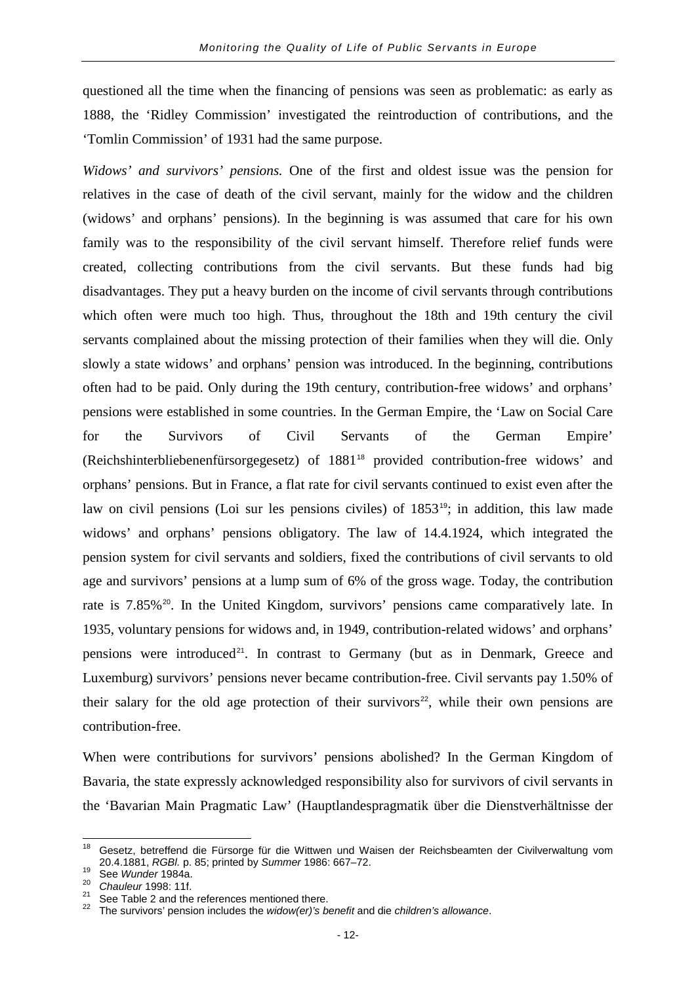questioned all the time when the financing of pensions was seen as problematic: as early as 1888, the 'Ridley Commission' investigated the reintroduction of contributions, and the 'Tomlin Commission' of 1931 had the same purpose.

*Widows' and survivors' pensions.* One of the first and oldest issue was the pension for relatives in the case of death of the civil servant, mainly for the widow and the children (widows' and orphans' pensions). In the beginning is was assumed that care for his own family was to the responsibility of the civil servant himself. Therefore relief funds were created, collecting contributions from the civil servants. But these funds had big disadvantages. They put a heavy burden on the income of civil servants through contributions which often were much too high. Thus, throughout the 18th and 19th century the civil servants complained about the missing protection of their families when they will die. Only slowly a state widows' and orphans' pension was introduced. In the beginning, contributions often had to be paid. Only during the 19th century, contribution-free widows' and orphans' pensions were established in some countries. In the German Empire, the 'Law on Social Care for the Survivors of Civil Servants of the German Empire' (Reichshinterbliebenenfürsorgegesetz) of 1881[18](#page-15-0) provided contribution-free widows' and orphans' pensions. But in France, a flat rate for civil servants continued to exist even after the law on civil pensions (Loi sur les pensions civiles) of 1853<sup>[19](#page-15-1)</sup>; in addition, this law made widows' and orphans' pensions obligatory. The law of 14.4.1924, which integrated the pension system for civil servants and soldiers, fixed the contributions of civil servants to old age and survivors' pensions at a lump sum of 6% of the gross wage. Today, the contribution rate is 7.85%<sup>[20](#page-15-2)</sup>. In the United Kingdom, survivors' pensions came comparatively late. In 1935, voluntary pensions for widows and, in 1949, contribution-related widows' and orphans' pensions were introduced<sup>[21](#page-15-3)</sup>. In contrast to Germany (but as in Denmark, Greece and Luxemburg) survivors' pensions never became contribution-free. Civil servants pay 1.50% of their salary for the old age protection of their survivors<sup>[22](#page-15-4)</sup>, while their own pensions are contribution-free.

When were contributions for survivors' pensions abolished? In the German Kingdom of Bavaria, the state expressly acknowledged responsibility also for survivors of civil servants in the 'Bavarian Main Pragmatic Law' (Hauptlandespragmatik über die Dienstverhältnisse der

<span id="page-15-0"></span><sup>&</sup>lt;sup>18</sup> Gesetz, betreffend die Fürsorge für die Wittwen und Waisen der Reichsbeamten der Civilverwaltung vom<br>20.4.1881, RGBI p. 85; printed by Summer 1986: 667–72.

<span id="page-15-4"></span><span id="page-15-3"></span>

<span id="page-15-2"></span><span id="page-15-1"></span>See Wunder 1984a.<br>
<sup>20</sup> Chauleur 1998: 11f.<br>
<sup>21</sup> See Table 2 and the references mentioned there.<br>
<sup>21</sup> See Table 2 and the references mentioned there.<br>
<sup>22</sup> The survivors' pension includes the *widow(er)'s benefit* and d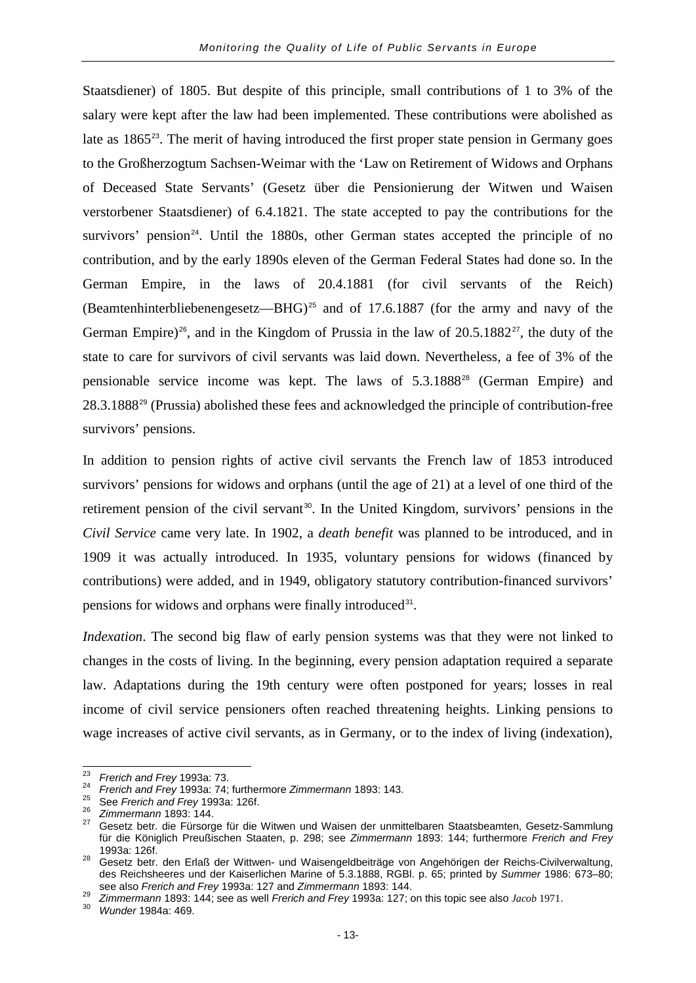Staatsdiener) of 1805. But despite of this principle, small contributions of 1 to 3% of the salary were kept after the law had been implemented. These contributions were abolished as late as 1865<sup>[23](#page-16-0)</sup>. The merit of having introduced the first proper state pension in Germany goes to the Großherzogtum Sachsen-Weimar with the 'Law on Retirement of Widows and Orphans of Deceased State Servants' (Gesetz über die Pensionierung der Witwen und Waisen verstorbener Staatsdiener) of 6.4.1821. The state accepted to pay the contributions for the survivors' pension<sup>[24](#page-16-1)</sup>. Until the 1880s, other German states accepted the principle of no contribution, and by the early 1890s eleven of the German Federal States had done so. In the German Empire, in the laws of 20.4.1881 (for civil servants of the Reich) (Beamtenhinterbliebenengesetz—BHG)<sup>[25](#page-16-2)</sup> and of 17.6.1887 (for the army and navy of the German Empire)<sup>[26](#page-16-3)</sup>, and in the Kingdom of Prussia in the law of  $20.5.1882^{27}$  $20.5.1882^{27}$  $20.5.1882^{27}$ , the duty of the state to care for survivors of civil servants was laid down. Nevertheless, a fee of 3% of the pensionable service income was kept. The laws of 5.3.1888[28](#page-16-5) (German Empire) and 28.3.1888[29](#page-16-6) (Prussia) abolished these fees and acknowledged the principle of contribution-free survivors' pensions.

In addition to pension rights of active civil servants the French law of 1853 introduced survivors' pensions for widows and orphans (until the age of 21) at a level of one third of the retirement pension of the civil servant<sup>[30](#page-16-7)</sup>. In the United Kingdom, survivors' pensions in the *Civil Service* came very late. In 1902, a *death benefit* was planned to be introduced, and in 1909 it was actually introduced. In 1935, voluntary pensions for widows (financed by contributions) were added, and in 1949, obligatory statutory contribution-financed survivors' pensions for widows and orphans were finally introduced<sup>[31](#page-16-7)</sup>.

*Indexation*. The second big flaw of early pension systems was that they were not linked to changes in the costs of living. In the beginning, every pension adaptation required a separate law. Adaptations during the 19th century were often postponed for years; losses in real income of civil service pensioners often reached threatening heights. Linking pensions to wage increases of active civil servants, as in Germany, or to the index of living (indexation),

<span id="page-16-2"></span>

<span id="page-16-4"></span><span id="page-16-3"></span>

<span id="page-16-1"></span><span id="page-16-0"></span><sup>&</sup>lt;sup>23</sup> Frerich and Frey 1993a: 73.<br>
<sup>24</sup> Frerich and Frey 1993a: 74; furthermore Zimmermann 1893: 143.<br>
<sup>25</sup> See Frerich and Frey 1993a: 126f.<br>
<sup>26</sup> Zimmermann 1893: 144.<br>
<sup>26</sup> Zimmermann 1893: 144. für die Königlich Preußischen Staaten, p. 298; see *Zimmermann* 1893: 144; furthermore *Frerich and Frey* 1993a: 126f. <sup>28</sup> Gesetz betr. den Erlaß der Wittwen- und Waisengeldbeiträge von Angehörigen der Reichs-Civilverwaltung,

<span id="page-16-5"></span>des Reichsheeres und der Kaiserlichen Marine of 5.3.1888, RGBl. p. 65; printed by *Summer* 1986: 673–80;

<span id="page-16-7"></span><span id="page-16-6"></span> $^{29}$  Zimmermann 1893: 144; see as well Frerich and Frey 1993a: 127; on this topic see also Jacob 1971.<br><sup>30</sup> Wunder 1984a: 469.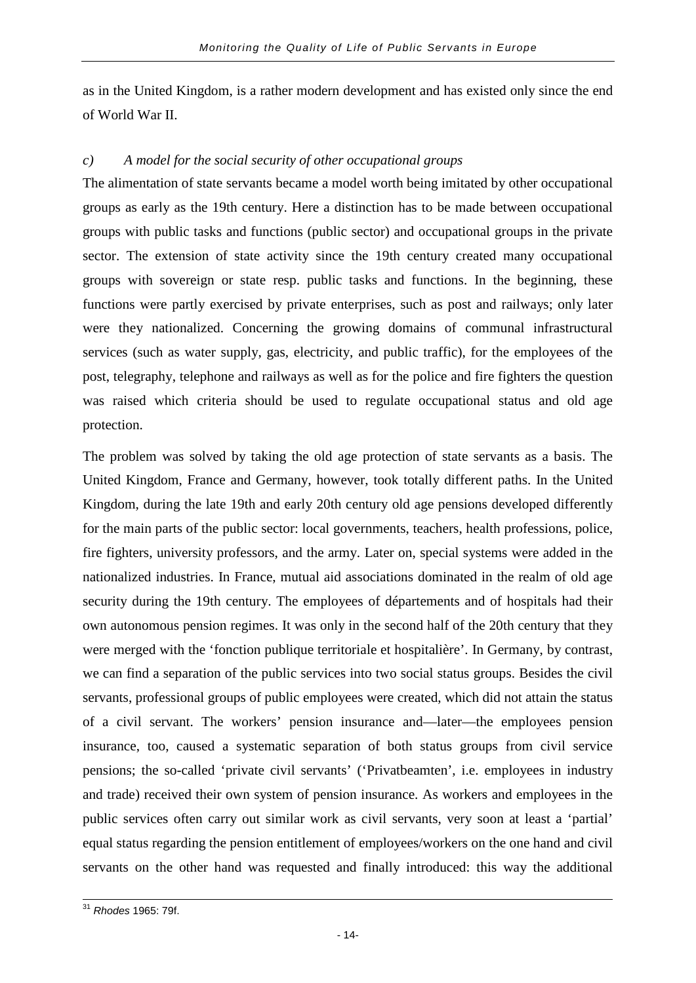as in the United Kingdom, is a rather modern development and has existed only since the end of World War II.

#### *c) A model for the social security of other occupational groups*

The alimentation of state servants became a model worth being imitated by other occupational groups as early as the 19th century. Here a distinction has to be made between occupational groups with public tasks and functions (public sector) and occupational groups in the private sector. The extension of state activity since the 19th century created many occupational groups with sovereign or state resp. public tasks and functions. In the beginning, these functions were partly exercised by private enterprises, such as post and railways; only later were they nationalized. Concerning the growing domains of communal infrastructural services (such as water supply, gas, electricity, and public traffic), for the employees of the post, telegraphy, telephone and railways as well as for the police and fire fighters the question was raised which criteria should be used to regulate occupational status and old age protection.

The problem was solved by taking the old age protection of state servants as a basis. The United Kingdom, France and Germany, however, took totally different paths. In the United Kingdom, during the late 19th and early 20th century old age pensions developed differently for the main parts of the public sector: local governments, teachers, health professions, police, fire fighters, university professors, and the army. Later on, special systems were added in the nationalized industries. In France, mutual aid associations dominated in the realm of old age security during the 19th century. The employees of départements and of hospitals had their own autonomous pension regimes. It was only in the second half of the 20th century that they were merged with the 'fonction publique territoriale et hospitalière'. In Germany, by contrast, we can find a separation of the public services into two social status groups. Besides the civil servants, professional groups of public employees were created, which did not attain the status of a civil servant. The workers' pension insurance and—later—the employees pension insurance, too, caused a systematic separation of both status groups from civil service pensions; the so-called 'private civil servants' ('Privatbeamten', i.e. employees in industry and trade) received their own system of pension insurance. As workers and employees in the public services often carry out similar work as civil servants, very soon at least a 'partial' equal status regarding the pension entitlement of employees/workers on the one hand and civil servants on the other hand was requested and finally introduced: this way the additional

<sup>31</sup> *Rhodes* 1965: 79f.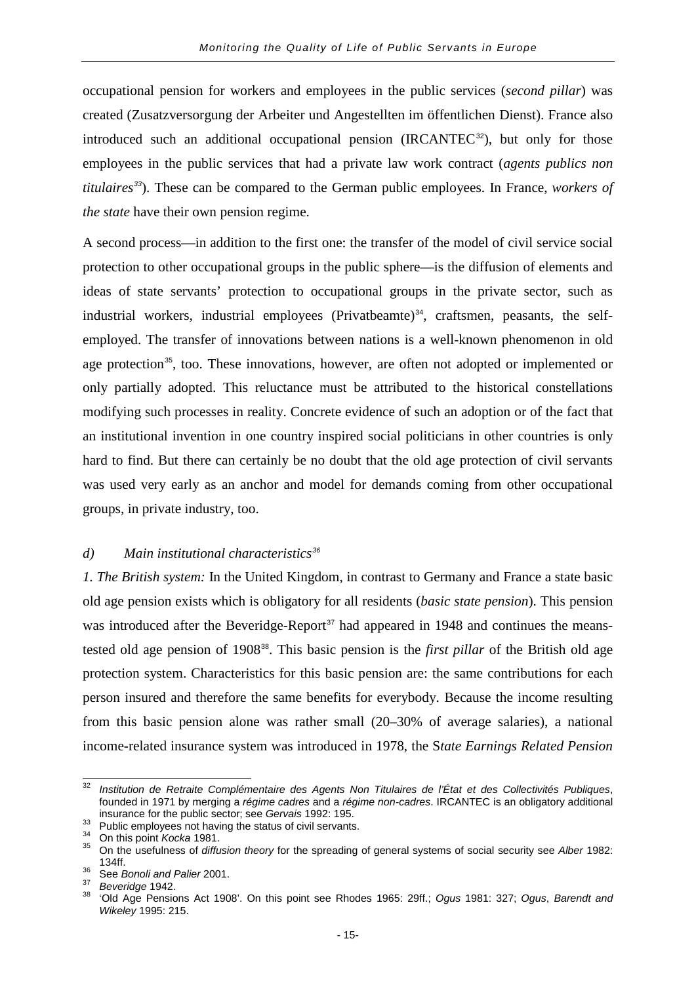occupational pension for workers and employees in the public services (*second pillar*) was created (Zusatzversorgung der Arbeiter und Angestellten im öffentlichen Dienst). France also introduced such an additional occupational pension  $(IRCANTEC<sup>32</sup>)$  $(IRCANTEC<sup>32</sup>)$  $(IRCANTEC<sup>32</sup>)$ , but only for those employees in the public services that had a private law work contract (*agents publics non titulaires[33](#page-18-1)*). These can be compared to the German public employees. In France, *workers of the state* have their own pension regime.

A second process—in addition to the first one: the transfer of the model of civil service social protection to other occupational groups in the public sphere—is the diffusion of elements and ideas of state servants' protection to occupational groups in the private sector, such as industrial workers, industrial employees (Privatbeamte)<sup>[34](#page-18-2)</sup>, craftsmen, peasants, the selfemployed. The transfer of innovations between nations is a well-known phenomenon in old age protection<sup>[35](#page-18-3)</sup>, too. These innovations, however, are often not adopted or implemented or only partially adopted. This reluctance must be attributed to the historical constellations modifying such processes in reality. Concrete evidence of such an adoption or of the fact that an institutional invention in one country inspired social politicians in other countries is only hard to find. But there can certainly be no doubt that the old age protection of civil servants was used very early as an anchor and model for demands coming from other occupational groups, in private industry, too.

#### *d) Main institutional characteristics[36](#page-18-4)*

*1. The British system:* In the United Kingdom, in contrast to Germany and France a state basic old age pension exists which is obligatory for all residents (*basic state pension*). This pension was introduced after the Beveridge-Report<sup>[37](#page-18-5)</sup> had appeared in 1948 and continues the meanstested old age pension of 1908[38](#page-18-6). This basic pension is the *first pillar* of the British old age protection system. Characteristics for this basic pension are: the same contributions for each person insured and therefore the same benefits for everybody. Because the income resulting from this basic pension alone was rather small (20–30% of average salaries), a national income-related insurance system was introduced in 1978, the S*tate Earnings Related Pension* 

<span id="page-18-0"></span><sup>32</sup> *Institution de Retraite Complémentaire des Agents Non Titulaires de l'État et des Collectivités Publiques*, founded in 1971 by merging a *régime cadres* and a *régime non-cadres*. IRCANTEC is an obligatory additional

<span id="page-18-3"></span><span id="page-18-2"></span>

<span id="page-18-1"></span><sup>&</sup>lt;sup>33</sup><br><sup>34</sup> On this point *Kocka* 1981.<br><sup>34</sup> On this point *Kocka* 1981.<br><sup>35</sup> On the usefulness of *diffusion theory* for the spreading of general systems of social security see *Alber* 1982: 134ff. <sup>36</sup> See *Bonoli and Palier* 2001. <sup>37</sup> *Beveridge* 1942. <sup>38</sup> 'Old Age Pensions Act 1908'. On this point see Rhodes 1965: 29ff.; *Ogus* 1981: 327; *Ogus*, *Barendt and* 

<span id="page-18-4"></span>

<span id="page-18-6"></span><span id="page-18-5"></span>

*Wikeley* 1995: 215.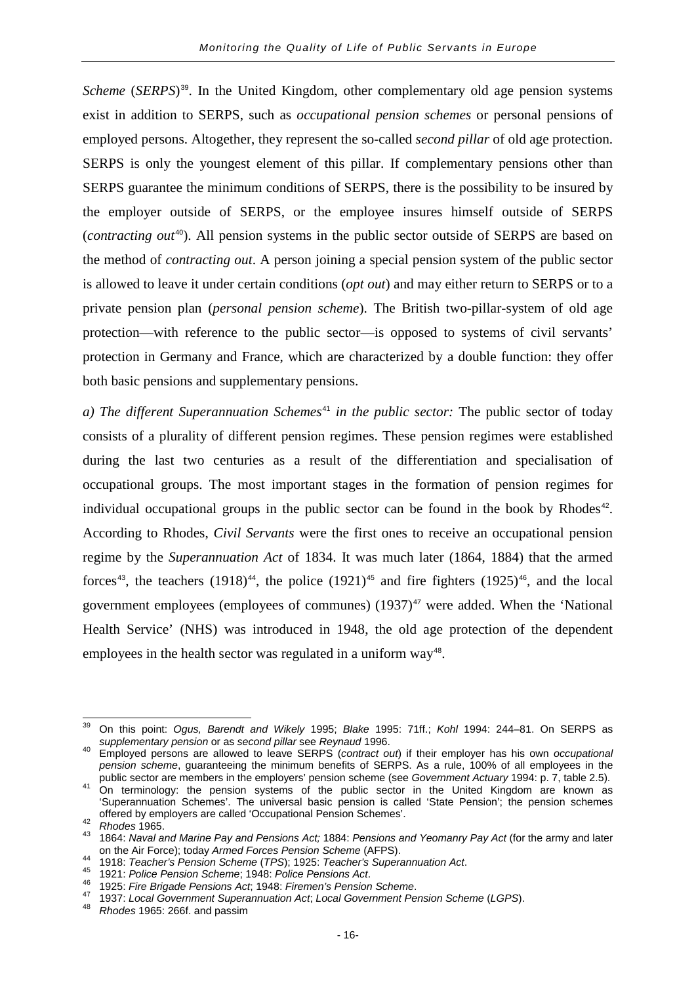*Scheme* (*SERPS*)<sup>[39](#page-19-0)</sup>. In the United Kingdom, other complementary old age pension systems exist in addition to SERPS, such as *occupational pension schemes* or personal pensions of employed persons. Altogether, they represent the so-called *second pillar* of old age protection. SERPS is only the youngest element of this pillar. If complementary pensions other than SERPS guarantee the minimum conditions of SERPS, there is the possibility to be insured by the employer outside of SERPS, or the employee insures himself outside of SERPS (*contracting out*[40](#page-19-1)). All pension systems in the public sector outside of SERPS are based on the method of *contracting out*. A person joining a special pension system of the public sector is allowed to leave it under certain conditions (*opt out*) and may either return to SERPS or to a private pension plan (*personal pension scheme*). The British two-pillar-system of old age protection—with reference to the public sector—is opposed to systems of civil servants' protection in Germany and France, which are characterized by a double function: they offer both basic pensions and supplementary pensions.

*a) The different Superannuation Schemes*<sup>[41](#page-19-2)</sup> *in the public sector:* The public sector of today consists of a plurality of different pension regimes. These pension regimes were established during the last two centuries as a result of the differentiation and specialisation of occupational groups. The most important stages in the formation of pension regimes for individual occupational groups in the public sector can be found in the book by Rhodes $42$ . According to Rhodes, *Civil Servants* were the first ones to receive an occupational pension regime by the *Superannuation Act* of 1834. It was much later (1864, 1884) that the armed forces<sup>[43](#page-19-4)</sup>, the teachers (1918)<sup>[44](#page-19-5)</sup>, the police (1921)<sup>[45](#page-19-6)</sup> and fire fighters (1925)<sup>[46](#page-19-7)</sup>, and the local government employees (employees of communes)  $(1937)^{47}$  $(1937)^{47}$  $(1937)^{47}$  were added. When the 'National Health Service' (NHS) was introduced in 1948, the old age protection of the dependent employees in the health sector was regulated in a uniform way<sup>[48](#page-19-9)</sup>.

<span id="page-19-0"></span><sup>39</sup> On this point: *Ogus, Barendt and Wikely* 1995; *Blake* 1995: 71ff.; *Kohl* 1994: 244–81. On SERPS as

<span id="page-19-1"></span>*supplementary pension* or as *second pillar* see *Reynaud* 1996. <sup>40</sup> Employed persons are allowed to leave SERPS (*contract out*) if their employer has his own *occupational pension scheme*, guaranteeing the minimum benefits of SERPS. As a rule, 100% of all employees in the public sector are members in the employers' pension scheme (see Government Actuary 1994: p. 7, table 2.5).

<span id="page-19-2"></span>public sector are members in the employers' pension scheme (see *Government Actuary* 1994: p. 7, table 2.5). <sup>41</sup> On terminology: the pension systems of the public sector in the United Kingdom are known as 'Superannuation Schemes'. The universal basic pension is called 'State Pension'; the pension schemes

<span id="page-19-4"></span><span id="page-19-3"></span>offered by employers are called 'Occupational Pension Schemes'. <sup>42</sup> *Rhodes* 1965. <sup>43</sup> 1864: *Naval and Marine Pay and Pensions Act;* 1884: *Pensions and Yeomanry Pay Act* (for the army and later

<span id="page-19-8"></span><span id="page-19-7"></span><span id="page-19-6"></span>

<span id="page-19-5"></span><sup>1918:</sup> Teacher's Pension Scheme (TPS); 1925: Teacher's Superannuation Act.<br>
1918: Teacher's Pension Scheme (TPS); 1925: Teacher's Superannuation Act.<br>
<sup>45</sup> 1925: Fire Brigade Pensions Act, 1948: Firemen's Pension Scheme.<br>
<sup></sup>

<span id="page-19-9"></span>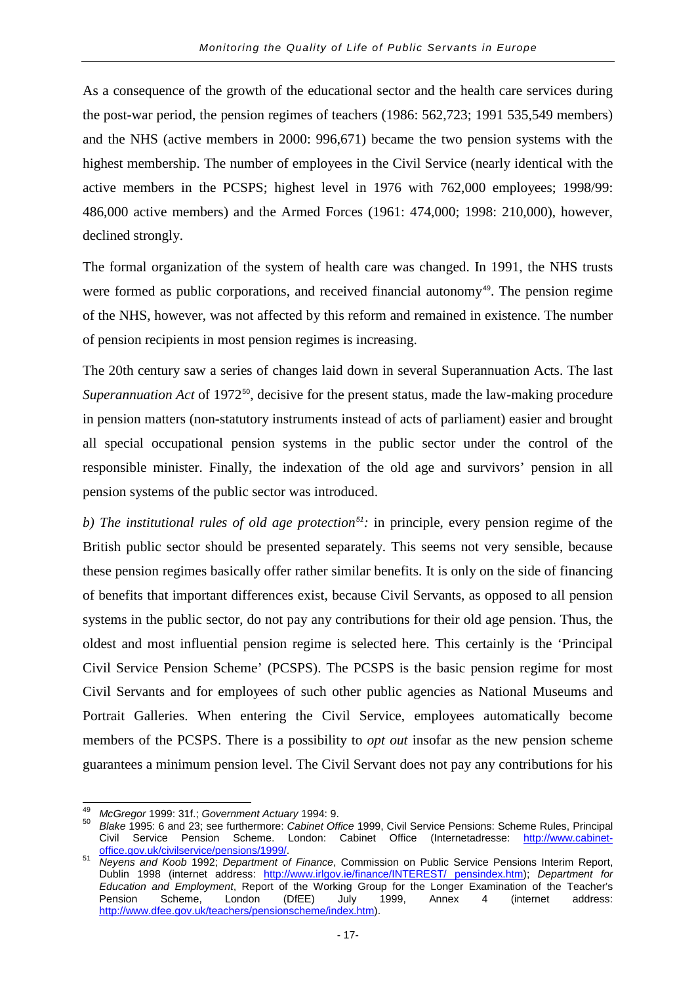As a consequence of the growth of the educational sector and the health care services during the post-war period, the pension regimes of teachers (1986: 562,723; 1991 535,549 members) and the NHS (active members in 2000: 996,671) became the two pension systems with the highest membership. The number of employees in the Civil Service (nearly identical with the active members in the PCSPS; highest level in 1976 with 762,000 employees; 1998/99: 486,000 active members) and the Armed Forces (1961: 474,000; 1998: 210,000), however, declined strongly.

The formal organization of the system of health care was changed. In 1991, the NHS trusts were formed as public corporations, and received financial autonomy<sup>[49](#page-20-0)</sup>. The pension regime of the NHS, however, was not affected by this reform and remained in existence. The number of pension recipients in most pension regimes is increasing.

The 20th century saw a series of changes laid down in several Superannuation Acts. The last *Superannuation Act* of 1972<sup>[50](#page-20-1)</sup>, decisive for the present status, made the law-making procedure in pension matters (non-statutory instruments instead of acts of parliament) easier and brought all special occupational pension systems in the public sector under the control of the responsible minister. Finally, the indexation of the old age and survivors' pension in all pension systems of the public sector was introduced.

*b) The institutional rules of old age protection[51](#page-20-2):* in principle, every pension regime of the British public sector should be presented separately. This seems not very sensible, because these pension regimes basically offer rather similar benefits. It is only on the side of financing of benefits that important differences exist, because Civil Servants, as opposed to all pension systems in the public sector, do not pay any contributions for their old age pension. Thus, the oldest and most influential pension regime is selected here. This certainly is the 'Principal Civil Service Pension Scheme' (PCSPS). The PCSPS is the basic pension regime for most Civil Servants and for employees of such other public agencies as National Museums and Portrait Galleries. When entering the Civil Service, employees automatically become members of the PCSPS. There is a possibility to *opt out* insofar as the new pension scheme guarantees a minimum pension level. The Civil Servant does not pay any contributions for his

<span id="page-20-1"></span><span id="page-20-0"></span>

<sup>&</sup>lt;sup>49</sup> *McGregor* 1999: 31f.; *Government Actuary* 1994: 9.<br><sup>50</sup> *Blake* 1995: 6 and 23: see furthermore: *Cabinet Office* 1999. Civil Service Pensions: Scheme Rules, Principal Civil Service Pension Scheme. London: Cabinet Office (Internetadresse: http://www.cabinet-<br>office.gov.uk/civilservice/pensions/1999/.

<span id="page-20-2"></span>[office.gov.uk/civilservice/pensions/1999/.](http://www.cabinet-office.gov.uk/civilservice/pensions/1999/) <sup>51</sup> *Neyens and Koob* 1992; *Department of Finance*, Commission on Public Service Pensions Interim Report, Dublin 1998 (internet address: [http://www.irlgov.ie/finance/INTEREST/ pensindex.htm\)](http://www.irlgov.ie/finance/INTEREST/pensindex.htm); *Department for Education and Employment*, Report of the Working Group for the Longer Examination of the Teacher's Pension Scheme, London (DfEE) July 1999, Annex 4 (internet address: [http://www.dfee.gov.uk/teachers/pensionscheme/index.htm\)](http://www.dfee.gov.uk/teachers/pensionscheme/index.htm).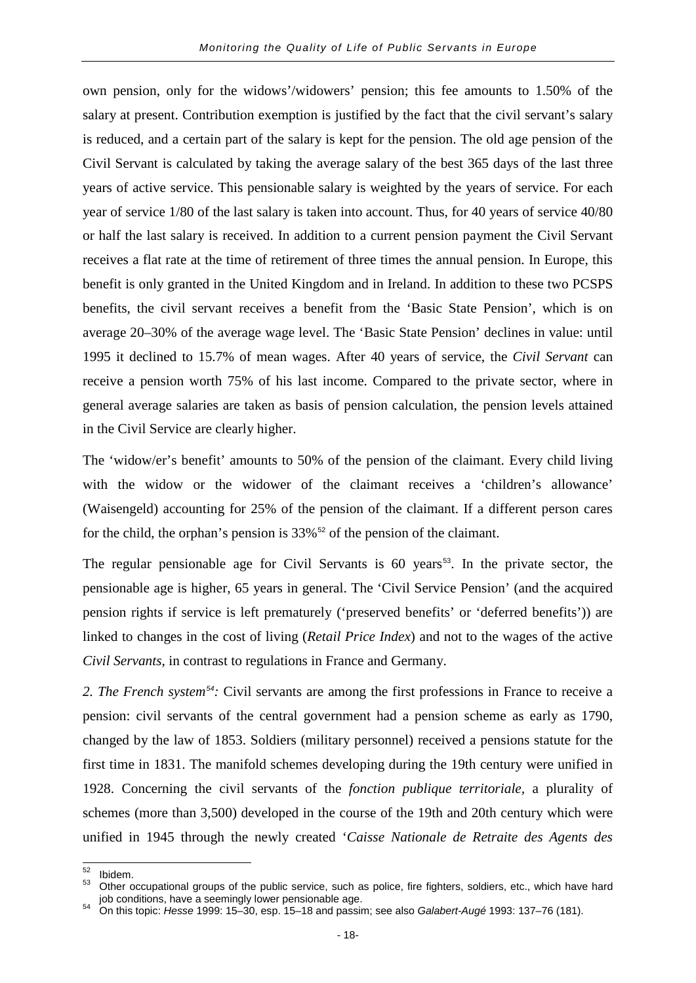own pension, only for the widows'/widowers' pension; this fee amounts to 1.50% of the salary at present. Contribution exemption is justified by the fact that the civil servant's salary is reduced, and a certain part of the salary is kept for the pension. The old age pension of the Civil Servant is calculated by taking the average salary of the best 365 days of the last three years of active service. This pensionable salary is weighted by the years of service. For each year of service 1/80 of the last salary is taken into account. Thus, for 40 years of service 40/80 or half the last salary is received. In addition to a current pension payment the Civil Servant receives a flat rate at the time of retirement of three times the annual pension. In Europe, this benefit is only granted in the United Kingdom and in Ireland. In addition to these two PCSPS benefits, the civil servant receives a benefit from the 'Basic State Pension', which is on average 20–30% of the average wage level. The 'Basic State Pension' declines in value: until 1995 it declined to 15.7% of mean wages. After 40 years of service, the *Civil Servant* can receive a pension worth 75% of his last income. Compared to the private sector, where in general average salaries are taken as basis of pension calculation, the pension levels attained in the Civil Service are clearly higher.

The 'widow/er's benefit' amounts to 50% of the pension of the claimant. Every child living with the widow or the widower of the claimant receives a 'children's allowance' (Waisengeld) accounting for 25% of the pension of the claimant. If a different person cares for the child, the orphan's pension is  $33\%$ <sup>[52](#page-21-0)</sup> of the pension of the claimant.

The regular pensionable age for Civil Servants is  $60$  years<sup>[53](#page-21-1)</sup>. In the private sector, the pensionable age is higher, 65 years in general. The 'Civil Service Pension' (and the acquired pension rights if service is left prematurely ('preserved benefits' or 'deferred benefits')) are linked to changes in the cost of living (*Retail Price Index*) and not to the wages of the active *Civil Servants*, in contrast to regulations in France and Germany.

*2. The French system[54](#page-21-2):* Civil servants are among the first professions in France to receive a pension: civil servants of the central government had a pension scheme as early as 1790, changed by the law of 1853. Soldiers (military personnel) received a pensions statute for the first time in 1831. The manifold schemes developing during the 19th century were unified in 1928. Concerning the civil servants of the *fonction publique territoriale,* a plurality of schemes (more than 3,500) developed in the course of the 19th and 20th century which were unified in 1945 through the newly created '*Caisse Nationale de Retraite des Agents des* 

<span id="page-21-1"></span><span id="page-21-0"></span><sup>&</sup>lt;sup>52</sup> Ibidem.<br><sup>53</sup> Other occupational groups of the public service, such as police, fire fighters, soldiers, etc., which have hard<br>53 Other occupations, have a seemingly lower pensionable age.

<span id="page-21-2"></span>job conditions, have a seemingly lower pensionable age. <sup>54</sup> On this topic: *Hesse* 1999: 15–30, esp. 15–18 and passim; see also *Galabert-Augé* 1993: 137–76 (181).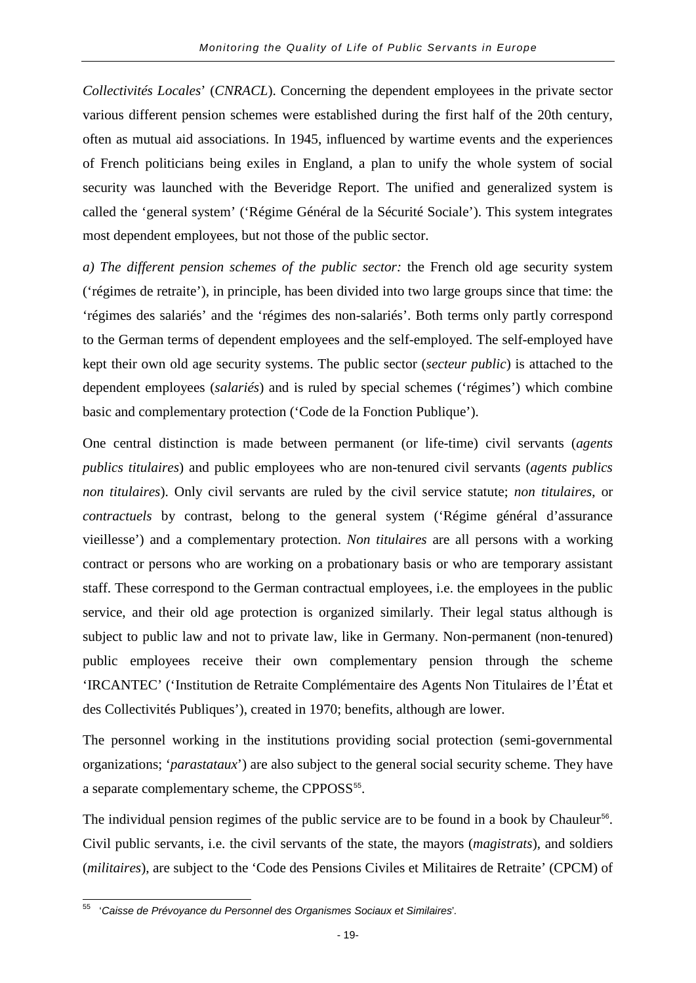*Collectivités Locales*' (*CNRACL*). Concerning the dependent employees in the private sector various different pension schemes were established during the first half of the 20th century, often as mutual aid associations. In 1945, influenced by wartime events and the experiences of French politicians being exiles in England, a plan to unify the whole system of social security was launched with the Beveridge Report. The unified and generalized system is called the 'general system' ('Régime Général de la Sécurité Sociale'). This system integrates most dependent employees, but not those of the public sector.

*a) The different pension schemes of the public sector:* the French old age security system ('régimes de retraite'), in principle, has been divided into two large groups since that time: the 'régimes des salariés' and the 'régimes des non-salariés'. Both terms only partly correspond to the German terms of dependent employees and the self-employed. The self-employed have kept their own old age security systems. The public sector (*secteur public*) is attached to the dependent employees (*salariés*) and is ruled by special schemes ('régimes') which combine basic and complementary protection ('Code de la Fonction Publique').

One central distinction is made between permanent (or life-time) civil servants (*agents publics titulaires*) and public employees who are non-tenured civil servants (*agents publics non titulaires*). Only civil servants are ruled by the civil service statute; *non titulaires*, or *contractuels* by contrast, belong to the general system ('Régime général d'assurance vieillesse') and a complementary protection. *Non titulaires* are all persons with a working contract or persons who are working on a probationary basis or who are temporary assistant staff. These correspond to the German contractual employees, i.e. the employees in the public service, and their old age protection is organized similarly. Their legal status although is subject to public law and not to private law, like in Germany. Non-permanent (non-tenured) public employees receive their own complementary pension through the scheme 'IRCANTEC' ('Institution de Retraite Complémentaire des Agents Non Titulaires de l'État et des Collectivités Publiques'), created in 1970; benefits, although are lower.

The personnel working in the institutions providing social protection (semi-governmental organizations; '*parastataux*') are also subject to the general social security scheme. They have a separate complementary scheme, the CPPOSS<sup>[55](#page-22-0)</sup>.

The individual pension regimes of the public service are to be found in a book by Chauleur<sup>[56](#page-22-1)</sup>. Civil public servants, i.e. the civil servants of the state, the mayors (*magistrats*), and soldiers (*militaires*), are subject to the 'Code des Pensions Civiles et Militaires de Retraite' (CPCM) of

<span id="page-22-1"></span><span id="page-22-0"></span><sup>55</sup> '*Caisse de Prévoyance du Personnel des Organismes Sociaux et Similaires*'*.*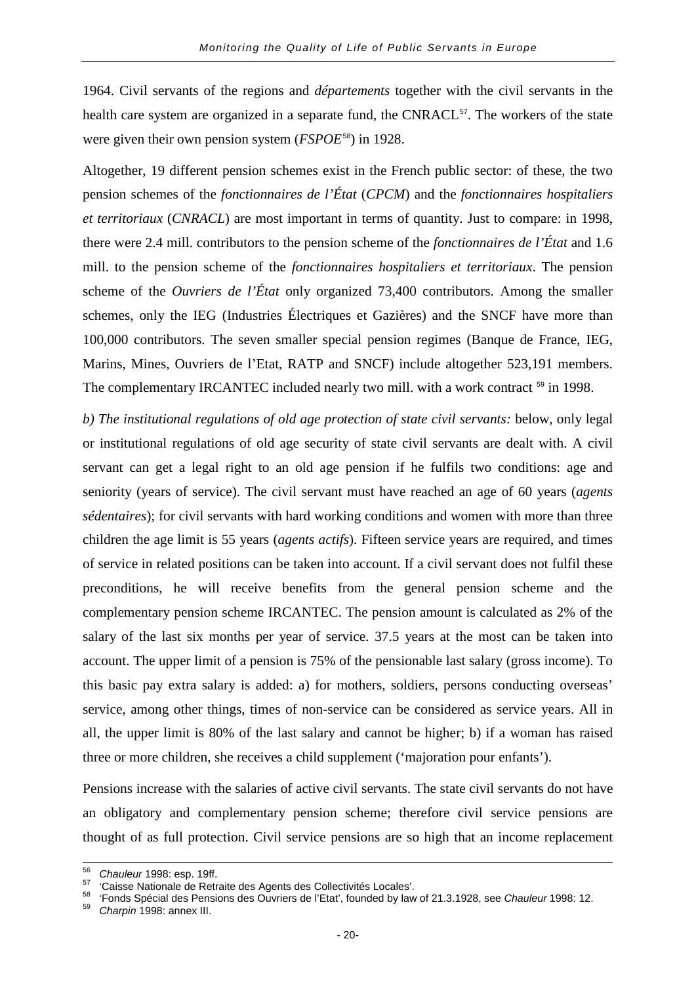1964. Civil servants of the regions and *départements* together with the civil servants in the health care system are organized in a separate fund, the CNRACL<sup>[57](#page-23-0)</sup>. The workers of the state were given their own pension system (*FSPOE*[58](#page-23-1)) in 1928.

Altogether, 19 different pension schemes exist in the French public sector: of these, the two pension schemes of the *fonctionnaires de l'État* (*CPCM*) and the *fonctionnaires hospitaliers et territoriaux* (*CNRACL*) are most important in terms of quantity. Just to compare: in 1998, there were 2.4 mill. contributors to the pension scheme of the *fonctionnaires de l'État* and 1.6 mill. to the pension scheme of the *fonctionnaires hospitaliers et territoriaux*. The pension scheme of the *Ouvriers de l'État* only organized 73,400 contributors. Among the smaller schemes, only the IEG (Industries Électriques et Gazières) and the SNCF have more than 100,000 contributors. The seven smaller special pension regimes (Banque de France, IEG, Marins, Mines, Ouvriers de l'Etat, RATP and SNCF) include altogether 523,191 members. The complementary IRCANTEC included nearly two mill. with a work contract <sup>[59](#page-23-2)</sup> in 1998.

*b) The institutional regulations of old age protection of state civil servants:* below, only legal or institutional regulations of old age security of state civil servants are dealt with. A civil servant can get a legal right to an old age pension if he fulfils two conditions: age and seniority (years of service). The civil servant must have reached an age of 60 years (*agents sédentaires*); for civil servants with hard working conditions and women with more than three children the age limit is 55 years (*agents actifs*). Fifteen service years are required, and times of service in related positions can be taken into account. If a civil servant does not fulfil these preconditions, he will receive benefits from the general pension scheme and the complementary pension scheme IRCANTEC. The pension amount is calculated as 2% of the salary of the last six months per year of service. 37.5 years at the most can be taken into account. The upper limit of a pension is 75% of the pensionable last salary (gross income). To this basic pay extra salary is added: a) for mothers, soldiers, persons conducting overseas' service, among other things, times of non-service can be considered as service years. All in all, the upper limit is 80% of the last salary and cannot be higher; b) if a woman has raised three or more children, she receives a child supplement ('majoration pour enfants').

Pensions increase with the salaries of active civil servants. The state civil servants do not have an obligatory and complementary pension scheme; therefore civil service pensions are thought of as full protection. Civil service pensions are so high that an income replacement

<span id="page-23-1"></span><span id="page-23-0"></span>

<sup>&</sup>lt;sup>56</sup> Chauleur 1998: esp. 19ff.<br><sup>57</sup> 'Caisse Nationale de Retraite des Agents des Collectivités Locales'.<br><sup>58</sup> 'Fonds Spécial des Pensions des Ouvriers de l'Etat', founded by law of 21.3.1928, see Chauleur 1998: 12.<br><sup>59</sup> C

<span id="page-23-2"></span>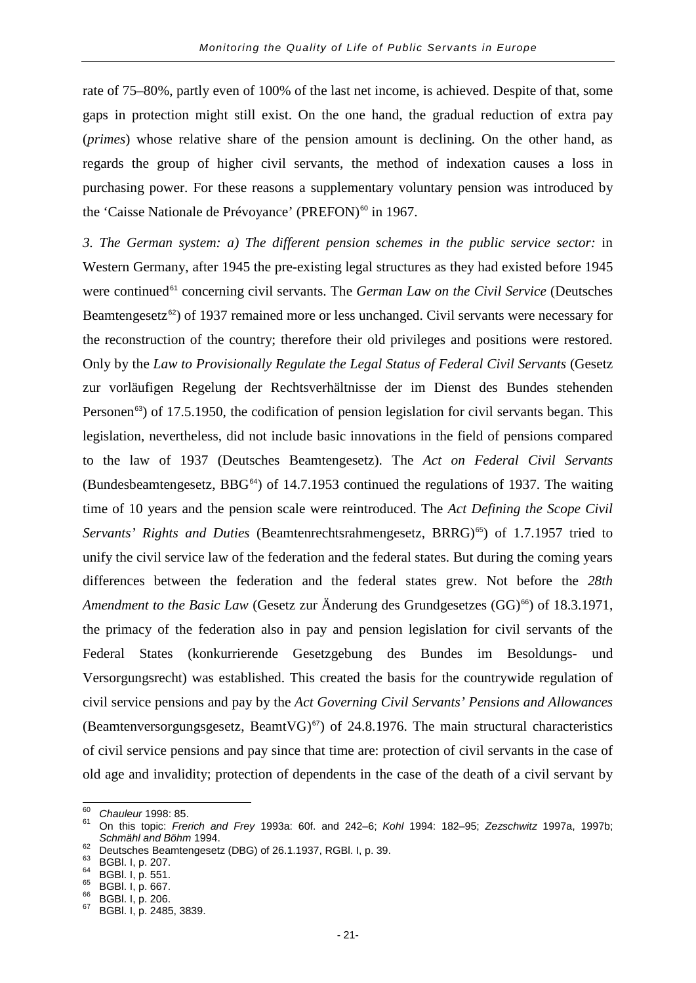rate of 75–80%, partly even of 100% of the last net income, is achieved. Despite of that, some gaps in protection might still exist. On the one hand, the gradual reduction of extra pay (*primes*) whose relative share of the pension amount is declining. On the other hand, as regards the group of higher civil servants, the method of indexation causes a loss in purchasing power. For these reasons a supplementary voluntary pension was introduced by the 'Caisse Nationale de Prévoyance' (PREFON)<sup>[60](#page-24-0)</sup> in 1967.

*3. The German system: a) The different pension schemes in the public service sector:* in Western Germany, after 1945 the pre-existing legal structures as they had existed before 1945 were continued<sup>[61](#page-24-1)</sup> concerning civil servants. The *German Law on the Civil Service* (Deutsches Beamtengesetz<sup>[62](#page-24-2)</sup>) of 1937 remained more or less unchanged. Civil servants were necessary for the reconstruction of the country; therefore their old privileges and positions were restored. Only by the *Law to Provisionally Regulate the Legal Status of Federal Civil Servants* (Gesetz zur vorläufigen Regelung der Rechtsverhältnisse der im Dienst des Bundes stehenden Personen<sup>[63](#page-24-3)</sup>) of 17.5.1950, the codification of pension legislation for civil servants began. This legislation, nevertheless, did not include basic innovations in the field of pensions compared to the law of 1937 (Deutsches Beamtengesetz). The *Act on Federal Civil Servants* (Bundesbeamtengesetz,  $BBG<sup>64</sup>$  $BBG<sup>64</sup>$  $BBG<sup>64</sup>$ ) of 14.7.1953 continued the regulations of 1937. The waiting time of 10 years and the pension scale were reintroduced. The *Act Defining the Scope Civil Servants' Rights and Duties* (Beamtenrechtsrahmengesetz, BRRG)<sup>[65](#page-24-5)</sup>) of 1.7.1957 tried to unify the civil service law of the federation and the federal states. But during the coming years differences between the federation and the federal states grew. Not before the *28th Amendment to the Basic Law* (Gesetz zur Änderung des Grundgesetzes (GG)<sup>[66](#page-24-6)</sup>) of 18.3.1971, the primacy of the federation also in pay and pension legislation for civil servants of the Federal States (konkurrierende Gesetzgebung des Bundes im Besoldungs- und Versorgungsrecht) was established. This created the basis for the countrywide regulation of civil service pensions and pay by the *Act Governing Civil Servants' Pensions and Allowances* (Beamtenversorgungsgesetz, BeamtVG) $^{67}$  $^{67}$  $^{67}$ ) of 24.8.1976. The main structural characteristics of civil service pensions and pay since that time are: protection of civil servants in the case of old age and invalidity; protection of dependents in the case of the death of a civil servant by

<span id="page-24-1"></span>

<span id="page-24-0"></span><sup>60</sup> *Chauleur* 1998: 85. <sup>61</sup> On this topic: *Frerich and Frey* 1993a: 60f. and 242–6; *Kohl* 1994: 182–95; *Zezschwitz* 1997a, 1997b; *Schmähl and Böhm* 1994.<br>
<sup>62</sup> Deutsches Beamtengesetz (DBG) of 26.1.1937, RGBl. I, p. 39.<br>
<sup>63</sup> BGBl. I, p. 207.<br>
<sup>64</sup> BGBl. I, p. 551.<br>
<sup>65</sup> BGBl. I, p. 667.<br>
<sup>66</sup> BGBl. I, p. 206.<br>
<sup>67</sup> BGBl. I, p. 2485, 3839.

<span id="page-24-2"></span>

<span id="page-24-3"></span>

<span id="page-24-4"></span>

<span id="page-24-6"></span><span id="page-24-5"></span>

<span id="page-24-7"></span>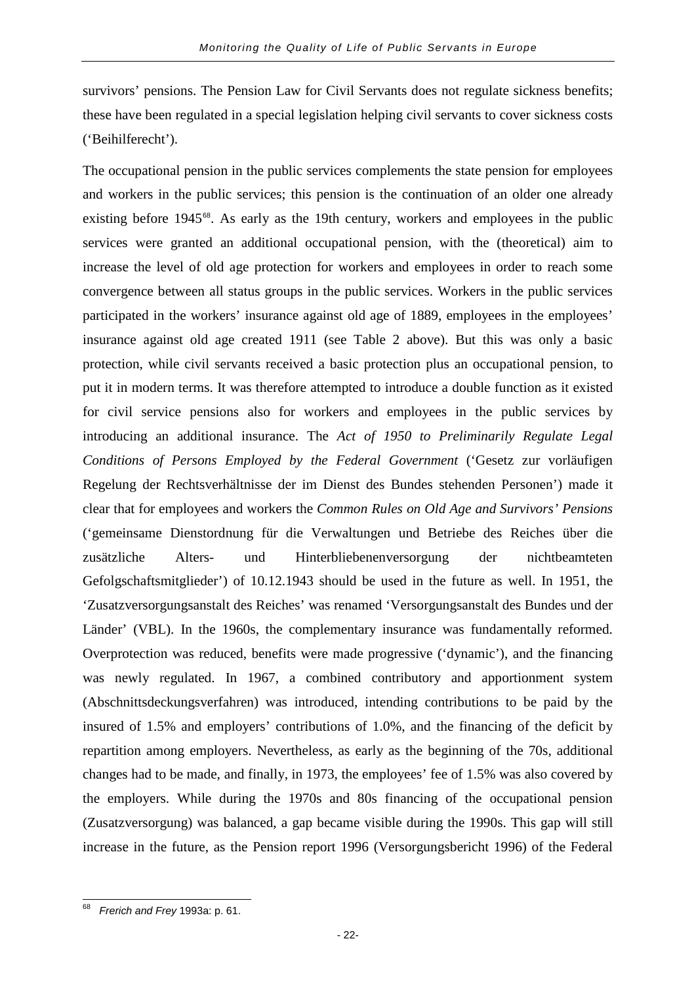survivors' pensions. The Pension Law for Civil Servants does not regulate sickness benefits; these have been regulated in a special legislation helping civil servants to cover sickness costs ('Beihilferecht').

The occupational pension in the public services complements the state pension for employees and workers in the public services; this pension is the continuation of an older one already existing before  $1945^{\circ8}$ . As early as the 19th century, workers and employees in the public services were granted an additional occupational pension, with the (theoretical) aim to increase the level of old age protection for workers and employees in order to reach some convergence between all status groups in the public services. Workers in the public services participated in the workers' insurance against old age of 1889, employees in the employees' insurance against old age created 1911 (see Table 2 above). But this was only a basic protection, while civil servants received a basic protection plus an occupational pension, to put it in modern terms. It was therefore attempted to introduce a double function as it existed for civil service pensions also for workers and employees in the public services by introducing an additional insurance. The *Act of 1950 to Preliminarily Regulate Legal Conditions of Persons Employed by the Federal Government* ('Gesetz zur vorläufigen Regelung der Rechtsverhältnisse der im Dienst des Bundes stehenden Personen') made it clear that for employees and workers the *Common Rules on Old Age and Survivors' Pensions* ('gemeinsame Dienstordnung für die Verwaltungen und Betriebe des Reiches über die zusätzliche Alters- und Hinterbliebenenversorgung der nichtbeamteten Gefolgschaftsmitglieder') of 10.12.1943 should be used in the future as well. In 1951, the 'Zusatzversorgungsanstalt des Reiches' was renamed 'Versorgungsanstalt des Bundes und der Länder' (VBL). In the 1960s, the complementary insurance was fundamentally reformed. Overprotection was reduced, benefits were made progressive ('dynamic'), and the financing was newly regulated. In 1967, a combined contributory and apportionment system (Abschnittsdeckungsverfahren) was introduced, intending contributions to be paid by the insured of 1.5% and employers' contributions of 1.0%, and the financing of the deficit by repartition among employers. Nevertheless, as early as the beginning of the 70s, additional changes had to be made, and finally, in 1973, the employees' fee of 1.5% was also covered by the employers. While during the 1970s and 80s financing of the occupational pension (Zusatzversorgung) was balanced, a gap became visible during the 1990s. This gap will still increase in the future, as the Pension report 1996 (Versorgungsbericht 1996) of the Federal

<span id="page-25-0"></span><sup>68</sup> *Frerich and Frey* 1993a: p. 61.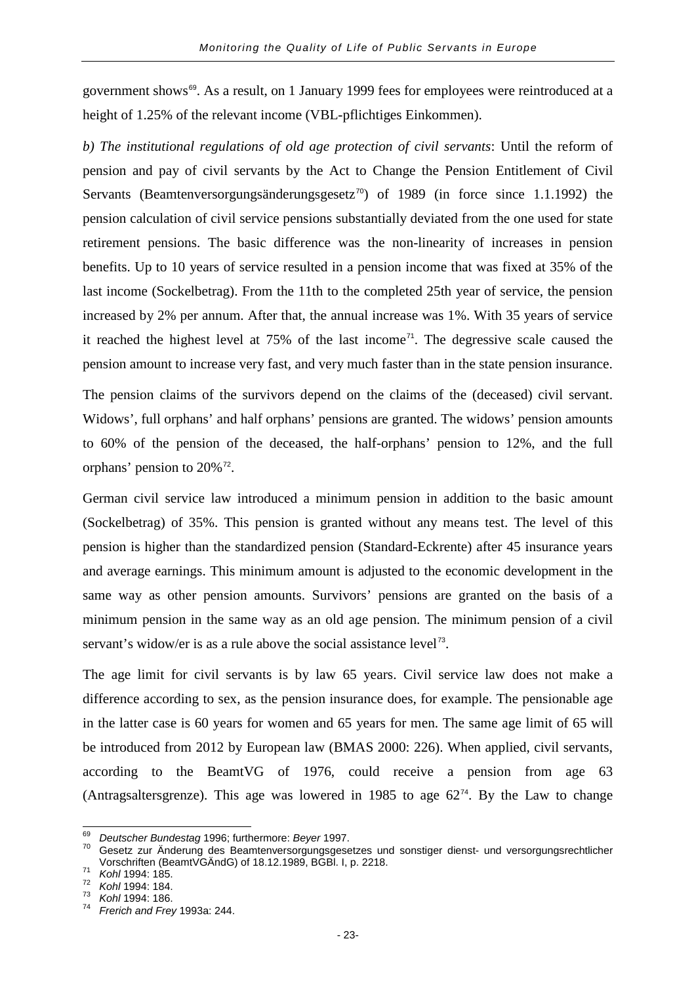government shows<sup>[69](#page-26-0)</sup>. As a result, on 1 January 1999 fees for employees were reintroduced at a height of 1.25% of the relevant income (VBL-pflichtiges Einkommen).

*b) The institutional regulations of old age protection of civil servants*: Until the reform of pension and pay of civil servants by the Act to Change the Pension Entitlement of Civil Servants (Beamtenversorgungsänderungsgesetz<sup>[70](#page-26-1)</sup>) of 1989 (in force since 1.1.1992) the pension calculation of civil service pensions substantially deviated from the one used for state retirement pensions. The basic difference was the non-linearity of increases in pension benefits. Up to 10 years of service resulted in a pension income that was fixed at 35% of the last income (Sockelbetrag). From the 11th to the completed 25th year of service, the pension increased by 2% per annum. After that, the annual increase was 1%. With 35 years of service it reached the highest level at  $75\%$  of the last income<sup> $71$ </sup>. The degressive scale caused the pension amount to increase very fast, and very much faster than in the state pension insurance.

The pension claims of the survivors depend on the claims of the (deceased) civil servant. Widows', full orphans' and half orphans' pensions are granted. The widows' pension amounts to 60% of the pension of the deceased, the half-orphans' pension to 12%, and the full orphans' pension to  $20\%$ <sup>[72](#page-26-3)</sup>.

German civil service law introduced a minimum pension in addition to the basic amount (Sockelbetrag) of 35%. This pension is granted without any means test. The level of this pension is higher than the standardized pension (Standard-Eckrente) after 45 insurance years and average earnings. This minimum amount is adjusted to the economic development in the same way as other pension amounts. Survivors' pensions are granted on the basis of a minimum pension in the same way as an old age pension. The minimum pension of a civil servant's widow/er is as a rule above the social assistance level<sup>[73](#page-26-4)</sup>.

The age limit for civil servants is by law 65 years. Civil service law does not make a difference according to sex, as the pension insurance does, for example. The pensionable age in the latter case is 60 years for women and 65 years for men. The same age limit of 65 will be introduced from 2012 by European law (BMAS 2000: 226). When applied, civil servants, according to the BeamtVG of 1976, could receive a pension from age 63 (Antragsaltersgrenze). This age was lowered in 1985 to age  $62<sup>74</sup>$  $62<sup>74</sup>$  $62<sup>74</sup>$ . By the Law to change

<span id="page-26-1"></span><span id="page-26-0"></span><sup>&</sup>lt;sup>69</sup> *Deutscher Bundestag* 1996; furthermore: *Beyer* 1997.<br><sup>70</sup> Gesetz zur Änderung des Beamtenversorgungsgesetzes und sonstiger dienst- und versorgungsrechtlicher Vorschriften (BeamtVGÄndG) of 18.12.1989, BGBl. I, p. 2218. <sup>71</sup> *Kohl* 1994: 185. <sup>72</sup> *Kohl* 1994: 184. <sup>73</sup> *Kohl* 1994: 186. <sup>74</sup> *Frerich and Frey* 1993a: 244.

<span id="page-26-2"></span>

<span id="page-26-4"></span><span id="page-26-3"></span>

<span id="page-26-5"></span>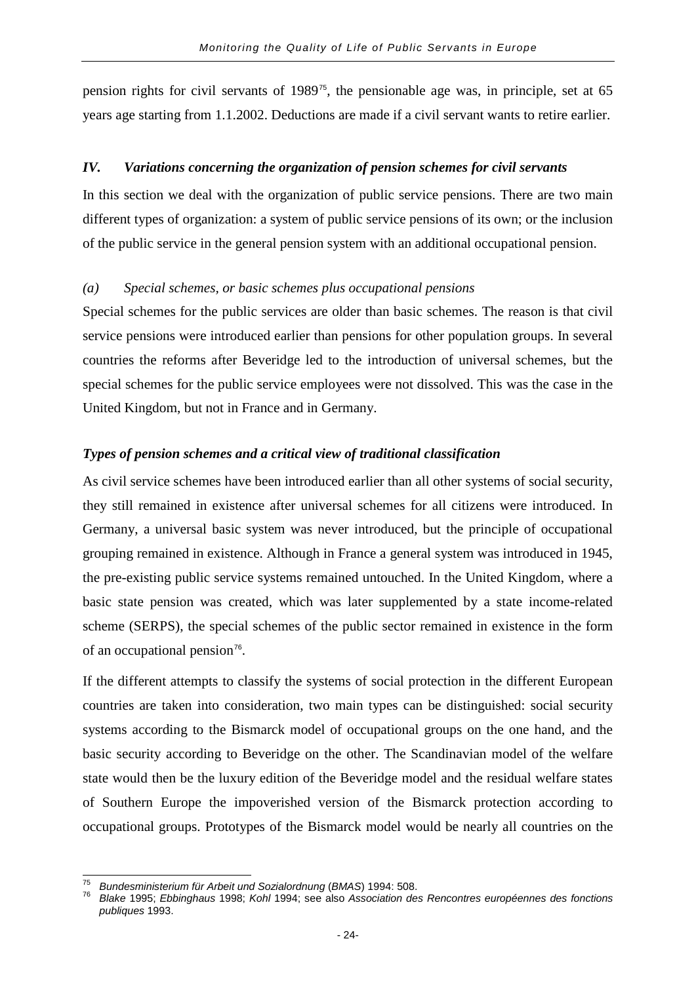pension rights for civil servants of 1989[75](#page-27-0), the pensionable age was, in principle, set at 65 years age starting from 1.1.2002. Deductions are made if a civil servant wants to retire earlier.

#### *IV. Variations concerning the organization of pension schemes for civil servants*

In this section we deal with the organization of public service pensions. There are two main different types of organization: a system of public service pensions of its own; or the inclusion of the public service in the general pension system with an additional occupational pension.

#### *(a) Special schemes, or basic schemes plus occupational pensions*

Special schemes for the public services are older than basic schemes. The reason is that civil service pensions were introduced earlier than pensions for other population groups. In several countries the reforms after Beveridge led to the introduction of universal schemes, but the special schemes for the public service employees were not dissolved. This was the case in the United Kingdom, but not in France and in Germany.

#### *Types of pension schemes and a critical view of traditional classification*

As civil service schemes have been introduced earlier than all other systems of social security, they still remained in existence after universal schemes for all citizens were introduced. In Germany, a universal basic system was never introduced, but the principle of occupational grouping remained in existence. Although in France a general system was introduced in 1945, the pre-existing public service systems remained untouched. In the United Kingdom, where a basic state pension was created, which was later supplemented by a state income-related scheme (SERPS), the special schemes of the public sector remained in existence in the form of an occupational pension<sup>[76](#page-27-1)</sup>.

If the different attempts to classify the systems of social protection in the different European countries are taken into consideration, two main types can be distinguished: social security systems according to the Bismarck model of occupational groups on the one hand, and the basic security according to Beveridge on the other. The Scandinavian model of the welfare state would then be the luxury edition of the Beveridge model and the residual welfare states of Southern Europe the impoverished version of the Bismarck protection according to occupational groups. Prototypes of the Bismarck model would be nearly all countries on the

<span id="page-27-1"></span>

<span id="page-27-0"></span><sup>&</sup>lt;sup>75</sup> Bundesministerium für Arbeit und Sozialordnung (BMAS) 1994: 508.<br><sup>76</sup> Blake 1995; Ebbinghaus 1998; Kohl 1994; see also Association des Rencontres européennes des fonctions *publiques* 1993.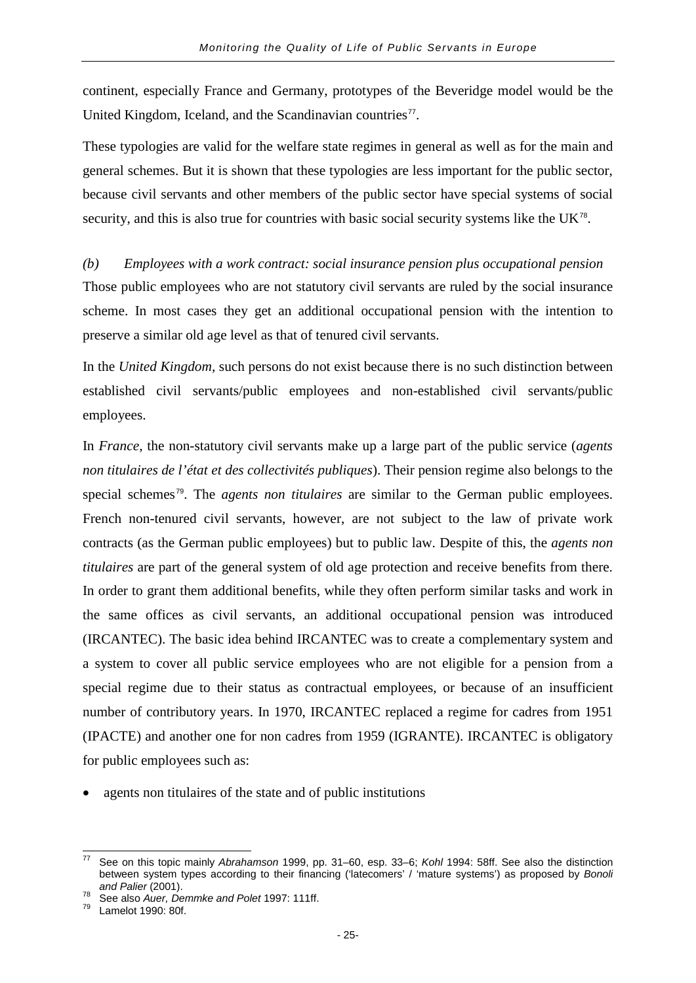continent, especially France and Germany, prototypes of the Beveridge model would be the United Kingdom, Iceland, and the Scandinavian countries $<sup>77</sup>$  $<sup>77</sup>$  $<sup>77</sup>$ .</sup>

These typologies are valid for the welfare state regimes in general as well as for the main and general schemes. But it is shown that these typologies are less important for the public sector, because civil servants and other members of the public sector have special systems of social security, and this is also true for countries with basic social security systems like the UK<sup>[78](#page-28-1)</sup>.

#### *(b) Employees with a work contract: social insurance pension plus occupational pension*

Those public employees who are not statutory civil servants are ruled by the social insurance scheme. In most cases they get an additional occupational pension with the intention to preserve a similar old age level as that of tenured civil servants.

In the *United Kingdom,* such persons do not exist because there is no such distinction between established civil servants/public employees and non-established civil servants/public employees.

In *France*, the non-statutory civil servants make up a large part of the public service (*agents non titulaires de l'état et des collectivités publiques*). Their pension regime also belongs to the special schemes[79](#page-28-2). The *agents non titulaires* are similar to the German public employees. French non-tenured civil servants, however, are not subject to the law of private work contracts (as the German public employees) but to public law. Despite of this, the *agents non titulaires* are part of the general system of old age protection and receive benefits from there. In order to grant them additional benefits, while they often perform similar tasks and work in the same offices as civil servants, an additional occupational pension was introduced (IRCANTEC). The basic idea behind IRCANTEC was to create a complementary system and a system to cover all public service employees who are not eligible for a pension from a special regime due to their status as contractual employees, or because of an insufficient number of contributory years. In 1970, IRCANTEC replaced a regime for cadres from 1951 (IPACTE) and another one for non cadres from 1959 (IGRANTE). IRCANTEC is obligatory for public employees such as:

agents non titulaires of the state and of public institutions

<span id="page-28-0"></span><sup>77</sup> See on this topic mainly *Abrahamson* 1999, pp. 31–60, esp. 33–6; *Kohl* 1994: 58ff. See also the distinction between system types according to their financing ('latecomers' / 'mature systems') as proposed by *Bonoli* 

<span id="page-28-1"></span>See also *Auer, Demmke and Polet* 1997: 111ff.<br>Lamelot 1990: 80f.

<span id="page-28-2"></span>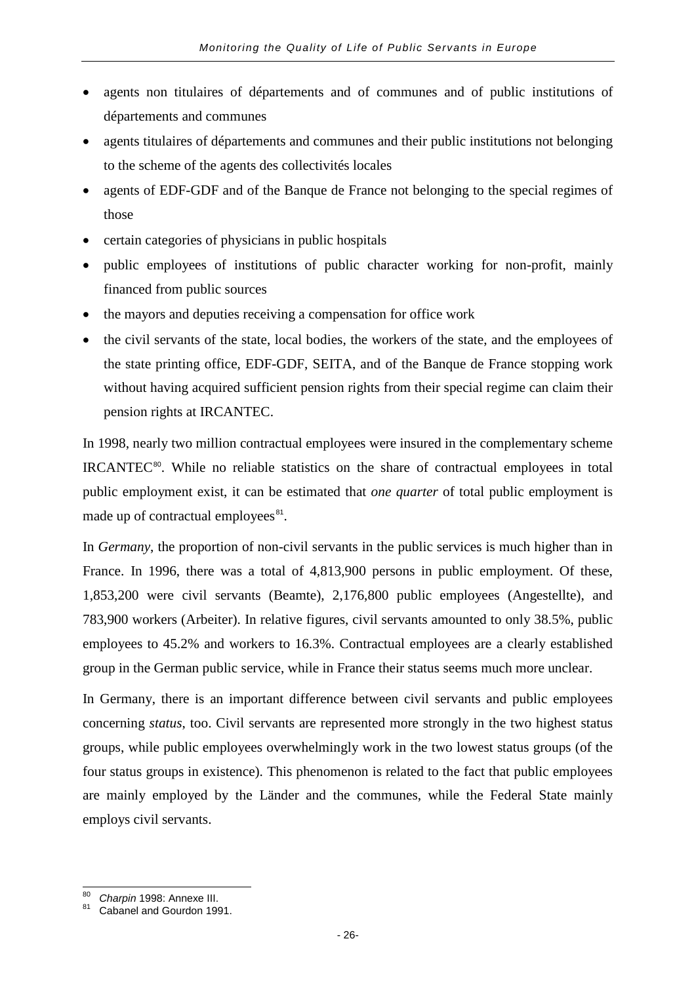- agents non titulaires of départements and of communes and of public institutions of départements and communes
- agents titulaires of départements and communes and their public institutions not belonging to the scheme of the agents des collectivités locales
- agents of EDF-GDF and of the Banque de France not belonging to the special regimes of those
- certain categories of physicians in public hospitals
- public employees of institutions of public character working for non-profit, mainly financed from public sources
- the mayors and deputies receiving a compensation for office work
- the civil servants of the state, local bodies, the workers of the state, and the employees of the state printing office, EDF-GDF, SEITA, and of the Banque de France stopping work without having acquired sufficient pension rights from their special regime can claim their pension rights at IRCANTEC.

In 1998, nearly two million contractual employees were insured in the complementary scheme IRCANTEC<sup>[80](#page-29-0)</sup>. While no reliable statistics on the share of contractual employees in total public employment exist, it can be estimated that *one quarter* of total public employment is made up of contractual employees $^{81}$  $^{81}$  $^{81}$ .

In *Germany*, the proportion of non-civil servants in the public services is much higher than in France. In 1996, there was a total of 4,813,900 persons in public employment. Of these, 1,853,200 were civil servants (Beamte), 2,176,800 public employees (Angestellte), and 783,900 workers (Arbeiter). In relative figures, civil servants amounted to only 38.5%, public employees to 45.2% and workers to 16.3%. Contractual employees are a clearly established group in the German public service, while in France their status seems much more unclear.

In Germany, there is an important difference between civil servants and public employees concerning *status*, too. Civil servants are represented more strongly in the two highest status groups, while public employees overwhelmingly work in the two lowest status groups (of the four status groups in existence). This phenomenon is related to the fact that public employees are mainly employed by the Länder and the communes, while the Federal State mainly employs civil servants.

<span id="page-29-0"></span>Charpin 1998: Annexe III.<br>Cabanel and Gourdon 1991.

<span id="page-29-1"></span>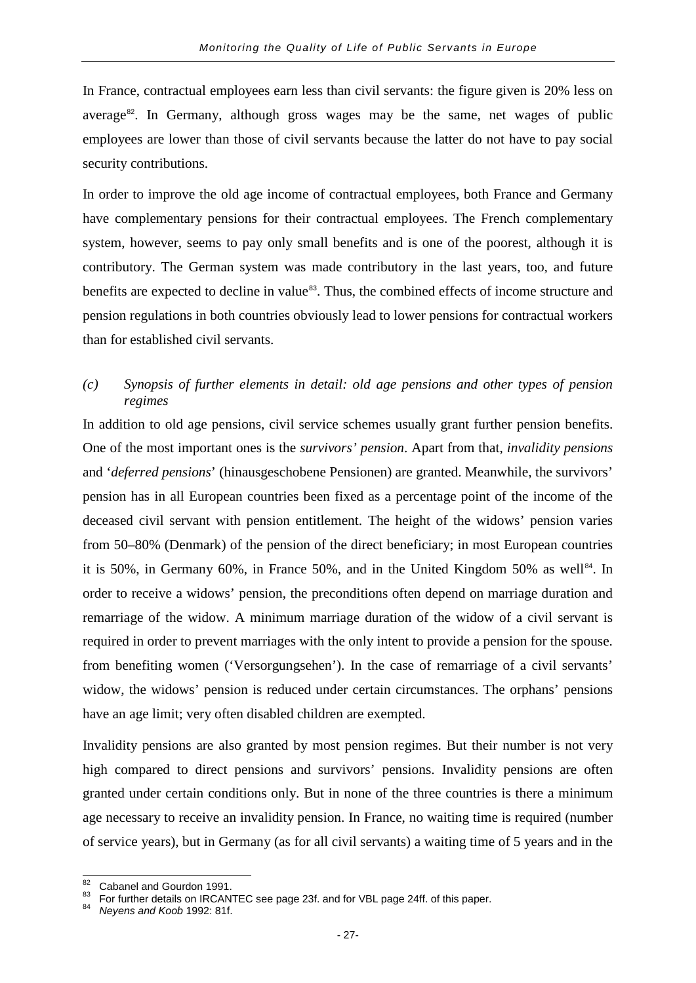In France, contractual employees earn less than civil servants: the figure given is 20% less on average<sup>[82](#page-30-0)</sup>. In Germany, although gross wages may be the same, net wages of public employees are lower than those of civil servants because the latter do not have to pay social security contributions.

In order to improve the old age income of contractual employees, both France and Germany have complementary pensions for their contractual employees. The French complementary system, however, seems to pay only small benefits and is one of the poorest, although it is contributory. The German system was made contributory in the last years, too, and future benefits are expected to decline in value<sup>[83](#page-30-1)</sup>. Thus, the combined effects of income structure and pension regulations in both countries obviously lead to lower pensions for contractual workers than for established civil servants.

#### *(c) Synopsis of further elements in detail: old age pensions and other types of pension regimes*

In addition to old age pensions, civil service schemes usually grant further pension benefits. One of the most important ones is the *survivors' pension*. Apart from that, *invalidity pensions* and '*deferred pensions*' (hinausgeschobene Pensionen) are granted. Meanwhile, the survivors' pension has in all European countries been fixed as a percentage point of the income of the deceased civil servant with pension entitlement. The height of the widows' pension varies from 50–80% (Denmark) of the pension of the direct beneficiary; in most European countries it is 50%, in Germany 60%, in France 50%, and in the United Kingdom 50% as well<sup>[84](#page-30-2)</sup>. In order to receive a widows' pension, the preconditions often depend on marriage duration and remarriage of the widow. A minimum marriage duration of the widow of a civil servant is required in order to prevent marriages with the only intent to provide a pension for the spouse. from benefiting women ('Versorgungsehen'). In the case of remarriage of a civil servants' widow, the widows' pension is reduced under certain circumstances. The orphans' pensions have an age limit; very often disabled children are exempted.

Invalidity pensions are also granted by most pension regimes. But their number is not very high compared to direct pensions and survivors' pensions. Invalidity pensions are often granted under certain conditions only. But in none of the three countries is there a minimum age necessary to receive an invalidity pension. In France, no waiting time is required (number of service years), but in Germany (as for all civil servants) a waiting time of 5 years and in the

<span id="page-30-1"></span><span id="page-30-0"></span><sup>&</sup>lt;sup>82</sup> Cabanel and Gourdon 1991.<br><sup>83</sup> For further details on IRCANTEC see page 23f. and for VBL page 24ff. of this paper.<br><sup>84</sup> *Neyens and Koob* 1992: 81f.

<span id="page-30-2"></span>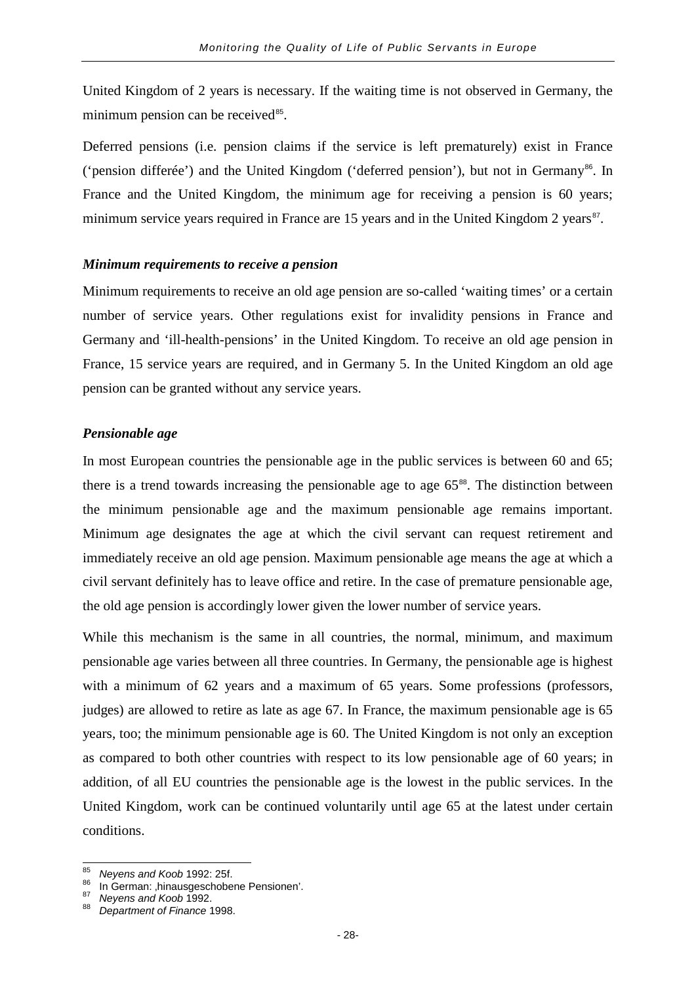United Kingdom of 2 years is necessary. If the waiting time is not observed in Germany, the minimum pension can be received $85$ .

Deferred pensions (i.e. pension claims if the service is left prematurely) exist in France ('pension differée') and the United Kingdom ('deferred pension'), but not in Germany<sup>[86](#page-31-1)</sup>. In France and the United Kingdom, the minimum age for receiving a pension is 60 years; minimum service years required in France are 15 years and in the United Kingdom 2 years $87$ .

#### *Minimum requirements to receive a pension*

Minimum requirements to receive an old age pension are so-called 'waiting times' or a certain number of service years. Other regulations exist for invalidity pensions in France and Germany and 'ill-health-pensions' in the United Kingdom. To receive an old age pension in France, 15 service years are required, and in Germany 5. In the United Kingdom an old age pension can be granted without any service years.

#### *Pensionable age*

In most European countries the pensionable age in the public services is between 60 and 65; there is a trend towards increasing the pensionable age to age  $65<sup>88</sup>$  $65<sup>88</sup>$  $65<sup>88</sup>$ . The distinction between the minimum pensionable age and the maximum pensionable age remains important. Minimum age designates the age at which the civil servant can request retirement and immediately receive an old age pension. Maximum pensionable age means the age at which a civil servant definitely has to leave office and retire. In the case of premature pensionable age, the old age pension is accordingly lower given the lower number of service years.

While this mechanism is the same in all countries, the normal, minimum, and maximum pensionable age varies between all three countries. In Germany, the pensionable age is highest with a minimum of 62 years and a maximum of 65 years. Some professions (professors, judges) are allowed to retire as late as age 67. In France, the maximum pensionable age is 65 years, too; the minimum pensionable age is 60. The United Kingdom is not only an exception as compared to both other countries with respect to its low pensionable age of 60 years; in addition, of all EU countries the pensionable age is the lowest in the public services. In the United Kingdom, work can be continued voluntarily until age 65 at the latest under certain conditions.

<span id="page-31-1"></span><span id="page-31-0"></span><sup>&</sup>lt;sup>85</sup> *Neyens and Koob* 1992: 25f.<br><sup>86</sup> In German: <sub>'</sub>hinausgeschobene Pensionen'.<br><sup>87</sup> *Neyens and Koob* 1992.<br><sup>88</sup> *Department of Finance* 1998.

<span id="page-31-3"></span><span id="page-31-2"></span>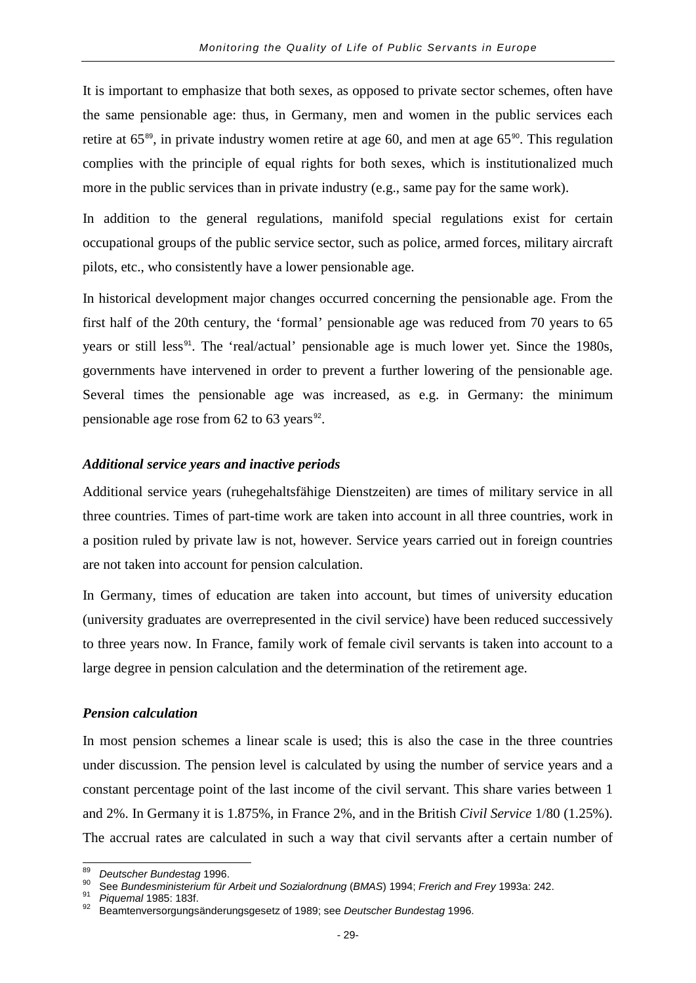It is important to emphasize that both sexes, as opposed to private sector schemes, often have the same pensionable age: thus, in Germany, men and women in the public services each retire at  $65^{\text{89}}$  $65^{\text{89}}$  $65^{\text{89}}$ , in private industry women retire at age 60, and men at age  $65^{\text{90}}$  $65^{\text{90}}$  $65^{\text{90}}$ . This regulation complies with the principle of equal rights for both sexes, which is institutionalized much more in the public services than in private industry (e.g., same pay for the same work).

In addition to the general regulations, manifold special regulations exist for certain occupational groups of the public service sector, such as police, armed forces, military aircraft pilots, etc., who consistently have a lower pensionable age.

In historical development major changes occurred concerning the pensionable age. From the first half of the 20th century, the 'formal' pensionable age was reduced from 70 years to 65 years or still less<sup>[91](#page-32-2)</sup>. The 'real/actual' pensionable age is much lower yet. Since the 1980s, governments have intervened in order to prevent a further lowering of the pensionable age. Several times the pensionable age was increased, as e.g. in Germany: the minimum pensionable age rose from  $62$  to  $63$  years<sup>[92](#page-32-3)</sup>.

#### *Additional service years and inactive periods*

Additional service years (ruhegehaltsfähige Dienstzeiten) are times of military service in all three countries. Times of part-time work are taken into account in all three countries, work in a position ruled by private law is not, however. Service years carried out in foreign countries are not taken into account for pension calculation.

In Germany, times of education are taken into account, but times of university education (university graduates are overrepresented in the civil service) have been reduced successively to three years now. In France, family work of female civil servants is taken into account to a large degree in pension calculation and the determination of the retirement age.

#### *Pension calculation*

In most pension schemes a linear scale is used; this is also the case in the three countries under discussion. The pension level is calculated by using the number of service years and a constant percentage point of the last income of the civil servant. This share varies between 1 and 2%. In Germany it is 1.875%, in France 2%, and in the British *Civil Service* 1/80 (1.25%). The accrual rates are calculated in such a way that civil servants after a certain number of

<span id="page-32-1"></span><span id="page-32-0"></span><sup>&</sup>lt;sup>89</sup> Deutscher Bundestag 1996.<br><sup>90</sup> See Bundesministerium für Arbeit und Sozialordnung (BMAS) 1994; Frerich and Frey 1993a: 242.<br><sup>91</sup> Piquemal 1985: 183f.<br><sup>92</sup> Beamtenversorgungsänderungsgesetz of 1989; see Deutscher Bund

<span id="page-32-2"></span>

<span id="page-32-3"></span>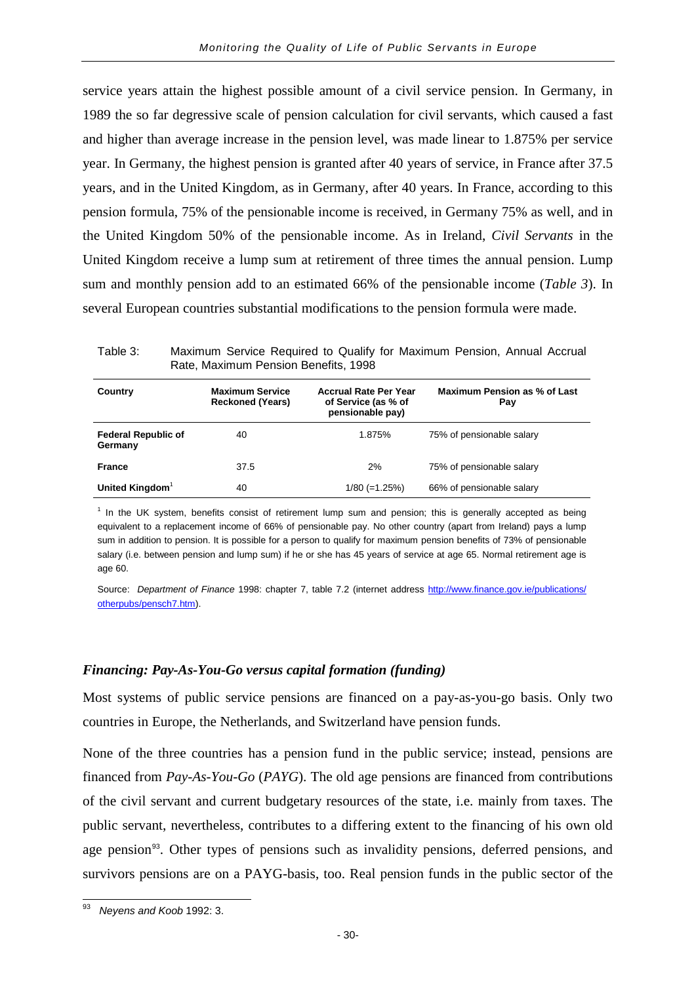service years attain the highest possible amount of a civil service pension. In Germany, in 1989 the so far degressive scale of pension calculation for civil servants, which caused a fast and higher than average increase in the pension level, was made linear to 1.875% per service year. In Germany, the highest pension is granted after 40 years of service, in France after 37.5 years, and in the United Kingdom, as in Germany, after 40 years. In France, according to this pension formula, 75% of the pensionable income is received, in Germany 75% as well, and in the United Kingdom 50% of the pensionable income. As in Ireland, *Civil Servants* in the United Kingdom receive a lump sum at retirement of three times the annual pension. Lump sum and monthly pension add to an estimated 66% of the pensionable income (*Table 3*). In several European countries substantial modifications to the pension formula were made.

Table 3: Maximum Service Required to Qualify for Maximum Pension, Annual Accrual Rate, Maximum Pension Benefits, 1998

| Country                               | <b>Maximum Service</b><br><b>Reckoned (Years)</b> | <b>Accrual Rate Per Year</b><br>of Service (as % of<br>pensionable pay) | Maximum Pension as % of Last<br>Pay |
|---------------------------------------|---------------------------------------------------|-------------------------------------------------------------------------|-------------------------------------|
| <b>Federal Republic of</b><br>Germany | 40                                                | 1.875%                                                                  | 75% of pensionable salary           |
| <b>France</b>                         | 37.5                                              | 2%                                                                      | 75% of pensionable salary           |
| United Kingdom <sup>1</sup>           | 40                                                | $1/80 (=1.25%)$                                                         | 66% of pensionable salary           |

 $<sup>1</sup>$  In the UK system, benefits consist of retirement lump sum and pension; this is generally accepted as being</sup> equivalent to a replacement income of 66% of pensionable pay. No other country (apart from Ireland) pays a lump sum in addition to pension. It is possible for a person to qualify for maximum pension benefits of 73% of pensionable salary (i.e. between pension and lump sum) if he or she has 45 years of service at age 65. Normal retirement age is age 60.

Source: *Department of Finance* 1998: chapter 7, table 7.2 (internet address [http://www.finance.gov.ie/publications/](http://www.finance.gov.ie/publications/%20otherpubs/pensch7.htm)  [otherpubs/pensch7.htm\)](http://www.finance.gov.ie/publications/%20otherpubs/pensch7.htm).

#### *Financing: Pay-As-You-Go versus capital formation (funding)*

Most systems of public service pensions are financed on a pay-as-you-go basis. Only two countries in Europe, the Netherlands, and Switzerland have pension funds.

None of the three countries has a pension fund in the public service; instead, pensions are financed from *Pay-As-You-Go* (*PAYG*). The old age pensions are financed from contributions of the civil servant and current budgetary resources of the state, i.e. mainly from taxes. The public servant, nevertheless, contributes to a differing extent to the financing of his own old age pension<sup>[93](#page-33-0)</sup>. Other types of pensions such as invalidity pensions, deferred pensions, and survivors pensions are on a PAYG-basis, too. Real pension funds in the public sector of the

<span id="page-33-0"></span> $\overline{\overset{93}{}}$  *Neyens and Koob* 1992: 3.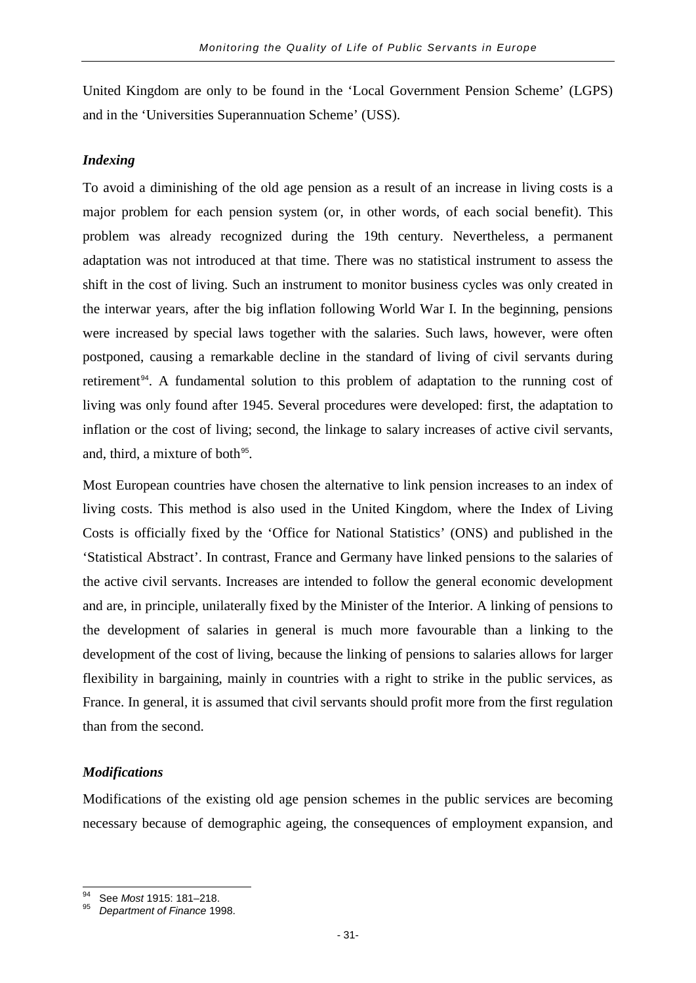United Kingdom are only to be found in the 'Local Government Pension Scheme' (LGPS) and in the 'Universities Superannuation Scheme' (USS).

#### *Indexing*

To avoid a diminishing of the old age pension as a result of an increase in living costs is a major problem for each pension system (or, in other words, of each social benefit). This problem was already recognized during the 19th century. Nevertheless, a permanent adaptation was not introduced at that time. There was no statistical instrument to assess the shift in the cost of living. Such an instrument to monitor business cycles was only created in the interwar years, after the big inflation following World War I. In the beginning, pensions were increased by special laws together with the salaries. Such laws, however, were often postponed, causing a remarkable decline in the standard of living of civil servants during retirement<sup>[94](#page-34-0)</sup>. A fundamental solution to this problem of adaptation to the running cost of living was only found after 1945. Several procedures were developed: first, the adaptation to inflation or the cost of living; second, the linkage to salary increases of active civil servants, and, third, a mixture of both<sup>[95](#page-34-1)</sup>.

Most European countries have chosen the alternative to link pension increases to an index of living costs. This method is also used in the United Kingdom, where the Index of Living Costs is officially fixed by the 'Office for National Statistics' (ONS) and published in the 'Statistical Abstract'. In contrast, France and Germany have linked pensions to the salaries of the active civil servants. Increases are intended to follow the general economic development and are, in principle, unilaterally fixed by the Minister of the Interior. A linking of pensions to the development of salaries in general is much more favourable than a linking to the development of the cost of living, because the linking of pensions to salaries allows for larger flexibility in bargaining, mainly in countries with a right to strike in the public services, as France. In general, it is assumed that civil servants should profit more from the first regulation than from the second.

#### *Modifications*

Modifications of the existing old age pension schemes in the public services are becoming necessary because of demographic ageing, the consequences of employment expansion, and

<span id="page-34-0"></span><sup>94</sup> See *Most* 1915: 181–218. <sup>95</sup> *Department of Finance* 1998.

<span id="page-34-1"></span>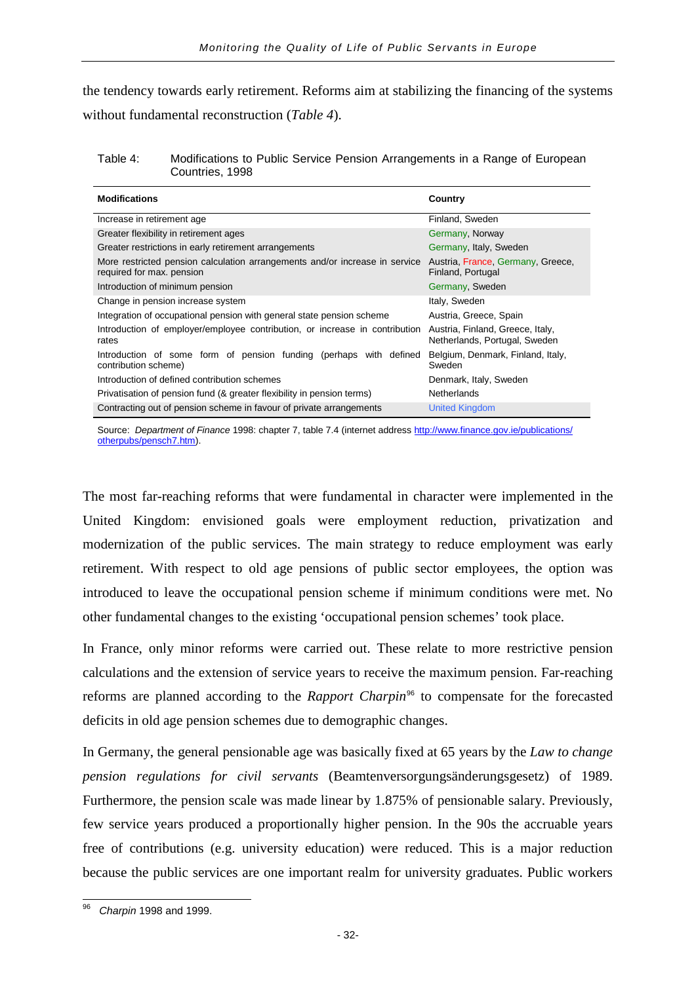the tendency towards early retirement. Reforms aim at stabilizing the financing of the systems without fundamental reconstruction (*Table 4*).

#### Table 4: Modifications to Public Service Pension Arrangements in a Range of European Countries, 1998

| <b>Modifications</b>                                                                                     | Country                                                           |  |
|----------------------------------------------------------------------------------------------------------|-------------------------------------------------------------------|--|
| Increase in retirement age                                                                               | Finland, Sweden                                                   |  |
| Greater flexibility in retirement ages                                                                   | Germany, Norway                                                   |  |
| Greater restrictions in early retirement arrangements                                                    | Germany, Italy, Sweden                                            |  |
| More restricted pension calculation arrangements and/or increase in service<br>required for max. pension | Austria, France, Germany, Greece,<br>Finland, Portugal            |  |
| Introduction of minimum pension                                                                          | Germany, Sweden                                                   |  |
| Change in pension increase system                                                                        | Italy, Sweden                                                     |  |
| Integration of occupational pension with general state pension scheme                                    | Austria, Greece, Spain                                            |  |
| Introduction of employer/employee contribution, or increase in contribution<br>rates                     | Austria, Finland, Greece, Italy,<br>Netherlands, Portugal, Sweden |  |
| Introduction of some form of pension funding (perhaps with defined<br>contribution scheme)               | Belgium, Denmark, Finland, Italy,<br>Sweden                       |  |
| Introduction of defined contribution schemes                                                             | Denmark, Italy, Sweden                                            |  |
| Privatisation of pension fund (& greater flexibility in pension terms)                                   | Netherlands                                                       |  |
| Contracting out of pension scheme in favour of private arrangements                                      | <b>United Kingdom</b>                                             |  |

Source: *Department of Finance* 1998: chapter 7, table 7.4 (internet addres[s http://www.finance.gov.ie/publications/](http://www.finance.gov.ie/publications/%20otherpubs/pensch7.htm)  [otherpubs/pensch7.htm\)](http://www.finance.gov.ie/publications/%20otherpubs/pensch7.htm).

The most far-reaching reforms that were fundamental in character were implemented in the United Kingdom: envisioned goals were employment reduction, privatization and modernization of the public services. The main strategy to reduce employment was early retirement. With respect to old age pensions of public sector employees, the option was introduced to leave the occupational pension scheme if minimum conditions were met. No other fundamental changes to the existing 'occupational pension schemes' took place.

In France, only minor reforms were carried out. These relate to more restrictive pension calculations and the extension of service years to receive the maximum pension. Far-reaching reforms are planned according to the *Rapport Charpin*[96](#page-35-0) to compensate for the forecasted deficits in old age pension schemes due to demographic changes.

In Germany, the general pensionable age was basically fixed at 65 years by the *Law to change pension regulations for civil servants* (Beamtenversorgungsänderungsgesetz) of 1989. Furthermore, the pension scale was made linear by 1.875% of pensionable salary. Previously, few service years produced a proportionally higher pension. In the 90s the accruable years free of contributions (e.g. university education) were reduced. This is a major reduction because the public services are one important realm for university graduates. Public workers

<span id="page-35-0"></span><sup>96</sup> *Charpin* 1998 and 1999.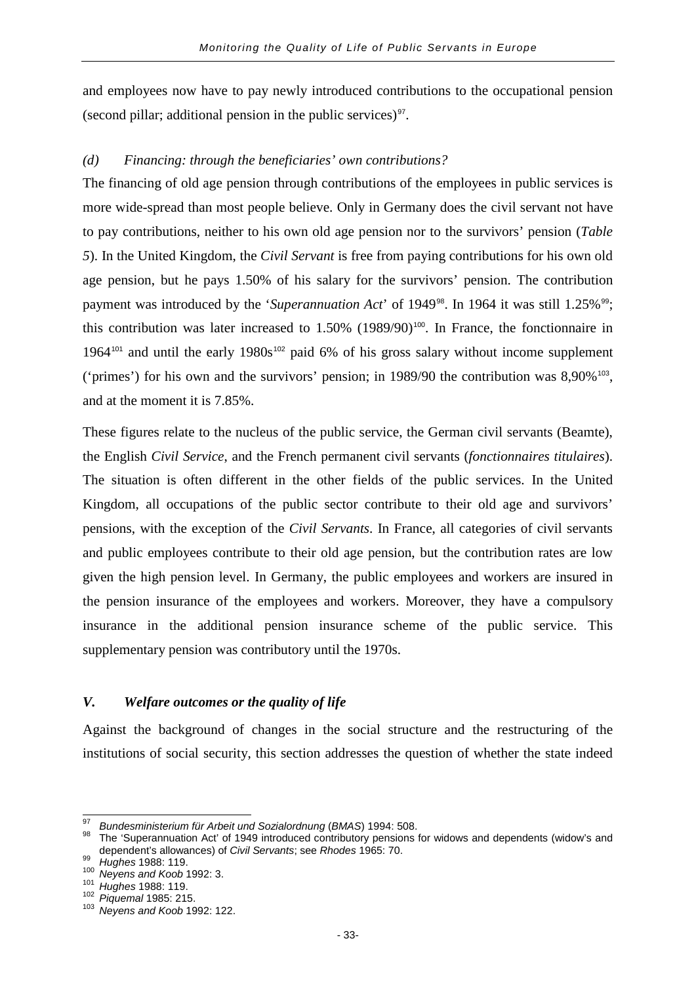and employees now have to pay newly introduced contributions to the occupational pension (second pillar; additional pension in the public services) $\frac{97}{10}$  $\frac{97}{10}$  $\frac{97}{10}$ .

## *(d) Financing: through the beneficiaries' own contributions?*

The financing of old age pension through contributions of the employees in public services is more wide-spread than most people believe. Only in Germany does the civil servant not have to pay contributions, neither to his own old age pension nor to the survivors' pension (*Table 5*). In the United Kingdom, the *Civil Servant* is free from paying contributions for his own old age pension, but he pays 1.50% of his salary for the survivors' pension. The contribution payment was introduced by the '*Superannuation Act*' of 1949<sup>[98](#page-36-1)</sup>. In 1964 it was still 1.25%<sup>[99](#page-36-2)</sup>; this contribution was later increased to  $1.50\%$  (1989/90)<sup>[100](#page-36-3)</sup>. In France, the fonctionnaire in 1964<sup>[101](#page-36-4)</sup> and until the early 1980s<sup>[102](#page-36-5)</sup> paid 6% of his gross salary without income supplement ('primes') for his own and the survivors' pension; in 1989/90 the contribution was  $8,90\%$ <sup>[103](#page-36-6)</sup>, and at the moment it is 7.85%.

These figures relate to the nucleus of the public service, the German civil servants (Beamte), the English *Civil Service*, and the French permanent civil servants (*fonctionnaires titulaires*). The situation is often different in the other fields of the public services. In the United Kingdom, all occupations of the public sector contribute to their old age and survivors' pensions, with the exception of the *Civil Servants*. In France, all categories of civil servants and public employees contribute to their old age pension, but the contribution rates are low given the high pension level. In Germany, the public employees and workers are insured in the pension insurance of the employees and workers. Moreover, they have a compulsory insurance in the additional pension insurance scheme of the public service. This supplementary pension was contributory until the 1970s.

## *V. Welfare outcomes or the quality of life*

Against the background of changes in the social structure and the restructuring of the institutions of social security, this section addresses the question of whether the state indeed

<span id="page-36-1"></span><span id="page-36-0"></span><sup>&</sup>lt;sup>97</sup> *Bundesministerium für Arbeit und Sozialordnung (BMAS*) 1994: 508.<br><sup>98</sup> The 'Superannuation Act' of 1949 introduced contributory pensions for widows and dependents (widow's and dependent's allowances) of *Civil Servants*; see *Rhodes* 1965: 70.<br><sup>99</sup> Hughes 1988: 119.<br><sup>100</sup> Neyens and *Koob* 1992: 3.<br><sup>101</sup> Hughes 1988: 119.<br><sup>102</sup> Piquemal 1985: 215.<br><sup>102</sup> Piquemal 1985: 215.

<span id="page-36-4"></span><span id="page-36-3"></span><span id="page-36-2"></span>

<span id="page-36-5"></span>

<span id="page-36-6"></span>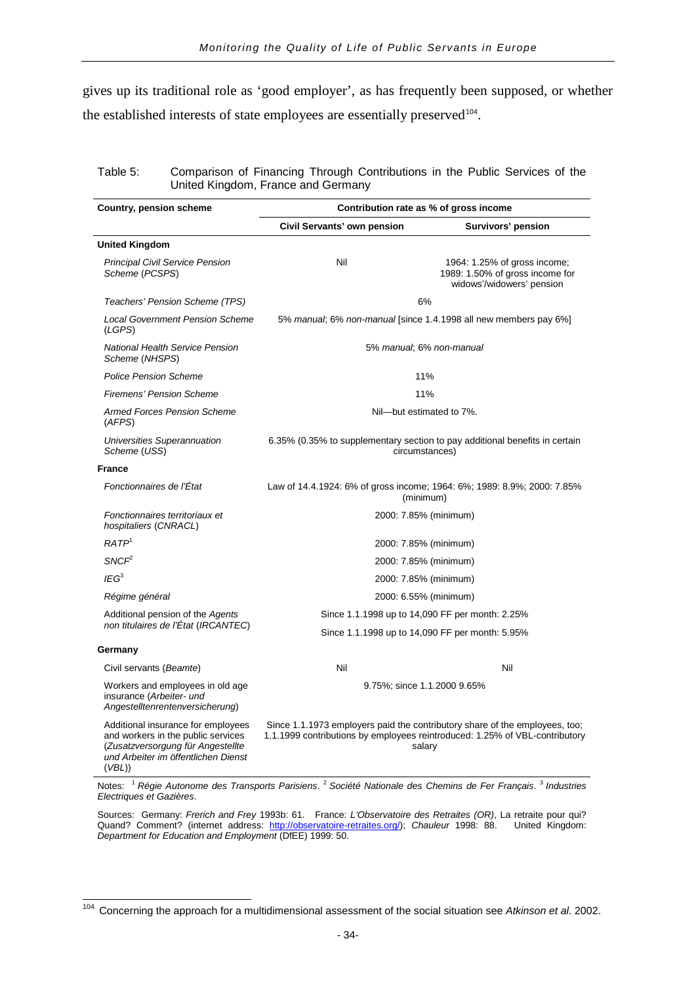gives up its traditional role as 'good employer', as has frequently been supposed, or whether the established interests of state employees are essentially preserved<sup>[104](#page-37-0)</sup>.

| Table 5: | Comparison of Financing Through Contributions in the Public Services of the |
|----------|-----------------------------------------------------------------------------|
|          | United Kingdom, France and Germany                                          |

| <b>Country, pension scheme</b>                                                                                                                                | Contribution rate as % of gross income                                                                                                                               |                                                                                              |  |  |  |  |
|---------------------------------------------------------------------------------------------------------------------------------------------------------------|----------------------------------------------------------------------------------------------------------------------------------------------------------------------|----------------------------------------------------------------------------------------------|--|--|--|--|
|                                                                                                                                                               | Civil Servants' own pension                                                                                                                                          | Survivors' pension                                                                           |  |  |  |  |
| <b>United Kingdom</b>                                                                                                                                         |                                                                                                                                                                      |                                                                                              |  |  |  |  |
| <b>Principal Civil Service Pension</b><br>Scheme (PCSPS)                                                                                                      | Nil                                                                                                                                                                  | 1964: 1.25% of gross income;<br>1989: 1.50% of gross income for<br>widows'/widowers' pension |  |  |  |  |
| Teachers' Pension Scheme (TPS)                                                                                                                                | 6%                                                                                                                                                                   |                                                                                              |  |  |  |  |
| <b>Local Government Pension Scheme</b><br>(LGPS)                                                                                                              | 5% manual; 6% non-manual [since 1.4.1998 all new members pay 6%]                                                                                                     |                                                                                              |  |  |  |  |
| <b>National Health Service Pension</b><br>Scheme (NHSPS)                                                                                                      | 5% manual; 6% non-manual                                                                                                                                             |                                                                                              |  |  |  |  |
| <b>Police Pension Scheme</b>                                                                                                                                  | 11%                                                                                                                                                                  |                                                                                              |  |  |  |  |
| Firemens' Pension Scheme                                                                                                                                      | 11%                                                                                                                                                                  |                                                                                              |  |  |  |  |
| <b>Armed Forces Pension Scheme</b><br>(AFFS)                                                                                                                  | Nil-but estimated to 7%.                                                                                                                                             |                                                                                              |  |  |  |  |
| Universities Superannuation<br>Scheme (USS)                                                                                                                   | 6.35% (0.35% to supplementary section to pay additional benefits in certain<br>circumstances)                                                                        |                                                                                              |  |  |  |  |
| <b>France</b>                                                                                                                                                 |                                                                                                                                                                      |                                                                                              |  |  |  |  |
| Fonctionnaires de l'État                                                                                                                                      | Law of 14.4.1924: 6% of gross income; 1964: 6%; 1989: 8.9%; 2000: 7.85%<br>(minimum)                                                                                 |                                                                                              |  |  |  |  |
| Fonctionnaires territoriaux et<br>hospitaliers (CNRACL)                                                                                                       | 2000: 7.85% (minimum)                                                                                                                                                |                                                                                              |  |  |  |  |
| RATP <sup>1</sup>                                                                                                                                             | 2000: 7.85% (minimum)                                                                                                                                                |                                                                                              |  |  |  |  |
| SNCF <sup>2</sup>                                                                                                                                             | 2000: 7.85% (minimum)                                                                                                                                                |                                                                                              |  |  |  |  |
| IEG <sup>3</sup>                                                                                                                                              | 2000: 7.85% (minimum)                                                                                                                                                |                                                                                              |  |  |  |  |
| Régime général                                                                                                                                                | 2000: 6.55% (minimum)                                                                                                                                                |                                                                                              |  |  |  |  |
| Additional pension of the Agents                                                                                                                              | Since 1.1.1998 up to 14,090 FF per month: 2.25%                                                                                                                      |                                                                                              |  |  |  |  |
| non titulaires de l'État (IRCANTEC)                                                                                                                           | Since 1.1.1998 up to 14,090 FF per month: 5.95%                                                                                                                      |                                                                                              |  |  |  |  |
| Germany                                                                                                                                                       |                                                                                                                                                                      |                                                                                              |  |  |  |  |
| Civil servants (Beamte)                                                                                                                                       | Nil                                                                                                                                                                  | Nil                                                                                          |  |  |  |  |
| Workers and employees in old age<br>insurance (Arbeiter- und<br>Angestelltenrentenversicherung)                                                               | 9.75%; since 1.1.2000 9.65%                                                                                                                                          |                                                                                              |  |  |  |  |
| Additional insurance for employees<br>and workers in the public services<br>(Zusatzversorgung für Angestellte<br>und Arbeiter im öffentlichen Dienst<br>(VBL) | Since 1.1.1973 employers paid the contributory share of the employees, too;<br>1.1.1999 contributions by employees reintroduced: 1.25% of VBL-contributory<br>salary |                                                                                              |  |  |  |  |

Notes: <sup>1</sup> *Régie Autonome des Transports Parisiens*. <sup>2</sup> *Société Nationale des Chemins de Fer Français*. <sup>3</sup> *Industries Electriques et Gazières*.

Sources: Germany: *Frerich and Frey* 1993b: 61. France: *L'Observatoire des Retraites (OR)*, La retraite pour qui? Quand? Comment? (internet address: [http://observatoire-retraites.org/\)](http://observatoire-retraites.org/); Chauleur 1998: 88. United Kingdom: *Department for Education and Employment* (DfEE) 1999: 50.

<span id="page-37-0"></span><sup>104</sup> Concerning the approach for a multidimensional assessment of the social situation see *Atkinson et al.* 2002.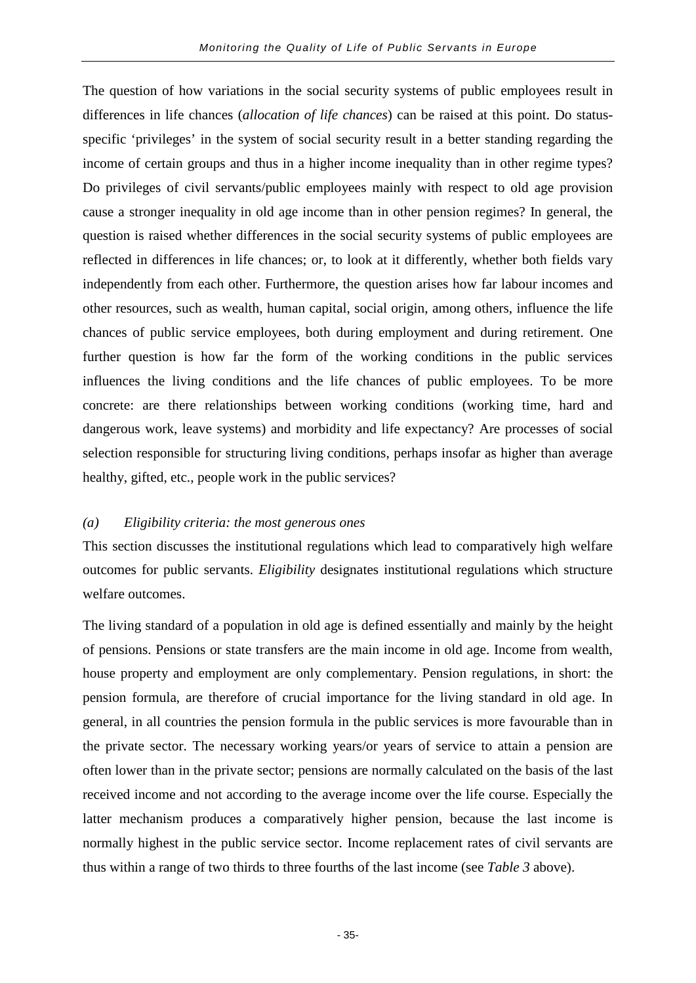The question of how variations in the social security systems of public employees result in differences in life chances (*allocation of life chances*) can be raised at this point. Do statusspecific 'privileges' in the system of social security result in a better standing regarding the income of certain groups and thus in a higher income inequality than in other regime types? Do privileges of civil servants/public employees mainly with respect to old age provision cause a stronger inequality in old age income than in other pension regimes? In general, the question is raised whether differences in the social security systems of public employees are reflected in differences in life chances; or, to look at it differently, whether both fields vary independently from each other. Furthermore, the question arises how far labour incomes and other resources, such as wealth, human capital, social origin, among others, influence the life chances of public service employees, both during employment and during retirement. One further question is how far the form of the working conditions in the public services influences the living conditions and the life chances of public employees. To be more concrete: are there relationships between working conditions (working time, hard and dangerous work, leave systems) and morbidity and life expectancy? Are processes of social selection responsible for structuring living conditions, perhaps insofar as higher than average healthy, gifted, etc., people work in the public services?

### *(a) Eligibility criteria: the most generous ones*

This section discusses the institutional regulations which lead to comparatively high welfare outcomes for public servants. *Eligibility* designates institutional regulations which structure welfare outcomes.

The living standard of a population in old age is defined essentially and mainly by the height of pensions. Pensions or state transfers are the main income in old age. Income from wealth, house property and employment are only complementary. Pension regulations, in short: the pension formula, are therefore of crucial importance for the living standard in old age. In general, in all countries the pension formula in the public services is more favourable than in the private sector. The necessary working years/or years of service to attain a pension are often lower than in the private sector; pensions are normally calculated on the basis of the last received income and not according to the average income over the life course. Especially the latter mechanism produces a comparatively higher pension, because the last income is normally highest in the public service sector. Income replacement rates of civil servants are thus within a range of two thirds to three fourths of the last income (see *Table 3* above).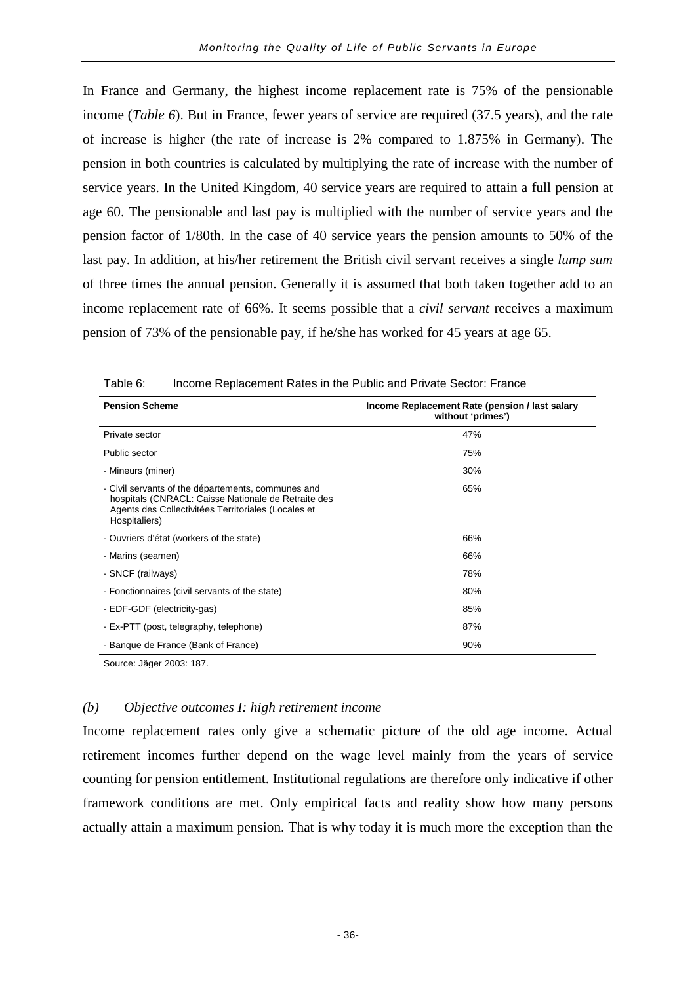In France and Germany, the highest income replacement rate is 75% of the pensionable income (*Table 6*). But in France, fewer years of service are required (37.5 years), and the rate of increase is higher (the rate of increase is 2% compared to 1.875% in Germany). The pension in both countries is calculated by multiplying the rate of increase with the number of service years. In the United Kingdom, 40 service years are required to attain a full pension at age 60. The pensionable and last pay is multiplied with the number of service years and the pension factor of 1/80th. In the case of 40 service years the pension amounts to 50% of the last pay. In addition, at his/her retirement the British civil servant receives a single *lump sum* of three times the annual pension. Generally it is assumed that both taken together add to an income replacement rate of 66%. It seems possible that a *civil servant* receives a maximum pension of 73% of the pensionable pay, if he/she has worked for 45 years at age 65.

| <b>Pension Scheme</b>                                                                                                                                                             | Income Replacement Rate (pension / last salary<br>without 'primes') |
|-----------------------------------------------------------------------------------------------------------------------------------------------------------------------------------|---------------------------------------------------------------------|
| Private sector                                                                                                                                                                    | 47%                                                                 |
| Public sector                                                                                                                                                                     | 75%                                                                 |
| - Mineurs (miner)                                                                                                                                                                 | 30%                                                                 |
| - Civil servants of the départements, communes and<br>hospitals (CNRACL: Caisse Nationale de Retraite des<br>Agents des Collectivitées Territoriales (Locales et<br>Hospitaliers) | 65%                                                                 |
| - Ouvriers d'état (workers of the state)                                                                                                                                          | 66%                                                                 |
| - Marins (seamen)                                                                                                                                                                 | 66%                                                                 |
| - SNCF (railways)                                                                                                                                                                 | 78%                                                                 |
| - Fonctionnaires (civil servants of the state)                                                                                                                                    | 80%                                                                 |
| - EDF-GDF (electricity-gas)                                                                                                                                                       | 85%                                                                 |
| - Ex-PTT (post, telegraphy, telephone)                                                                                                                                            | 87%                                                                 |
| - Banque de France (Bank of France)                                                                                                                                               | 90%                                                                 |

Table 6: Income Replacement Rates in the Public and Private Sector: France

Source: Jäger 2003: 187.

## *(b) Objective outcomes I: high retirement income*

Income replacement rates only give a schematic picture of the old age income. Actual retirement incomes further depend on the wage level mainly from the years of service counting for pension entitlement. Institutional regulations are therefore only indicative if other framework conditions are met. Only empirical facts and reality show how many persons actually attain a maximum pension. That is why today it is much more the exception than the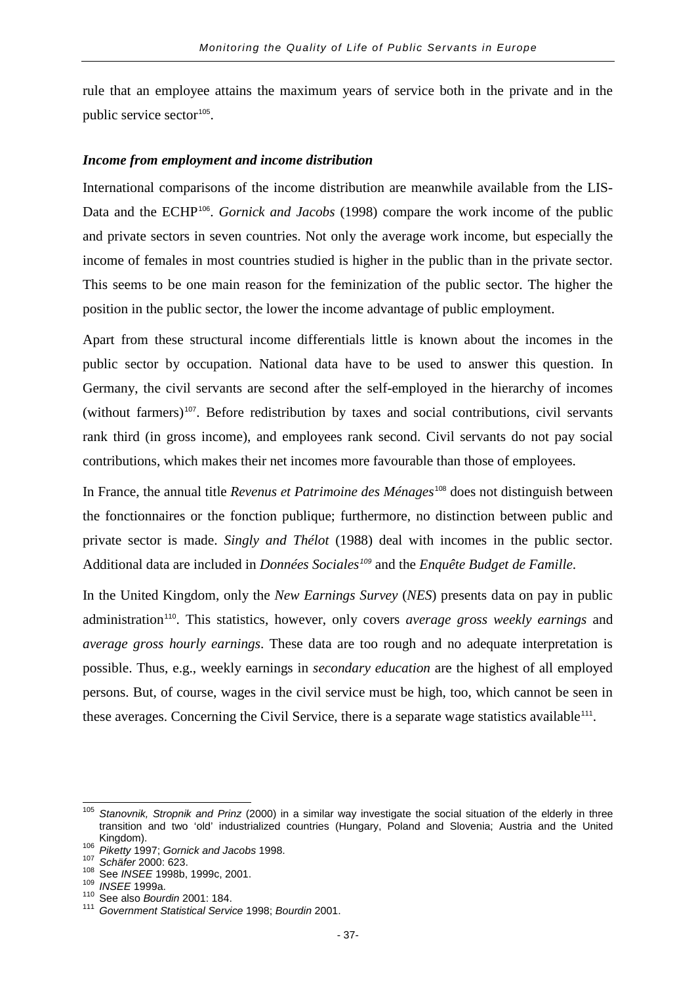rule that an employee attains the maximum years of service both in the private and in the public service sector<sup>[105](#page-40-0)</sup>.

#### *Income from employment and income distribution*

International comparisons of the income distribution are meanwhile available from the LIS-Data and the ECHP<sup>[106](#page-40-1)</sup>. *Gornick and Jacobs* (1998) compare the work income of the public and private sectors in seven countries. Not only the average work income, but especially the income of females in most countries studied is higher in the public than in the private sector. This seems to be one main reason for the feminization of the public sector. The higher the position in the public sector, the lower the income advantage of public employment.

Apart from these structural income differentials little is known about the incomes in the public sector by occupation. National data have to be used to answer this question. In Germany, the civil servants are second after the self-employed in the hierarchy of incomes (without farmers)[107](#page-40-2). Before redistribution by taxes and social contributions, civil servants rank third (in gross income), and employees rank second. Civil servants do not pay social contributions, which makes their net incomes more favourable than those of employees.

In France, the annual title *Revenus et Patrimoine des Ménages*[108](#page-40-3) does not distinguish between the fonctionnaires or the fonction publique; furthermore, no distinction between public and private sector is made. *Singly and Thélot* (1988) deal with incomes in the public sector. Additional data are included in *Données Sociales[109](#page-40-4)* and the *Enquête Budget de Famille*.

In the United Kingdom, only the *New Earnings Survey* (*NES*) presents data on pay in public administration[110](#page-40-5). This statistics, however, only covers *average gross weekly earnings* and *average gross hourly earnings*. These data are too rough and no adequate interpretation is possible. Thus, e.g., weekly earnings in *secondary education* are the highest of all employed persons. But, of course, wages in the civil service must be high, too, which cannot be seen in these averages. Concerning the Civil Service, there is a separate wage statistics available<sup>[111](#page-40-6)</sup>.

<span id="page-40-0"></span><sup>105</sup> *Stanovnik, Stropnik and Prinz* (2000) in a similar way investigate the social situation of the elderly in three transition and two 'old' industrialized countries (Hungary, Poland and Slovenia; Austria and the United<br>Kingdom).<br><sup>106</sup> Piketty 1997: Cornick and Isosha 1999

<span id="page-40-2"></span>

<span id="page-40-4"></span><span id="page-40-3"></span>

<span id="page-40-6"></span><span id="page-40-5"></span>

<span id="page-40-1"></span><sup>&</sup>lt;sup>106</sup> Piketty 1997; Gornick and Jacobs 1998.<br><sup>107</sup> Schäfer 2000: 623.<br><sup>108</sup> See INSEE 1998b, 1999c, 2001.<br><sup>109</sup> INSEE 1999a.<br><sup>110</sup> See also Bourdin 2001: 184.<br><sup>111</sup> Government Statistical Service 1998; Bourdin 2001.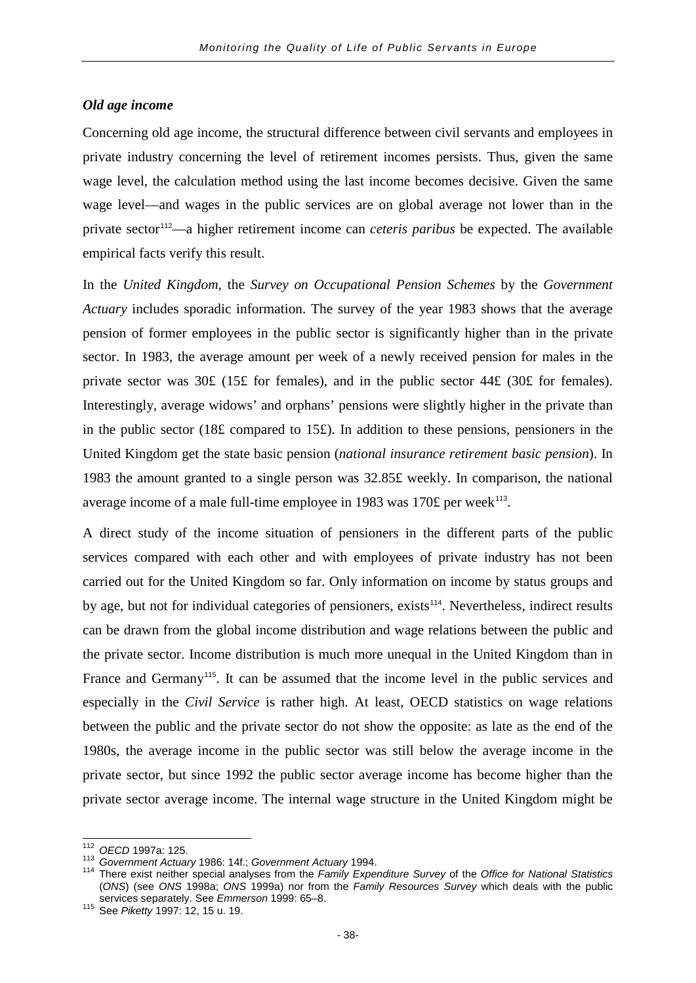### *Old age income*

Concerning old age income, the structural difference between civil servants and employees in private industry concerning the level of retirement incomes persists. Thus, given the same wage level, the calculation method using the last income becomes decisive. Given the same wage level—and wages in the public services are on global average not lower than in the private sector[112](#page-41-0)—a higher retirement income can *ceteris paribus* be expected. The available empirical facts verify this result.

In the *United Kingdom*, the *Survey on Occupational Pension Schemes* by the *Government Actuary* includes sporadic information. The survey of the year 1983 shows that the average pension of former employees in the public sector is significantly higher than in the private sector. In 1983, the average amount per week of a newly received pension for males in the private sector was 30£ (15£ for females), and in the public sector 44£ (30£ for females). Interestingly, average widows' and orphans' pensions were slightly higher in the private than in the public sector (18£ compared to 15£). In addition to these pensions, pensioners in the United Kingdom get the state basic pension (*national insurance retirement basic pension*). In 1983 the amount granted to a single person was 32.85£ weekly. In comparison, the national average income of a male full-time employee in 1983 was 170 $\pounds$  per week<sup>[113](#page-41-1)</sup>.

A direct study of the income situation of pensioners in the different parts of the public services compared with each other and with employees of private industry has not been carried out for the United Kingdom so far. Only information on income by status groups and by age, but not for individual categories of pensioners, exists<sup>[114](#page-41-2)</sup>. Nevertheless, indirect results can be drawn from the global income distribution and wage relations between the public and the private sector. Income distribution is much more unequal in the United Kingdom than in France and Germany<sup>[115](#page-41-3)</sup>. It can be assumed that the income level in the public services and especially in the *Civil Service* is rather high. At least, OECD statistics on wage relations between the public and the private sector do not show the opposite: as late as the end of the 1980s, the average income in the public sector was still below the average income in the private sector, but since 1992 the public sector average income has become higher than the private sector average income. The internal wage structure in the United Kingdom might be

<span id="page-41-2"></span><span id="page-41-1"></span>

<span id="page-41-0"></span><sup>&</sup>lt;sup>112</sup> OECD 1997a: 125.<br><sup>113</sup> Government Actuary 1986: 14f.; Government Actuary 1994.<br><sup>114</sup> There exist neither special analyses from the *Family Expenditure Survey* of the Office for National Statistics (*ONS*) (see *ONS* 1998a; *ONS* 1999a) nor from the *Family Resources Survey* which deals with the public services separately. See *Emmerson* 1999: 65–8. <sup>115</sup> See *Piketty* 1997: 12, 15 u. 19.

<span id="page-41-3"></span>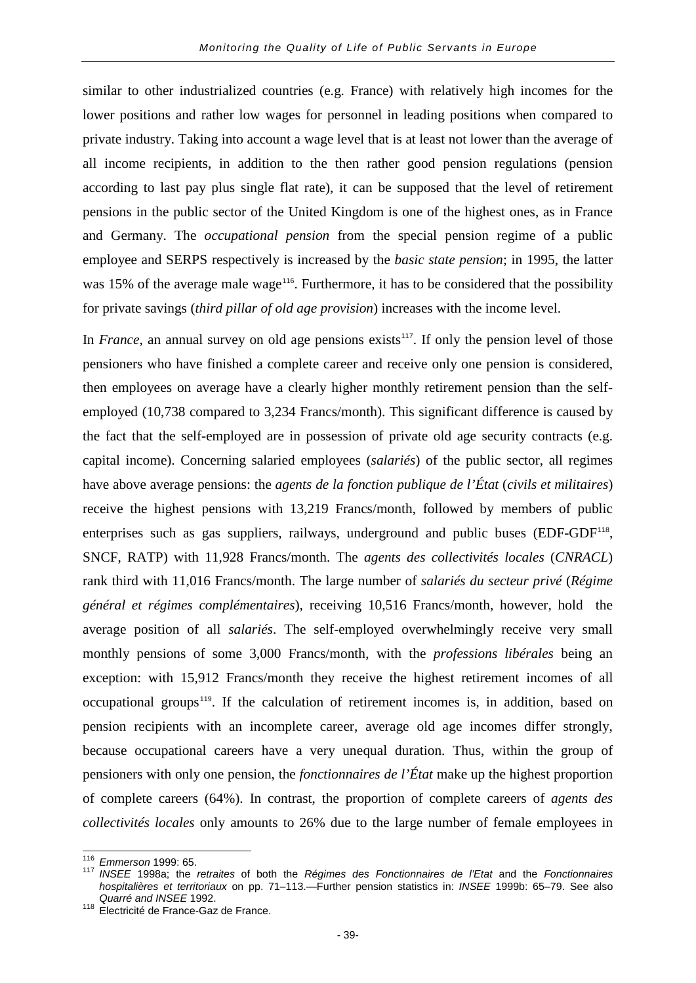similar to other industrialized countries (e.g. France) with relatively high incomes for the lower positions and rather low wages for personnel in leading positions when compared to private industry. Taking into account a wage level that is at least not lower than the average of all income recipients, in addition to the then rather good pension regulations (pension according to last pay plus single flat rate), it can be supposed that the level of retirement pensions in the public sector of the United Kingdom is one of the highest ones, as in France and Germany. The *occupational pension* from the special pension regime of a public employee and SERPS respectively is increased by the *basic state pension*; in 1995, the latter was 15% of the average male wage<sup>[116](#page-42-0)</sup>. Furthermore, it has to be considered that the possibility for private savings (*third pillar of old age provision*) increases with the income level.

In *France*, an annual survey on old age pensions exists<sup>[117](#page-42-1)</sup>. If only the pension level of those pensioners who have finished a complete career and receive only one pension is considered, then employees on average have a clearly higher monthly retirement pension than the selfemployed (10,738 compared to 3,234 Francs/month). This significant difference is caused by the fact that the self-employed are in possession of private old age security contracts (e.g. capital income). Concerning salaried employees (*salariés*) of the public sector, all regimes have above average pensions: the *agents de la fonction publique de l'État* (*civils et militaires*) receive the highest pensions with 13,219 Francs/month, followed by members of public enterprises such as gas suppliers, railways, underground and public buses (EDF-GDF<sup>[118](#page-42-2)</sup>, SNCF, RATP) with 11,928 Francs/month. The *agents des collectivités locales* (*CNRACL*) rank third with 11,016 Francs/month. The large number of *salariés du secteur privé* (*Régime général et régimes complémentaires*), receiving 10,516 Francs/month, however, hold the average position of all *salariés*. The self-employed overwhelmingly receive very small monthly pensions of some 3,000 Francs/month, with the *professions libérales* being an exception: with 15,912 Francs/month they receive the highest retirement incomes of all occupational groups<sup>[119](#page-42-3)</sup>. If the calculation of retirement incomes is, in addition, based on pension recipients with an incomplete career, average old age incomes differ strongly, because occupational careers have a very unequal duration. Thus, within the group of pensioners with only one pension, the *fonctionnaires de l'État* make up the highest proportion of complete careers (64%). In contrast, the proportion of complete careers of *agents des collectivités locales* only amounts to 26% due to the large number of female employees in

<span id="page-42-3"></span><span id="page-42-1"></span><span id="page-42-0"></span><sup>116</sup> *Emmerson* 1999: 65. <sup>117</sup> *INSEE* 1998a; the *retraites* of both the *Régimes des Fonctionnaires de l'Etat* and the *Fonctionnaires hospitalières et territoriaux* on pp. 71–113.—Further pension statistics in: *INSEE* 1999b: 65–79. See also

<span id="page-42-2"></span><sup>118</sup> Cuarré and Institute Caz de France.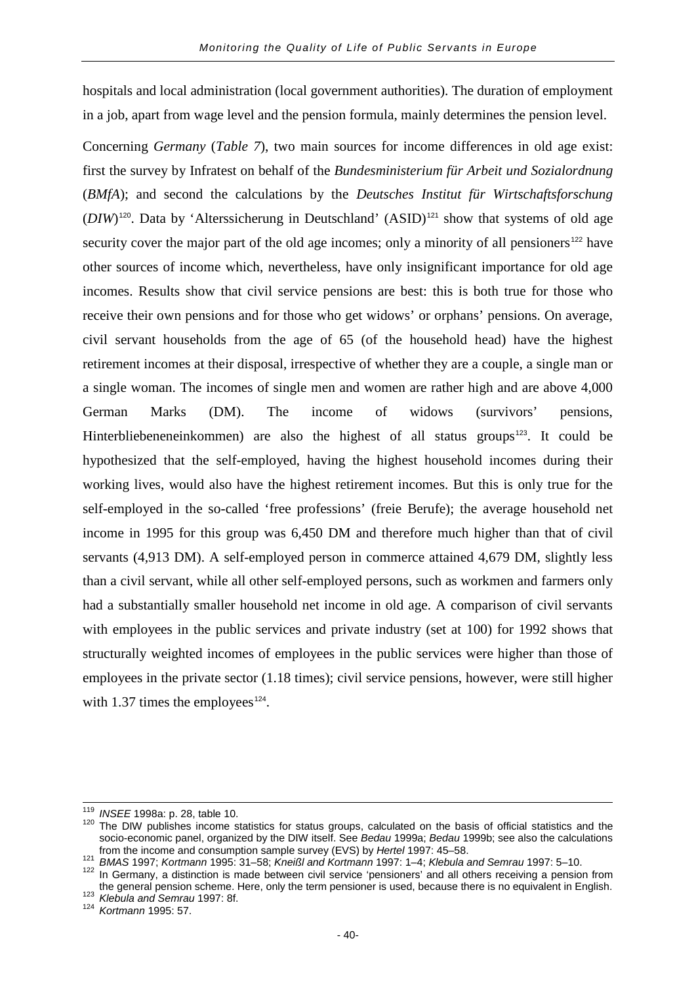hospitals and local administration (local government authorities). The duration of employment in a job, apart from wage level and the pension formula, mainly determines the pension level.

Concerning *Germany* (*Table 7*), two main sources for income differences in old age exist: first the survey by Infratest on behalf of the *Bundesministerium für Arbeit und Sozialordnung* (*BMfA*); and second the calculations by the *Deutsches Institut für Wirtschaftsforschung*  $(DIW)^{120}$  $(DIW)^{120}$  $(DIW)^{120}$ . Data by 'Alterssicherung in Deutschland'  $(ASID)^{121}$  $(ASID)^{121}$  $(ASID)^{121}$  show that systems of old age security cover the major part of the old age incomes; only a minority of all pensioners<sup>[122](#page-43-2)</sup> have other sources of income which, nevertheless, have only insignificant importance for old age incomes. Results show that civil service pensions are best: this is both true for those who receive their own pensions and for those who get widows' or orphans' pensions. On average, civil servant households from the age of 65 (of the household head) have the highest retirement incomes at their disposal, irrespective of whether they are a couple, a single man or a single woman. The incomes of single men and women are rather high and are above 4,000 German Marks (DM). The income of widows (survivors' pensions, Hinterbliebeneneinkommen) are also the highest of all status groups<sup>[123](#page-43-3)</sup>. It could be hypothesized that the self-employed, having the highest household incomes during their working lives, would also have the highest retirement incomes. But this is only true for the self-employed in the so-called 'free professions' (freie Berufe); the average household net income in 1995 for this group was 6,450 DM and therefore much higher than that of civil servants (4,913 DM). A self-employed person in commerce attained 4,679 DM, slightly less than a civil servant, while all other self-employed persons, such as workmen and farmers only had a substantially smaller household net income in old age. A comparison of civil servants with employees in the public services and private industry (set at 100) for 1992 shows that structurally weighted incomes of employees in the public services were higher than those of employees in the private sector (1.18 times); civil service pensions, however, were still higher with 1.37 times the employees<sup>[124](#page-43-4)</sup>.

<span id="page-43-0"></span>

<sup>&</sup>lt;sup>119</sup> *INSEE* 1998a: p. 28, table 10.<br><sup>120</sup> The DIW publishes income statistics for status groups, calculated on the basis of official statistics and the socio-economic panel, organized by the DIW itself. See *Bedau* 1999a; *Bedau* 1999b; see also the calculations

<span id="page-43-2"></span><span id="page-43-1"></span> $121$  BMAS 1997; Kortmann 1995: 31–58; Kneißl and Kortmann 1997: 1–4; Klebula and Semrau 1997: 5–10.<br><sup>122</sup> In Germany, a distinction is made between civil service 'pensioners' and all others receiving a pension from the general pension scheme. Here, only the term pensioner is used, because there is no equivalent in English. <sup>123</sup> *Klebula and Semrau* 1997: 8f. <sup>124</sup> *Kortmann* 1995: 57.

<span id="page-43-4"></span><span id="page-43-3"></span>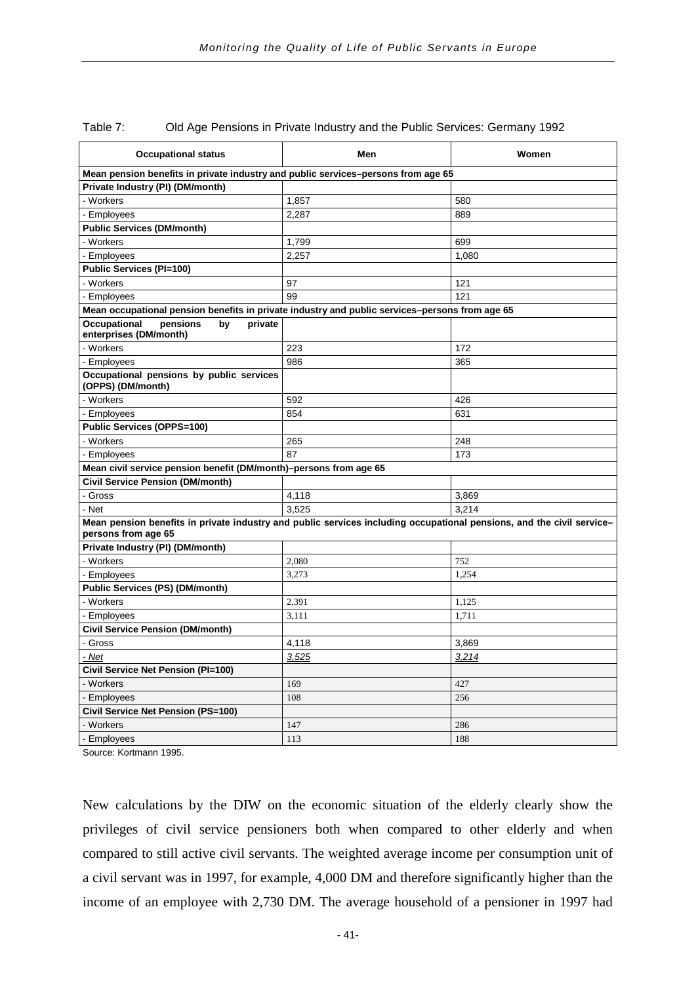| <b>Occupational status</b>                                                                                                                   | Men   | Women |
|----------------------------------------------------------------------------------------------------------------------------------------------|-------|-------|
| Mean pension benefits in private industry and public services-persons from age 65                                                            |       |       |
| Private Industry (PI) (DM/month)                                                                                                             |       |       |
| - Workers                                                                                                                                    | 1,857 | 580   |
| - Employees                                                                                                                                  | 2,287 | 889   |
| <b>Public Services (DM/month)</b>                                                                                                            |       |       |
| - Workers                                                                                                                                    | 1,799 | 699   |
| - Employees                                                                                                                                  | 2,257 | 1,080 |
| Public Services (PI=100)                                                                                                                     |       |       |
| - Workers                                                                                                                                    | 97    | 121   |
| - Employees                                                                                                                                  | 99    | 121   |
| Mean occupational pension benefits in private industry and public services–persons from age 65                                               |       |       |
| <b>Occupational</b><br>pensions<br>by<br>private<br>enterprises (DM/month)                                                                   |       |       |
| - Workers                                                                                                                                    | 223   | 172   |
| - Employees                                                                                                                                  | 986   | 365   |
| Occupational pensions by public services<br>(OPPS) (DM/month)                                                                                |       |       |
| - Workers                                                                                                                                    | 592   | 426   |
| - Employees                                                                                                                                  | 854   | 631   |
| <b>Public Services (OPPS=100)</b>                                                                                                            |       |       |
| - Workers                                                                                                                                    | 265   | 248   |
| - Employees                                                                                                                                  | 87    | 173   |
| Mean civil service pension benefit (DM/month)-persons from age 65                                                                            |       |       |
| Civil Service Pension (DM/month)                                                                                                             |       |       |
| - Gross                                                                                                                                      | 4,118 | 3,869 |
| - Net                                                                                                                                        | 3,525 | 3.214 |
| Mean pension benefits in private industry and public services including occupational pensions, and the civil service-<br>persons from age 65 |       |       |
| Private Industry (PI) (DM/month)                                                                                                             |       |       |
| - Workers                                                                                                                                    | 2.080 | 752   |
| - Employees                                                                                                                                  | 3,273 | 1,254 |
| <b>Public Services (PS) (DM/month)</b>                                                                                                       |       |       |
| - Workers                                                                                                                                    | 2,391 | 1,125 |
| - Employees                                                                                                                                  | 3,111 | 1,711 |
| <b>Civil Service Pension (DM/month)</b>                                                                                                      |       |       |
| - Gross                                                                                                                                      | 4,118 | 3,869 |
| - Net                                                                                                                                        | 3,525 | 3,214 |
| Civil Service Net Pension (PI=100)                                                                                                           |       |       |
| - Workers                                                                                                                                    | 169   | 427   |
| - Employees                                                                                                                                  | 108   | 256   |
| Civil Service Net Pension (PS=100)                                                                                                           |       |       |
| - Workers                                                                                                                                    | 147   | 286   |
| - Employees                                                                                                                                  | 113   | 188   |

Table 7: Old Age Pensions in Private Industry and the Public Services: Germany 1992

Source: Kortmann 1995.

New calculations by the DIW on the economic situation of the elderly clearly show the privileges of civil service pensioners both when compared to other elderly and when compared to still active civil servants. The weighted average income per consumption unit of a civil servant was in 1997, for example, 4,000 DM and therefore significantly higher than the income of an employee with 2,730 DM. The average household of a pensioner in 1997 had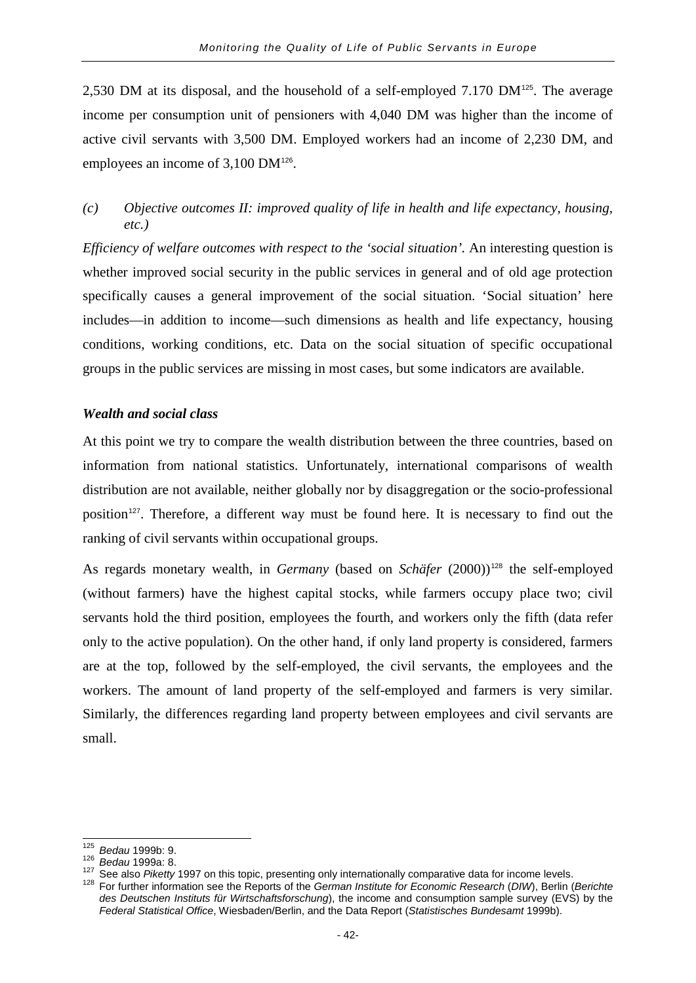2,530 DM at its disposal, and the household of a self-employed 7.170 DM<sup>[125](#page-45-0)</sup>. The average income per consumption unit of pensioners with 4,040 DM was higher than the income of active civil servants with 3,500 DM. Employed workers had an income of 2,230 DM, and employees an income of 3,100 DM<sup>[126](#page-45-1)</sup>.

*(c) Objective outcomes II: improved quality of life in health and life expectancy, housing, etc.)*

*Efficiency of welfare outcomes with respect to the 'social situation'*. An interesting question is whether improved social security in the public services in general and of old age protection specifically causes a general improvement of the social situation. 'Social situation' here includes—in addition to income—such dimensions as health and life expectancy, housing conditions, working conditions, etc. Data on the social situation of specific occupational groups in the public services are missing in most cases, but some indicators are available.

## *Wealth and social class*

At this point we try to compare the wealth distribution between the three countries, based on information from national statistics. Unfortunately, international comparisons of wealth distribution are not available, neither globally nor by disaggregation or the socio-professional position<sup>[127](#page-45-2)</sup>. Therefore, a different way must be found here. It is necessary to find out the ranking of civil servants within occupational groups.

As regards monetary wealth, in *Germany* (based on *Schäfer* (2000))<sup>[128](#page-45-3)</sup> the self-employed (without farmers) have the highest capital stocks, while farmers occupy place two; civil servants hold the third position, employees the fourth, and workers only the fifth (data refer only to the active population). On the other hand, if only land property is considered, farmers are at the top, followed by the self-employed, the civil servants, the employees and the workers. The amount of land property of the self-employed and farmers is very similar. Similarly, the differences regarding land property between employees and civil servants are small.

<span id="page-45-3"></span><span id="page-45-2"></span>

<span id="page-45-1"></span><span id="page-45-0"></span><sup>&</sup>lt;sup>125</sup> Bedau 1999b: 9.<br><sup>126</sup> Bedau 1999a: 8.<br><sup>127</sup> See also *Piketty* 1997 on this topic, presenting only internationally comparative data for income levels.<br><sup>128</sup> For further information see the Reports of the German Insti *des Deutschen Instituts für Wirtschaftsforschung*), the income and consumption sample survey (EVS) by the *Federal Statistical Office*, Wiesbaden/Berlin, and the Data Report (*Statistisches Bundesamt* 1999b).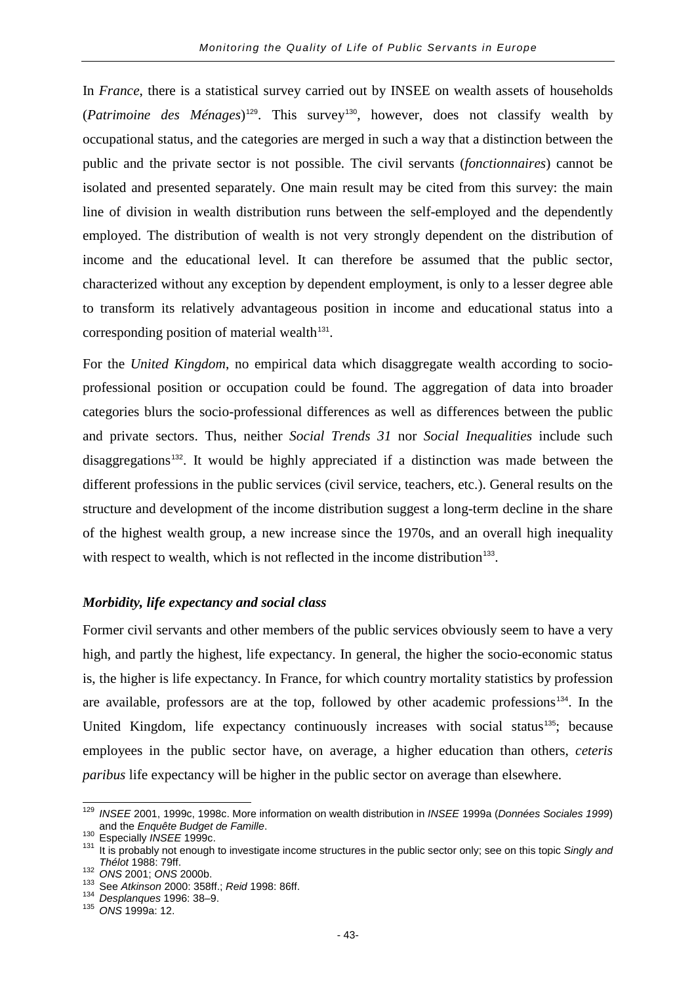In *France*, there is a statistical survey carried out by INSEE on wealth assets of households (*Patrimoine des Ménages*)<sup>[129](#page-46-0)</sup>. This survey<sup>[130](#page-46-1)</sup>, however, does not classify wealth by occupational status, and the categories are merged in such a way that a distinction between the public and the private sector is not possible. The civil servants (*fonctionnaires*) cannot be isolated and presented separately. One main result may be cited from this survey: the main line of division in wealth distribution runs between the self-employed and the dependently employed. The distribution of wealth is not very strongly dependent on the distribution of income and the educational level. It can therefore be assumed that the public sector, characterized without any exception by dependent employment, is only to a lesser degree able to transform its relatively advantageous position in income and educational status into a corresponding position of material wealth $131$ .

For the *United Kingdom*, no empirical data which disaggregate wealth according to socioprofessional position or occupation could be found. The aggregation of data into broader categories blurs the socio-professional differences as well as differences between the public and private sectors. Thus, neither *Social Trends 31* nor *Social Inequalities* include such disaggregations<sup>[132](#page-46-3)</sup>. It would be highly appreciated if a distinction was made between the different professions in the public services (civil service, teachers, etc.). General results on the structure and development of the income distribution suggest a long-term decline in the share of the highest wealth group, a new increase since the 1970s, and an overall high inequality with respect to wealth, which is not reflected in the income distribution<sup>[133](#page-46-4)</sup>.

### *Morbidity, life expectancy and social class*

Former civil servants and other members of the public services obviously seem to have a very high, and partly the highest, life expectancy. In general, the higher the socio-economic status is, the higher is life expectancy. In France, for which country mortality statistics by profession are available, professors are at the top, followed by other academic professions<sup>[134](#page-46-5)</sup>. In the United Kingdom, life expectancy continuously increases with social status<sup>[135](#page-46-6)</sup>; because employees in the public sector have, on average, a higher education than others, *ceteris paribus* life expectancy will be higher in the public sector on average than elsewhere.

<span id="page-46-0"></span><sup>129</sup> *INSEE* 2001, 1999c, 1998c. More information on wealth distribution in *INSEE* 1999a (*Données Sociales 1999*)

<span id="page-46-2"></span><span id="page-46-1"></span>

and the *Enquête Budget de Familie.*<br>
<sup>130</sup> Especially *INSEE* 1999c.<br>
<sup>131</sup> It is probably not enough to investigate income structures in the public sector only; see on this topic *Singly and*<br> *Thélot* 1988: 79ff.

<span id="page-46-4"></span>

<span id="page-46-3"></span>*Thélot* 1988: 79ff. <sup>132</sup> *ONS* 2001; *ONS* 2000b. <sup>133</sup> See *Atkinson* 2000: 358ff.; *Reid* 1998: 86ff. <sup>134</sup> *Desplanques* 1996: 38–9. <sup>135</sup> *ONS* 1999a: 12.

<span id="page-46-6"></span><span id="page-46-5"></span>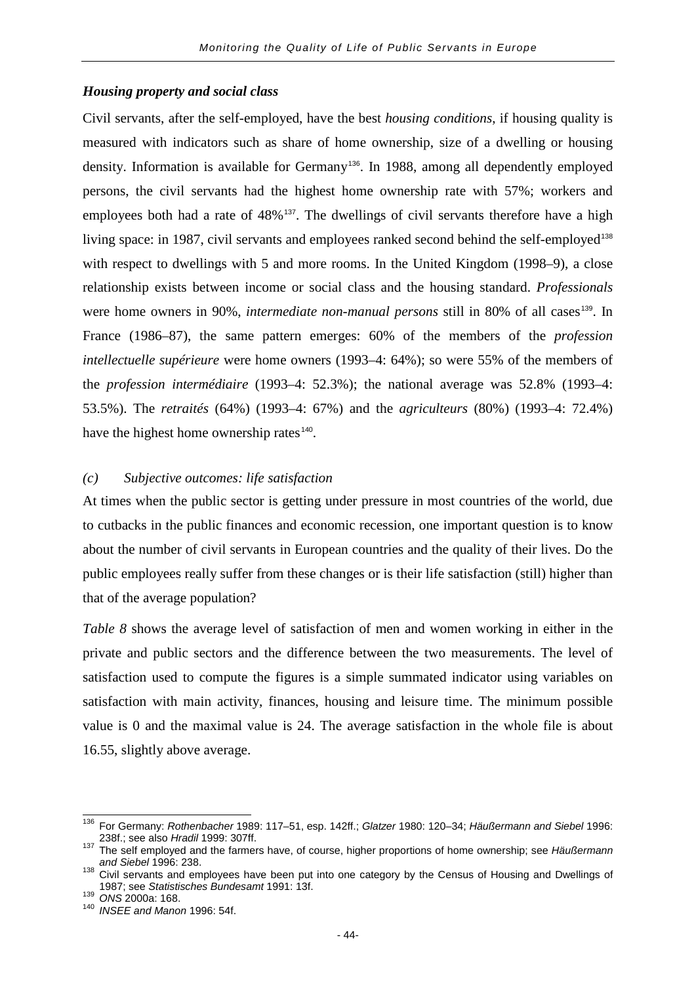#### *Housing property and social class*

Civil servants, after the self-employed, have the best *housing conditions*, if housing quality is measured with indicators such as share of home ownership, size of a dwelling or housing density. Information is available for Germany<sup>[136](#page-47-0)</sup>. In 1988, among all dependently employed persons, the civil servants had the highest home ownership rate with 57%; workers and employees both had a rate of 48%<sup>[137](#page-47-1)</sup>. The dwellings of civil servants therefore have a high living space: in 1987, civil servants and employees ranked second behind the self-employed<sup>[138](#page-47-2)</sup> with respect to dwellings with 5 and more rooms. In the United Kingdom (1998–9), a close relationship exists between income or social class and the housing standard. *Professionals* were home owners in 90%, *intermediate non-manual persons* still in 80% of all cases<sup>[139](#page-47-3)</sup>. In France (1986–87), the same pattern emerges: 60% of the members of the *profession intellectuelle supérieure* were home owners (1993–4: 64%); so were 55% of the members of the *profession intermédiaire* (1993–4: 52.3%); the national average was 52.8% (1993–4: 53.5%). The *retraités* (64%) (1993–4: 67%) and the *agriculteurs* (80%) (1993–4: 72.4%) have the highest home ownership rates<sup>[140](#page-47-4)</sup>.

## *(c) Subjective outcomes: life satisfaction*

At times when the public sector is getting under pressure in most countries of the world, due to cutbacks in the public finances and economic recession, one important question is to know about the number of civil servants in European countries and the quality of their lives. Do the public employees really suffer from these changes or is their life satisfaction (still) higher than that of the average population?

*Table 8* shows the average level of satisfaction of men and women working in either in the private and public sectors and the difference between the two measurements. The level of satisfaction used to compute the figures is a simple summated indicator using variables on satisfaction with main activity, finances, housing and leisure time. The minimum possible value is 0 and the maximal value is 24. The average satisfaction in the whole file is about 16.55, slightly above average.

<span id="page-47-0"></span><sup>136</sup> For Germany: *Rothenbacher* 1989: 117–51, esp. 142ff.; *Glatzer* 1980: 120–34; *Häußermann and Siebel* 1996:

<span id="page-47-1"></span><sup>238</sup>f.; see also *Hradil* 1999: 307ff. <sup>137</sup> The self employed and the farmers have, of course, higher proportions of home ownership; see *Häußermann* 

<span id="page-47-2"></span><sup>&</sup>lt;sup>138</sup> Civil servants and employees have been put into one category by the Census of Housing and Dwellings of 1987; see Statistisches Bundesamt 1991: 13f.

<span id="page-47-4"></span>

<span id="page-47-3"></span><sup>1987;</sup> see *Statistisches Bundesamt* 1991: 13f. <sup>139</sup> *ONS* 2000a: 168. <sup>140</sup> *INSEE and Manon* 1996: 54f.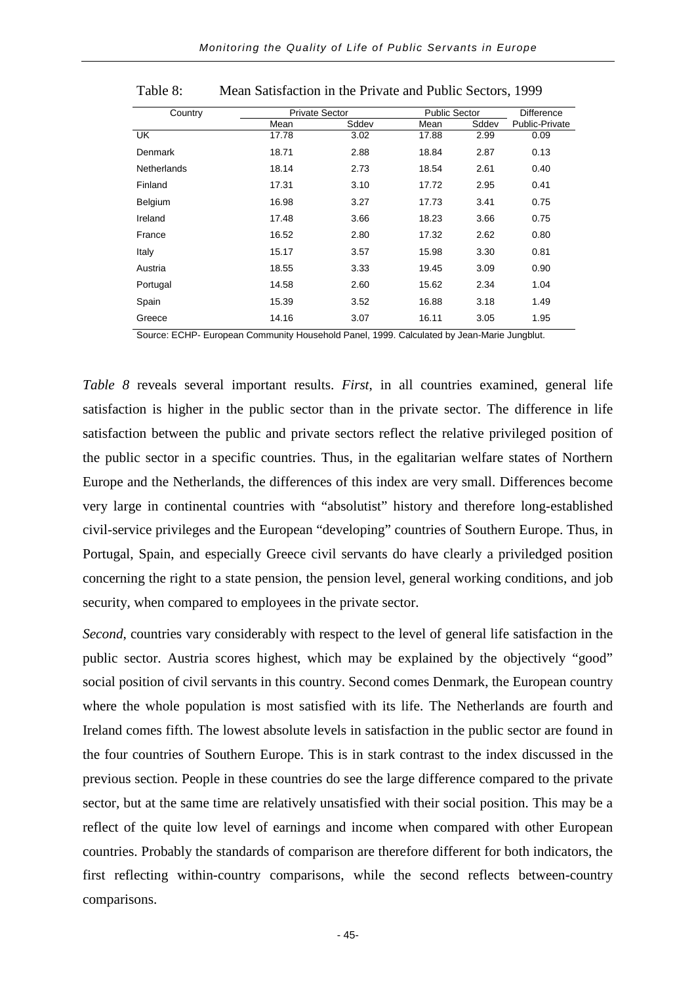|                    |                       |       | <b>Public Sector</b> |       |                       |
|--------------------|-----------------------|-------|----------------------|-------|-----------------------|
| Country            | <b>Private Sector</b> |       |                      |       | <b>Difference</b>     |
|                    | Mean                  | Sddev | Mean                 | Sddev | <b>Public-Private</b> |
| <b>UK</b>          | 17.78                 | 3.02  | 17.88                | 2.99  | 0.09                  |
| Denmark            | 18.71                 | 2.88  | 18.84                | 2.87  | 0.13                  |
| <b>Netherlands</b> | 18.14                 | 2.73  | 18.54                | 2.61  | 0.40                  |
| Finland            | 17.31                 | 3.10  | 17.72                | 2.95  | 0.41                  |
| Belgium            | 16.98                 | 3.27  | 17.73                | 3.41  | 0.75                  |
| Ireland            | 17.48                 | 3.66  | 18.23                | 3.66  | 0.75                  |
| France             | 16.52                 | 2.80  | 17.32                | 2.62  | 0.80                  |
| Italy              | 15.17                 | 3.57  | 15.98                | 3.30  | 0.81                  |
| Austria            | 18.55                 | 3.33  | 19.45                | 3.09  | 0.90                  |
| Portugal           | 14.58                 | 2.60  | 15.62                | 2.34  | 1.04                  |
| Spain              | 15.39                 | 3.52  | 16.88                | 3.18  | 1.49                  |
| Greece             | 14.16                 | 3.07  | 16.11                | 3.05  | 1.95                  |
|                    |                       |       |                      |       |                       |

Table 8: Mean Satisfaction in the Private and Public Sectors, 1999

Source: ECHP- European Community Household Panel, 1999. Calculated by Jean-Marie Jungblut.

*Table 8* reveals several important results. *First*, in all countries examined, general life satisfaction is higher in the public sector than in the private sector. The difference in life satisfaction between the public and private sectors reflect the relative privileged position of the public sector in a specific countries. Thus, in the egalitarian welfare states of Northern Europe and the Netherlands, the differences of this index are very small. Differences become very large in continental countries with "absolutist" history and therefore long-established civil-service privileges and the European "developing" countries of Southern Europe. Thus, in Portugal, Spain, and especially Greece civil servants do have clearly a priviledged position concerning the right to a state pension, the pension level, general working conditions, and job security, when compared to employees in the private sector.

*Second*, countries vary considerably with respect to the level of general life satisfaction in the public sector. Austria scores highest, which may be explained by the objectively "good" social position of civil servants in this country. Second comes Denmark, the European country where the whole population is most satisfied with its life. The Netherlands are fourth and Ireland comes fifth. The lowest absolute levels in satisfaction in the public sector are found in the four countries of Southern Europe. This is in stark contrast to the index discussed in the previous section. People in these countries do see the large difference compared to the private sector, but at the same time are relatively unsatisfied with their social position. This may be a reflect of the quite low level of earnings and income when compared with other European countries. Probably the standards of comparison are therefore different for both indicators, the first reflecting within-country comparisons, while the second reflects between-country comparisons.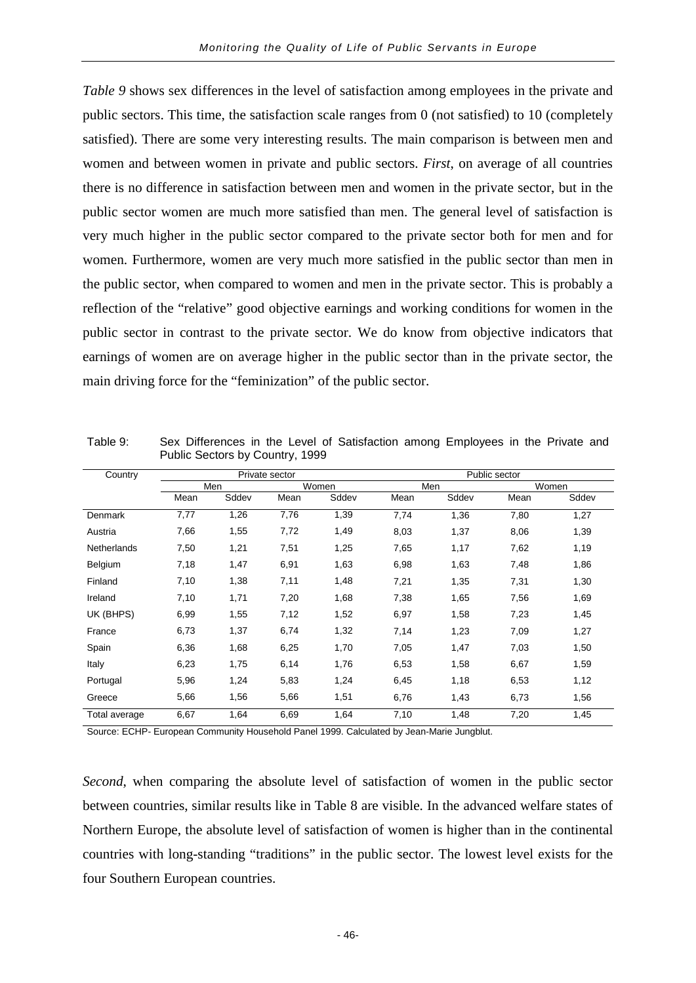*Table 9* shows sex differences in the level of satisfaction among employees in the private and public sectors. This time, the satisfaction scale ranges from 0 (not satisfied) to 10 (completely satisfied). There are some very interesting results. The main comparison is between men and women and between women in private and public sectors. *First*, on average of all countries there is no difference in satisfaction between men and women in the private sector, but in the public sector women are much more satisfied than men. The general level of satisfaction is very much higher in the public sector compared to the private sector both for men and for women. Furthermore, women are very much more satisfied in the public sector than men in the public sector, when compared to women and men in the private sector. This is probably a reflection of the "relative" good objective earnings and working conditions for women in the public sector in contrast to the private sector. We do know from objective indicators that earnings of women are on average higher in the public sector than in the private sector, the main driving force for the "feminization" of the public sector.

|                    |      | Public Sectors by Country, 1999 |                |       |      |       |               |       |
|--------------------|------|---------------------------------|----------------|-------|------|-------|---------------|-------|
| Country            |      |                                 | Private sector |       |      |       | Public sector |       |
|                    |      | Men                             |                | Women |      | Men   |               | Women |
|                    | Mean | Sddev                           | Mean           | Sddev | Mean | Sddev | Mean          | Sddev |
| Denmark            | 7,77 | 1,26                            | 7,76           | 1,39  | 7,74 | 1,36  | 7,80          | 1,27  |
| Austria            | 7,66 | 1,55                            | 7,72           | 1,49  | 8,03 | 1,37  | 8,06          | 1,39  |
| <b>Netherlands</b> | 7,50 | 1,21                            | 7,51           | 1,25  | 7,65 | 1,17  | 7,62          | 1,19  |
| Belgium            | 7,18 | 1,47                            | 6,91           | 1,63  | 6,98 | 1,63  | 7,48          | 1,86  |
| Finland            | 7,10 | 1,38                            | 7,11           | 1,48  | 7,21 | 1,35  | 7,31          | 1,30  |
| Ireland            | 7,10 | 1,71                            | 7,20           | 1,68  | 7,38 | 1,65  | 7,56          | 1,69  |
| UK (BHPS)          | 6,99 | 1,55                            | 7,12           | 1,52  | 6,97 | 1,58  | 7,23          | 1,45  |
| France             | 6,73 | 1,37                            | 6,74           | 1,32  | 7,14 | 1,23  | 7,09          | 1,27  |
| Spain              | 6,36 | 1,68                            | 6,25           | 1,70  | 7,05 | 1,47  | 7,03          | 1,50  |
| Italy              | 6,23 | 1,75                            | 6,14           | 1,76  | 6,53 | 1,58  | 6,67          | 1,59  |
| Portugal           | 5,96 | 1,24                            | 5,83           | 1,24  | 6,45 | 1,18  | 6,53          | 1,12  |
| Greece             | 5,66 | 1,56                            | 5,66           | 1,51  | 6,76 | 1,43  | 6,73          | 1,56  |
| Total average      | 6,67 | 1,64                            | 6,69           | 1,64  | 7,10 | 1,48  | 7,20          | 1,45  |

Table 9: Sex Differences in the Level of Satisfaction among Employees in the Private and

Source: ECHP- European Community Household Panel 1999. Calculated by Jean-Marie Jungblut.

*Second*, when comparing the absolute level of satisfaction of women in the public sector between countries, similar results like in Table 8 are visible. In the advanced welfare states of Northern Europe, the absolute level of satisfaction of women is higher than in the continental countries with long-standing "traditions" in the public sector. The lowest level exists for the four Southern European countries.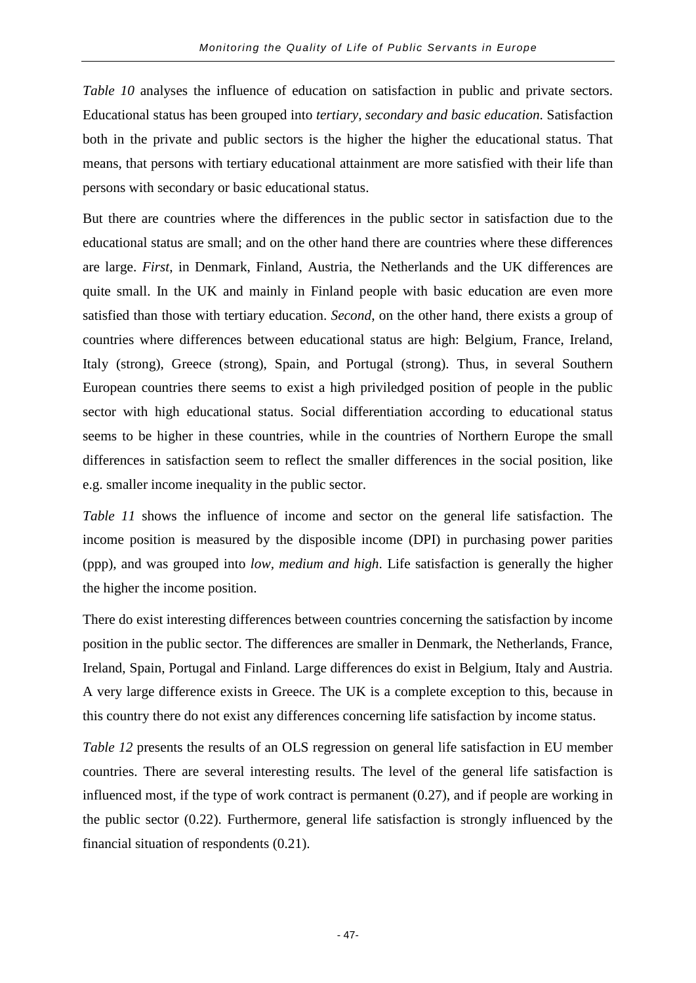*Table 10* analyses the influence of education on satisfaction in public and private sectors. Educational status has been grouped into *tertiary, secondary and basic education*. Satisfaction both in the private and public sectors is the higher the higher the educational status. That means, that persons with tertiary educational attainment are more satisfied with their life than persons with secondary or basic educational status.

But there are countries where the differences in the public sector in satisfaction due to the educational status are small; and on the other hand there are countries where these differences are large. *First*, in Denmark, Finland, Austria, the Netherlands and the UK differences are quite small. In the UK and mainly in Finland people with basic education are even more satisfied than those with tertiary education. *Second*, on the other hand, there exists a group of countries where differences between educational status are high: Belgium, France, Ireland, Italy (strong), Greece (strong), Spain, and Portugal (strong). Thus, in several Southern European countries there seems to exist a high priviledged position of people in the public sector with high educational status. Social differentiation according to educational status seems to be higher in these countries, while in the countries of Northern Europe the small differences in satisfaction seem to reflect the smaller differences in the social position, like e.g. smaller income inequality in the public sector.

*Table 11* shows the influence of income and sector on the general life satisfaction. The income position is measured by the disposible income (DPI) in purchasing power parities (ppp), and was grouped into *low, medium and high*. Life satisfaction is generally the higher the higher the income position.

There do exist interesting differences between countries concerning the satisfaction by income position in the public sector. The differences are smaller in Denmark, the Netherlands, France, Ireland, Spain, Portugal and Finland. Large differences do exist in Belgium, Italy and Austria. A very large difference exists in Greece. The UK is a complete exception to this, because in this country there do not exist any differences concerning life satisfaction by income status.

*Table 12* presents the results of an OLS regression on general life satisfaction in EU member countries. There are several interesting results. The level of the general life satisfaction is influenced most, if the type of work contract is permanent (0.27), and if people are working in the public sector (0.22). Furthermore, general life satisfaction is strongly influenced by the financial situation of respondents (0.21).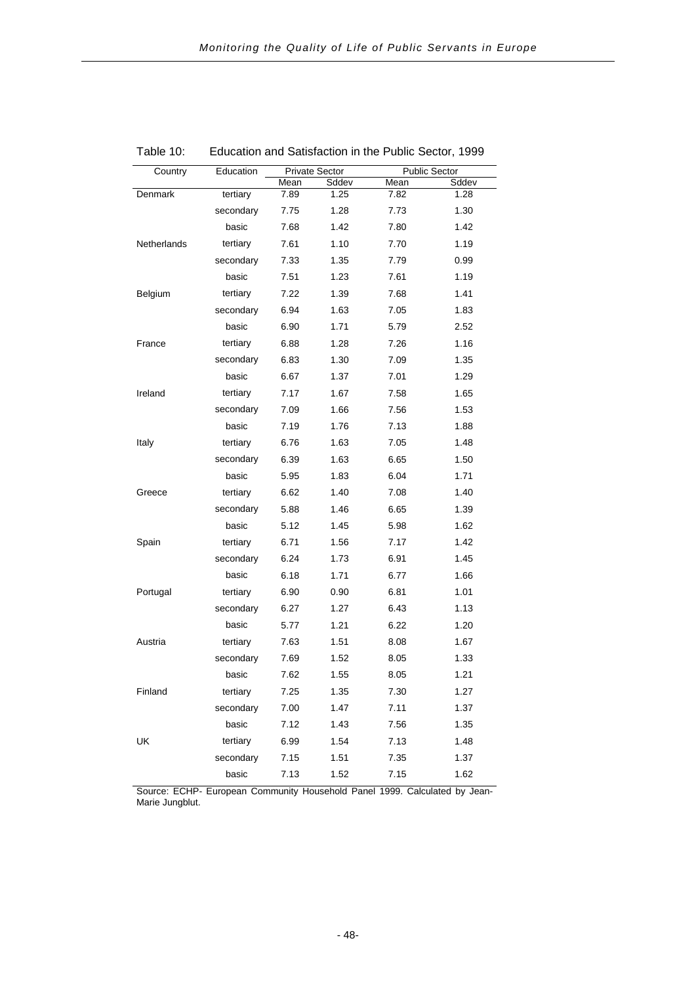| Country        | Education |      | <b>Private Sector</b> |      | <b>Public Sector</b> |
|----------------|-----------|------|-----------------------|------|----------------------|
|                |           | Mean | Sddev                 | Mean | Sddev                |
| <b>Denmark</b> | tertiary  | 7.89 | 1.25                  | 7.82 | 1.28                 |
|                | secondary | 7.75 | 1.28                  | 7.73 | 1.30                 |
|                | basic     | 7.68 | 1.42                  | 7.80 | 1.42                 |
| Netherlands    | tertiary  | 7.61 | 1.10                  | 7.70 | 1.19                 |
|                | secondary | 7.33 | 1.35                  | 7.79 | 0.99                 |
|                | basic     | 7.51 | 1.23                  | 7.61 | 1.19                 |
| Belgium        | tertiary  | 7.22 | 1.39                  | 7.68 | 1.41                 |
|                | secondary | 6.94 | 1.63                  | 7.05 | 1.83                 |
|                | basic     | 6.90 | 1.71                  | 5.79 | 2.52                 |
| France         | tertiary  | 6.88 | 1.28                  | 7.26 | 1.16                 |
|                | secondary | 6.83 | 1.30                  | 7.09 | 1.35                 |
|                | basic     | 6.67 | 1.37                  | 7.01 | 1.29                 |
| Ireland        | tertiary  | 7.17 | 1.67                  | 7.58 | 1.65                 |
|                | secondary | 7.09 | 1.66                  | 7.56 | 1.53                 |
|                | basic     | 7.19 | 1.76                  | 7.13 | 1.88                 |
| Italy          | tertiary  | 6.76 | 1.63                  | 7.05 | 1.48                 |
|                | secondary | 6.39 | 1.63                  | 6.65 | 1.50                 |
|                | basic     | 5.95 | 1.83                  | 6.04 | 1.71                 |
| Greece         | tertiary  | 6.62 | 1.40                  | 7.08 | 1.40                 |
|                | secondary | 5.88 | 1.46                  | 6.65 | 1.39                 |
|                | basic     | 5.12 | 1.45                  | 5.98 | 1.62                 |
| Spain          | tertiary  | 6.71 | 1.56                  | 7.17 | 1.42                 |
|                | secondary | 6.24 | 1.73                  | 6.91 | 1.45                 |
|                | basic     | 6.18 | 1.71                  | 6.77 | 1.66                 |
| Portugal       | tertiary  | 6.90 | 0.90                  | 6.81 | 1.01                 |
|                | secondary | 6.27 | 1.27                  | 6.43 | 1.13                 |
|                | basic     | 5.77 | 1.21                  | 6.22 | 1.20                 |
| Austria        | tertiary  | 7.63 | 1.51                  | 8.08 | 1.67                 |
|                | secondary | 7.69 | 1.52                  | 8.05 | 1.33                 |
|                | basic     | 7.62 | 1.55                  | 8.05 | 1.21                 |
| Finland        | tertiary  | 7.25 | 1.35                  | 7.30 | 1.27                 |
|                | secondary | 7.00 | 1.47                  | 7.11 | 1.37                 |
|                | basic     | 7.12 | 1.43                  | 7.56 | 1.35                 |
| UK             | tertiary  | 6.99 | 1.54                  | 7.13 | 1.48                 |
|                | secondary | 7.15 | 1.51                  | 7.35 | 1.37                 |
|                | basic     | 7.13 | 1.52                  | 7.15 | 1.62                 |

Table 10: Education and Satisfaction in the Public Sector, 1999

Source: ECHP- European Community Household Panel 1999. Calculated by Jean-Marie Jungblut.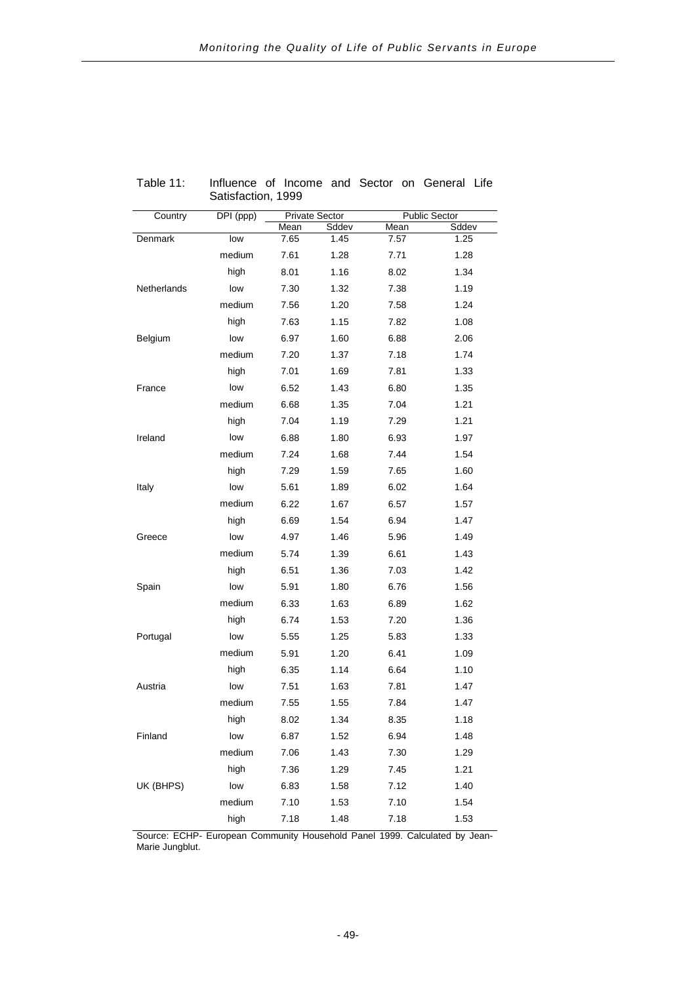| Country     | DPI (ppp) |      | <b>Private Sector</b> |      | <b>Public Sector</b> |
|-------------|-----------|------|-----------------------|------|----------------------|
|             |           | Mean | Sddev                 | Mean | Sddev                |
| Denmark     | low       | 7.65 | 1.45                  | 7.57 | 1.25                 |
|             | medium    | 7.61 | 1.28                  | 7.71 | 1.28                 |
|             | high      | 8.01 | 1.16                  | 8.02 | 1.34                 |
| Netherlands | low       | 7.30 | 1.32                  | 7.38 | 1.19                 |
|             | medium    | 7.56 | 1.20                  | 7.58 | 1.24                 |
|             | high      | 7.63 | 1.15                  | 7.82 | 1.08                 |
| Belgium     | low       | 6.97 | 1.60                  | 6.88 | 2.06                 |
|             | medium    | 7.20 | 1.37                  | 7.18 | 1.74                 |
|             | high      | 7.01 | 1.69                  | 7.81 | 1.33                 |
| France      | low       | 6.52 | 1.43                  | 6.80 | 1.35                 |
|             | medium    | 6.68 | 1.35                  | 7.04 | 1.21                 |
|             | high      | 7.04 | 1.19                  | 7.29 | 1.21                 |
| Ireland     | low       | 6.88 | 1.80                  | 6.93 | 1.97                 |
|             | medium    | 7.24 | 1.68                  | 7.44 | 1.54                 |
|             | high      | 7.29 | 1.59                  | 7.65 | 1.60                 |
| Italy       | low       | 5.61 | 1.89                  | 6.02 | 1.64                 |
|             | medium    | 6.22 | 1.67                  | 6.57 | 1.57                 |
|             | high      | 6.69 | 1.54                  | 6.94 | 1.47                 |
| Greece      | low       | 4.97 | 1.46                  | 5.96 | 1.49                 |
|             | medium    | 5.74 | 1.39                  | 6.61 | 1.43                 |
|             | high      | 6.51 | 1.36                  | 7.03 | 1.42                 |
| Spain       | low       | 5.91 | 1.80                  | 6.76 | 1.56                 |
|             | medium    | 6.33 | 1.63                  | 6.89 | 1.62                 |
|             | high      | 6.74 | 1.53                  | 7.20 | 1.36                 |
| Portugal    | low       | 5.55 | 1.25                  | 5.83 | 1.33                 |
|             | medium    | 5.91 | 1.20                  | 6.41 | 1.09                 |
|             | high      | 6.35 | 1.14                  | 6.64 | 1.10                 |
| Austria     | low       | 7.51 | 1.63                  | 7.81 | 1.47                 |
|             | medium    | 7.55 | 1.55                  | 7.84 | 1.47                 |
|             | high      | 8.02 | 1.34                  | 8.35 | 1.18                 |
| Finland     | low       | 6.87 | 1.52                  | 6.94 | 1.48                 |
|             | medium    | 7.06 | 1.43                  | 7.30 | 1.29                 |
|             | high      | 7.36 | 1.29                  | 7.45 | 1.21                 |
| UK (BHPS)   | low       | 6.83 | 1.58                  | 7.12 | 1.40                 |
|             | medium    | 7.10 | 1.53                  | 7.10 | 1.54                 |
|             | high      | 7.18 | 1.48                  | 7.18 | 1.53                 |

Table 11: Influence of Income and Sector on General Life Satisfaction, 1999

Source: ECHP- European Community Household Panel 1999. Calculated by Jean-Marie Jungblut.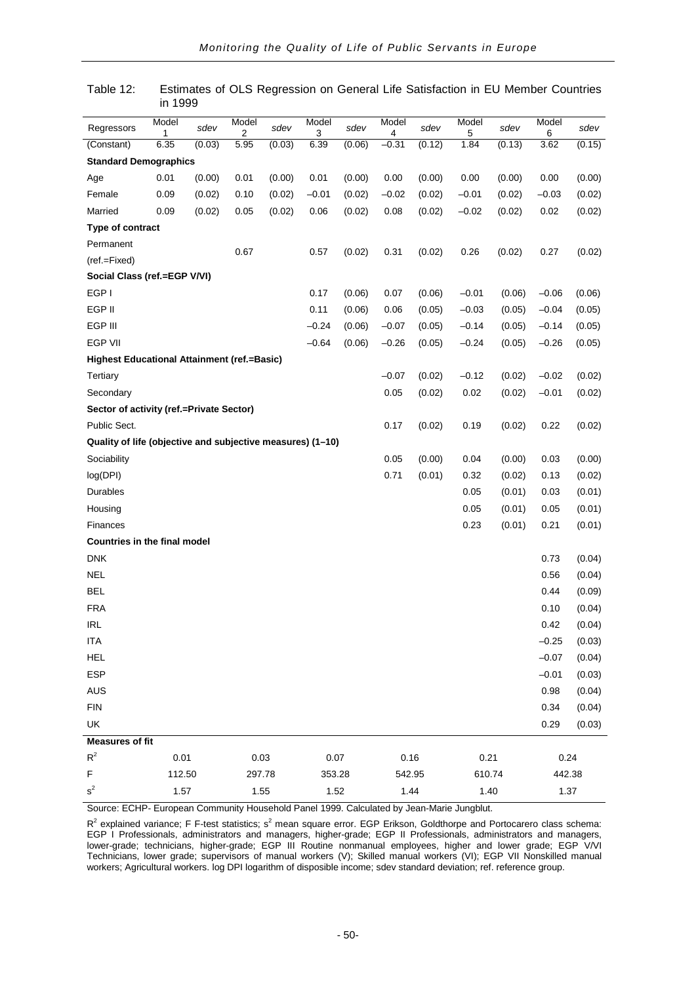| Regressors                                                 | Model<br>1 | sdev   | Model<br>2 | sdev   | Model<br>3 | sdev   | Model<br>4 | sdev   | Model<br>5 | sdev   | Model<br>6 | sdev   |
|------------------------------------------------------------|------------|--------|------------|--------|------------|--------|------------|--------|------------|--------|------------|--------|
| (Constant)                                                 | 6.35       | (0.03) | 5.95       | (0.03) | 6.39       | (0.06) | $-0.31$    | (0.12) | 1.84       | (0.13) | 3.62       | (0.15) |
| <b>Standard Demographics</b>                               |            |        |            |        |            |        |            |        |            |        |            |        |
| Age                                                        | 0.01       | (0.00) | 0.01       | (0.00) | 0.01       | (0.00) | 0.00       | (0.00) | 0.00       | (0.00) | 0.00       | (0.00) |
| Female                                                     | 0.09       | (0.02) | 0.10       | (0.02) | $-0.01$    | (0.02) | $-0.02$    | (0.02) | $-0.01$    | (0.02) | $-0.03$    | (0.02) |
| Married                                                    | 0.09       | (0.02) | 0.05       | (0.02) | 0.06       | (0.02) | 0.08       | (0.02) | $-0.02$    | (0.02) | 0.02       | (0.02) |
| Type of contract                                           |            |        |            |        |            |        |            |        |            |        |            |        |
| Permanent                                                  |            |        |            |        |            |        |            |        |            |        |            |        |
| (ref.=Fixed)                                               |            |        | 0.67       |        | 0.57       | (0.02) | 0.31       | (0.02) | 0.26       | (0.02) | 0.27       | (0.02) |
| Social Class (ref.=EGP V/VI)                               |            |        |            |        |            |        |            |        |            |        |            |        |
| EGP I                                                      |            |        |            |        | 0.17       | (0.06) | 0.07       | (0.06) | $-0.01$    | (0.06) | $-0.06$    | (0.06) |
| EGP II                                                     |            |        |            |        | 0.11       | (0.06) | 0.06       | (0.05) | $-0.03$    | (0.05) | $-0.04$    | (0.05) |
| EGP III                                                    |            |        |            |        | $-0.24$    | (0.06) | $-0.07$    | (0.05) | $-0.14$    | (0.05) | $-0.14$    | (0.05) |
| <b>EGP VII</b>                                             |            |        |            |        | $-0.64$    | (0.06) | $-0.26$    | (0.05) | $-0.24$    | (0.05) | $-0.26$    | (0.05) |
| Highest Educational Attainment (ref.=Basic)                |            |        |            |        |            |        |            |        |            |        |            |        |
| Tertiary                                                   |            |        |            |        |            |        | $-0.07$    | (0.02) | $-0.12$    | (0.02) | $-0.02$    | (0.02) |
| Secondary                                                  |            |        |            |        |            |        | 0.05       | (0.02) | 0.02       | (0.02) | $-0.01$    | (0.02) |
| Sector of activity (ref.=Private Sector)                   |            |        |            |        |            |        |            |        |            |        |            |        |
| Public Sect.                                               |            |        |            |        |            |        | 0.17       | (0.02) | 0.19       | (0.02) | 0.22       | (0.02) |
| Quality of life (objective and subjective measures) (1-10) |            |        |            |        |            |        |            |        |            |        |            |        |
| Sociability                                                |            |        |            |        |            |        | 0.05       | (0.00) | 0.04       | (0.00) | 0.03       | (0.00) |
| log(DPI)                                                   |            |        |            |        |            |        | 0.71       | (0.01) | 0.32       | (0.02) | 0.13       | (0.02) |
| Durables                                                   |            |        |            |        |            |        |            |        | 0.05       | (0.01) | 0.03       | (0.01) |
| Housing                                                    |            |        |            |        |            |        |            |        | 0.05       | (0.01) | 0.05       | (0.01) |
| Finances                                                   |            |        |            |        |            |        |            |        | 0.23       | (0.01) | 0.21       | (0.01) |
| Countries in the final model                               |            |        |            |        |            |        |            |        |            |        |            |        |
| <b>DNK</b>                                                 |            |        |            |        |            |        |            |        |            |        | 0.73       | (0.04) |
| <b>NEL</b>                                                 |            |        |            |        |            |        |            |        |            |        | 0.56       | (0.04) |
| <b>BEL</b>                                                 |            |        |            |        |            |        |            |        |            |        | 0.44       | (0.09) |
| <b>FRA</b>                                                 |            |        |            |        |            |        |            |        |            |        | 0.10       | (0.04) |
| <b>IRL</b>                                                 |            |        |            |        |            |        |            |        |            |        | 0.42       | (0.04) |
| <b>ITA</b>                                                 |            |        |            |        |            |        |            |        |            |        | $-0.25$    | (0.03) |
| <b>HEL</b>                                                 |            |        |            |        |            |        |            |        |            |        | $-0.07$    | (0.04) |
| <b>ESP</b>                                                 |            |        |            |        |            |        |            |        |            |        | $-0.01$    | (0.03) |
| <b>AUS</b>                                                 |            |        |            |        |            |        |            |        |            |        | 0.98       | (0.04) |
| <b>FIN</b>                                                 |            |        |            |        |            |        |            |        |            |        | 0.34       | (0.04) |
| UK                                                         |            |        |            |        |            |        |            |        |            |        | 0.29       | (0.03) |
| <b>Measures of fit</b>                                     |            |        |            |        |            |        |            |        |            |        |            |        |
| $R^2$                                                      | 0.01       |        | 0.03       |        | 0.07       |        | 0.16       |        | 0.21       |        | 0.24       |        |
| F                                                          | 112.50     |        | 297.78     |        | 353.28     |        | 542.95     |        | 610.74     |        | 442.38     |        |
| $s^2$                                                      | 1.57       |        | 1.55       |        | 1.52       |        | 1.44       |        | 1.40       |        | 1.37       |        |

Table 12: Estimates of OLS Regression on General Life Satisfaction in EU Member Countries in 1999

Source: ECHP- European Community Household Panel 1999. Calculated by Jean-Marie Jungblut.

 $R^2$  explained variance; F F-test statistics; s<sup>2</sup> mean square error. EGP Erikson, Goldthorpe and Portocarero class schema: EGP I Professionals, administrators and managers, higher-grade; EGP II Professionals, administrators and managers, lower-grade; technicians, higher-grade; EGP III Routine nonmanual employees, higher and lower grade; EGP V/VI Technicians, lower grade; supervisors of manual workers (V); Skilled manual workers (VI); EGP VII Nonskilled manual workers; Agricultural workers. log DPI logarithm of disposible income; sdev standard deviation; ref. reference group.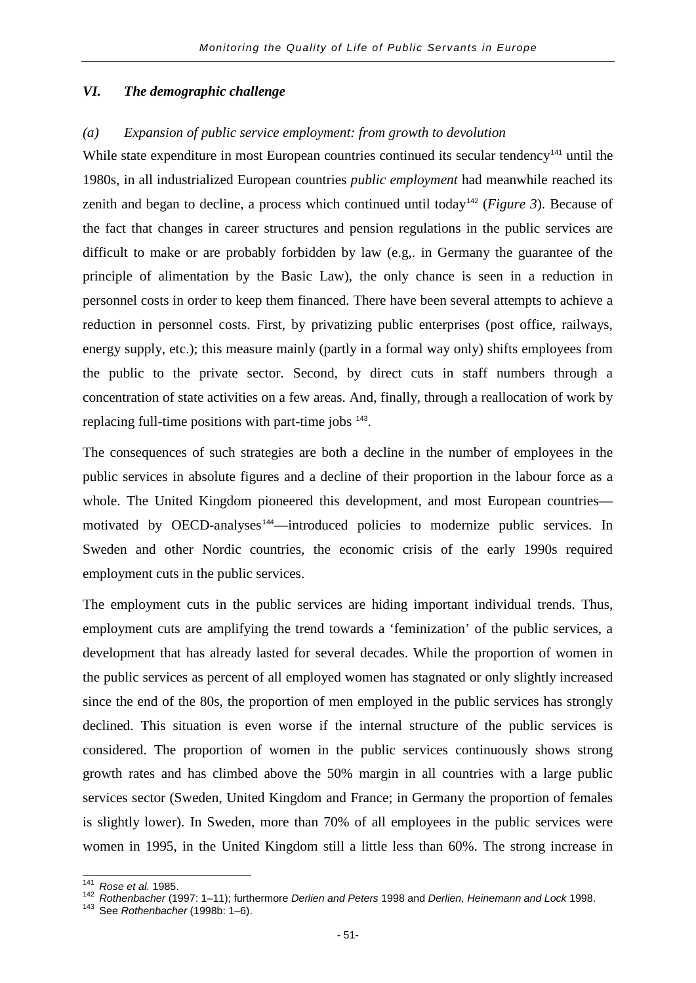#### *VI. The demographic challenge*

#### *(a) Expansion of public service employment: from growth to devolution*

While state expenditure in most European countries continued its secular tendency<sup>[141](#page-54-0)</sup> until the 1980s, in all industrialized European countries *public employment* had meanwhile reached its zenith and began to decline, a process which continued until today<sup>[142](#page-54-1)</sup> (*Figure 3*). Because of the fact that changes in career structures and pension regulations in the public services are difficult to make or are probably forbidden by law (e.g,. in Germany the guarantee of the principle of alimentation by the Basic Law), the only chance is seen in a reduction in personnel costs in order to keep them financed. There have been several attempts to achieve a reduction in personnel costs. First, by privatizing public enterprises (post office, railways, energy supply, etc.); this measure mainly (partly in a formal way only) shifts employees from the public to the private sector. Second, by direct cuts in staff numbers through a concentration of state activities on a few areas. And, finally, through a reallocation of work by replacing full-time positions with part-time jobs <sup>[143](#page-54-2)</sup>.

The consequences of such strategies are both a decline in the number of employees in the public services in absolute figures and a decline of their proportion in the labour force as a whole. The United Kingdom pioneered this development, and most European countries— motivated by OECD-analyses<sup>[144](#page-54-3)</sup>—introduced policies to modernize public services. In Sweden and other Nordic countries, the economic crisis of the early 1990s required employment cuts in the public services.

The employment cuts in the public services are hiding important individual trends. Thus, employment cuts are amplifying the trend towards a 'feminization' of the public services, a development that has already lasted for several decades. While the proportion of women in the public services as percent of all employed women has stagnated or only slightly increased since the end of the 80s, the proportion of men employed in the public services has strongly declined. This situation is even worse if the internal structure of the public services is considered. The proportion of women in the public services continuously shows strong growth rates and has climbed above the 50% margin in all countries with a large public services sector (Sweden, United Kingdom and France; in Germany the proportion of females is slightly lower). In Sweden, more than 70% of all employees in the public services were women in 1995, in the United Kingdom still a little less than 60%. The strong increase in

<span id="page-54-1"></span>

<span id="page-54-3"></span><span id="page-54-0"></span><sup>141</sup> *Rose et al.* 1985. <sup>142</sup> *Rothenbacher* (1997: 1–11); furthermore *Derlien and Peters* 1998 and *Derlien, Heinemann and Lock* 1998. <sup>143</sup> See *Rothenbacher* (1998b: 1–6).

<span id="page-54-2"></span>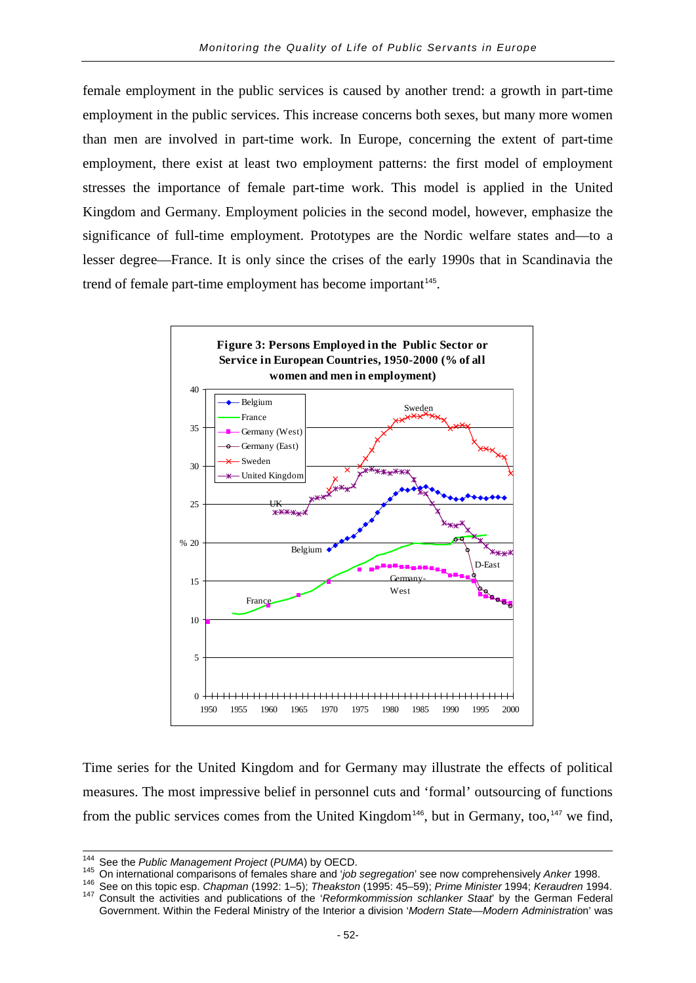female employment in the public services is caused by another trend: a growth in part-time employment in the public services. This increase concerns both sexes, but many more women than men are involved in part-time work. In Europe, concerning the extent of part-time employment, there exist at least two employment patterns: the first model of employment stresses the importance of female part-time work. This model is applied in the United Kingdom and Germany. Employment policies in the second model, however, emphasize the significance of full-time employment. Prototypes are the Nordic welfare states and—to a lesser degree—France. It is only since the crises of the early 1990s that in Scandinavia the trend of female part-time employment has become important<sup>[145](#page-55-0)</sup>.



Time series for the United Kingdom and for Germany may illustrate the effects of political measures. The most impressive belief in personnel cuts and 'formal' outsourcing of functions from the public services comes from the United Kingdom<sup>[146](#page-55-1)</sup>, but in Germany, too,<sup>[147](#page-55-2)</sup> we find,

<span id="page-55-2"></span><span id="page-55-1"></span><span id="page-55-0"></span>

<sup>&</sup>lt;sup>144</sup> See the *Public Management Project (PUMA)* by OECD.<br><sup>145</sup> On international comparisons of females share and '*job segregation*' see now comprehensively *Anker* 1998.<br><sup>146</sup> See on this topic esp. *Chapman (1992: 1–5)* Government. Within the Federal Ministry of the Interior a division '*Modern State—Modern Administratio*n' was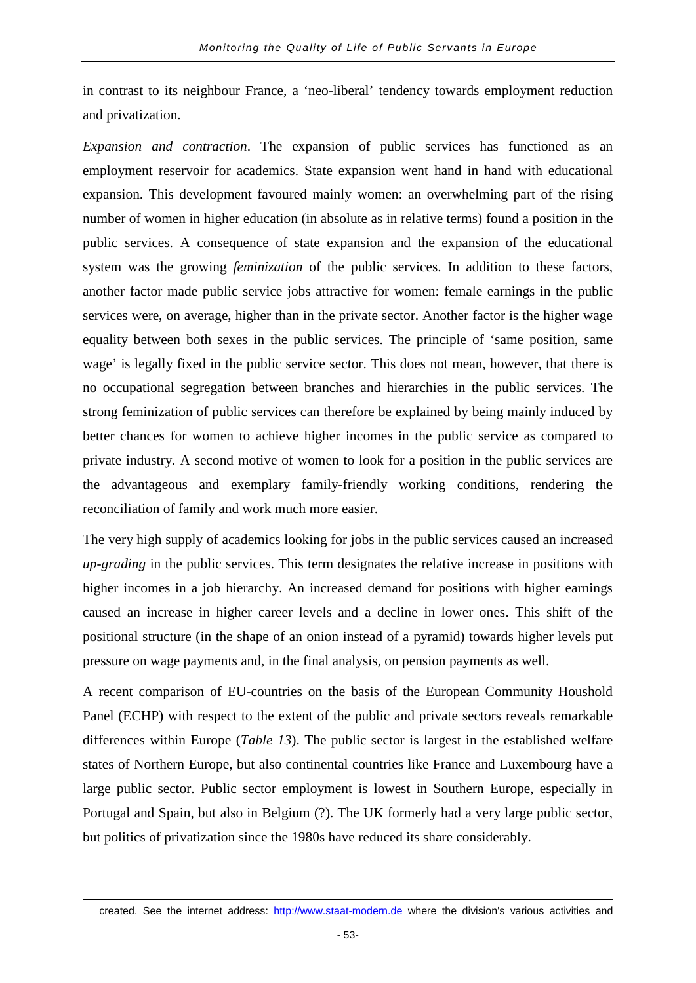in contrast to its neighbour France, a 'neo-liberal' tendency towards employment reduction and privatization.

*Expansion and contraction*. The expansion of public services has functioned as an employment reservoir for academics. State expansion went hand in hand with educational expansion. This development favoured mainly women: an overwhelming part of the rising number of women in higher education (in absolute as in relative terms) found a position in the public services. A consequence of state expansion and the expansion of the educational system was the growing *feminization* of the public services. In addition to these factors, another factor made public service jobs attractive for women: female earnings in the public services were, on average, higher than in the private sector. Another factor is the higher wage equality between both sexes in the public services. The principle of 'same position, same wage' is legally fixed in the public service sector. This does not mean, however, that there is no occupational segregation between branches and hierarchies in the public services. The strong feminization of public services can therefore be explained by being mainly induced by better chances for women to achieve higher incomes in the public service as compared to private industry. A second motive of women to look for a position in the public services are the advantageous and exemplary family-friendly working conditions, rendering the reconciliation of family and work much more easier.

The very high supply of academics looking for jobs in the public services caused an increased *up-grading* in the public services. This term designates the relative increase in positions with higher incomes in a job hierarchy. An increased demand for positions with higher earnings caused an increase in higher career levels and a decline in lower ones. This shift of the positional structure (in the shape of an onion instead of a pyramid) towards higher levels put pressure on wage payments and, in the final analysis, on pension payments as well.

A recent comparison of EU-countries on the basis of the European Community Houshold Panel (ECHP) with respect to the extent of the public and private sectors reveals remarkable differences within Europe (*Table 13*). The public sector is largest in the established welfare states of Northern Europe, but also continental countries like France and Luxembourg have a large public sector. Public sector employment is lowest in Southern Europe, especially in Portugal and Spain, but also in Belgium (?). The UK formerly had a very large public sector, but politics of privatization since the 1980s have reduced its share considerably.

-

created. See the internet address: [http://www.staat-modern.de](http://www.staat-modern.de/) where the division's various activities and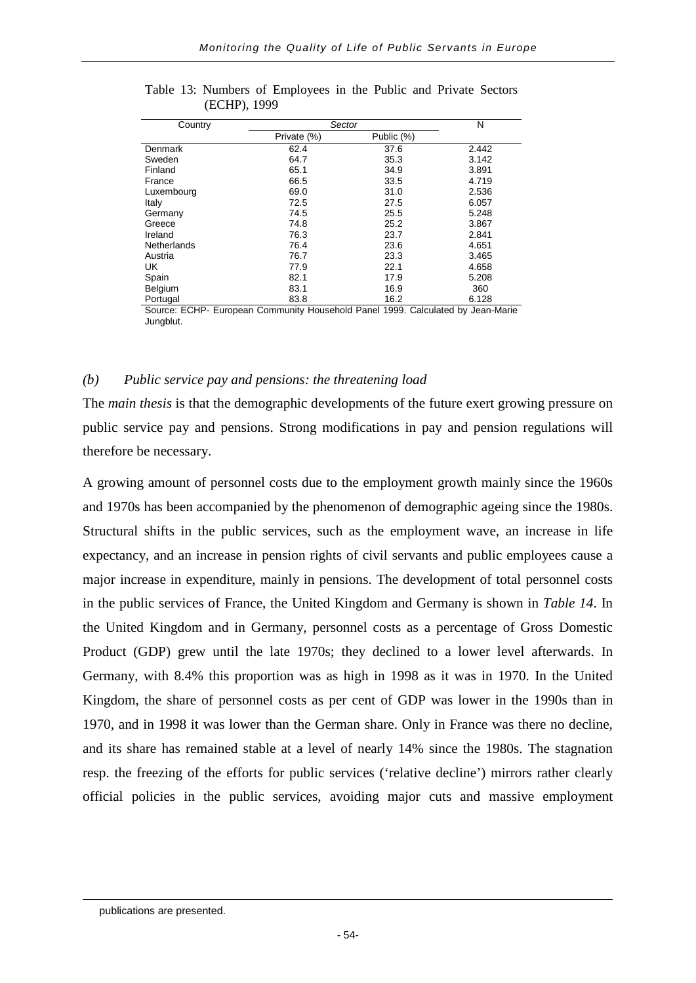| Country            |             | Sector     |       |  |  |  |  |
|--------------------|-------------|------------|-------|--|--|--|--|
|                    | Private (%) | Public (%) |       |  |  |  |  |
| <b>Denmark</b>     | 62.4        | 37.6       | 2.442 |  |  |  |  |
| Sweden             | 64.7        | 35.3       | 3.142 |  |  |  |  |
| Finland            | 65.1        | 34.9       | 3.891 |  |  |  |  |
| France             | 66.5        | 33.5       | 4.719 |  |  |  |  |
| Luxembourg         | 69.0        | 31.0       | 2.536 |  |  |  |  |
| Italy              | 72.5        | 27.5       | 6.057 |  |  |  |  |
| Germany            | 74.5        | 25.5       | 5.248 |  |  |  |  |
| Greece             | 74.8        | 25.2       | 3.867 |  |  |  |  |
| Ireland            | 76.3        | 23.7       | 2.841 |  |  |  |  |
| <b>Netherlands</b> | 76.4        | 23.6       | 4.651 |  |  |  |  |
| Austria            | 76.7        | 23.3       | 3.465 |  |  |  |  |
| UK                 | 77.9        | 22.1       | 4.658 |  |  |  |  |
| Spain              | 82.1        | 17.9       | 5.208 |  |  |  |  |
| Belgium            | 83.1        | 16.9       | 360   |  |  |  |  |
| Portugal           | 83.8        | 16.2       | 6.128 |  |  |  |  |

Table 13: Numbers of Employees in the Public and Private Sectors (ECHP), 1999

Source: ECHP- European Community Household Panel 1999. Calculated by Jean-Marie Jungblut.

## *(b) Public service pay and pensions: the threatening load*

The *main thesis* is that the demographic developments of the future exert growing pressure on public service pay and pensions. Strong modifications in pay and pension regulations will therefore be necessary.

A growing amount of personnel costs due to the employment growth mainly since the 1960s and 1970s has been accompanied by the phenomenon of demographic ageing since the 1980s. Structural shifts in the public services, such as the employment wave, an increase in life expectancy, and an increase in pension rights of civil servants and public employees cause a major increase in expenditure, mainly in pensions. The development of total personnel costs in the public services of France, the United Kingdom and Germany is shown in *Table 14*. In the United Kingdom and in Germany, personnel costs as a percentage of Gross Domestic Product (GDP) grew until the late 1970s; they declined to a lower level afterwards. In Germany, with 8.4% this proportion was as high in 1998 as it was in 1970. In the United Kingdom, the share of personnel costs as per cent of GDP was lower in the 1990s than in 1970, and in 1998 it was lower than the German share. Only in France was there no decline, and its share has remained stable at a level of nearly 14% since the 1980s. The stagnation resp. the freezing of the efforts for public services ('relative decline') mirrors rather clearly official policies in the public services, avoiding major cuts and massive employment

-

publications are presented.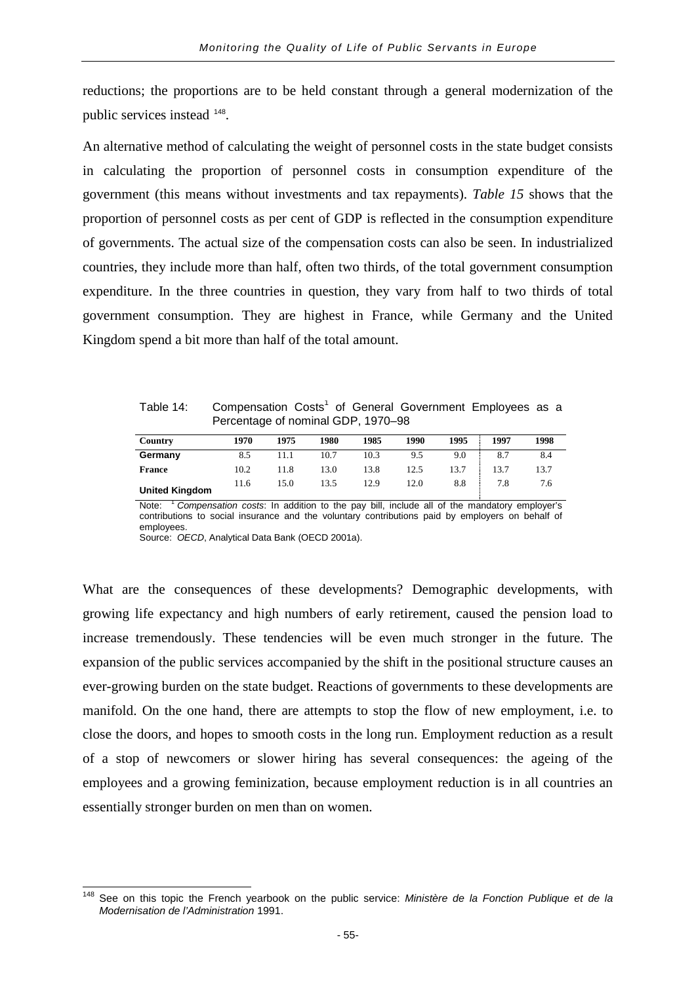reductions; the proportions are to be held constant through a general modernization of the public services instead [148](#page-58-0).

An alternative method of calculating the weight of personnel costs in the state budget consists in calculating the proportion of personnel costs in consumption expenditure of the government (this means without investments and tax repayments). *Table 15* shows that the proportion of personnel costs as per cent of GDP is reflected in the consumption expenditure of governments. The actual size of the compensation costs can also be seen. In industrialized countries, they include more than half, often two thirds, of the total government consumption expenditure. In the three countries in question, they vary from half to two thirds of total government consumption. They are highest in France, while Germany and the United Kingdom spend a bit more than half of the total amount.

| Table 14: | Compensation Costs <sup>1</sup> of General Government Employees as a |  |  |  |  |
|-----------|----------------------------------------------------------------------|--|--|--|--|
|           | Percentage of nominal GDP, 1970-98                                   |  |  |  |  |

| Country               | 1970 | 1975 | 1980 | 1985 | 1990 | 1995 | 1997 | 1998 |
|-----------------------|------|------|------|------|------|------|------|------|
| Germany               | 8.5  |      | 10.7 | 10.3 | 9.5  | 9.0  | 8.7  | 8.4  |
| <b>France</b>         | 10.2 | 11.8 | 13.0 | 13.8 | 12.5 | 13.7 | 13.7 | 13.7 |
| <b>United Kingdom</b> | 11.6 | 15.0 | 13.5 | 12.9 | 12.0 | 8.8  | 7.8  | 7.6  |

Note: <sup>1</sup> *Compensation costs*: In addition to the pay bill, include all of the mandatory employer's contributions to social insurance and the voluntary contributions paid by employers on behalf of employees.

Source: *OECD*, Analytical Data Bank (OECD 2001a).

What are the consequences of these developments? Demographic developments, with growing life expectancy and high numbers of early retirement, caused the pension load to increase tremendously. These tendencies will be even much stronger in the future. The expansion of the public services accompanied by the shift in the positional structure causes an ever-growing burden on the state budget. Reactions of governments to these developments are manifold. On the one hand, there are attempts to stop the flow of new employment, i.e. to close the doors, and hopes to smooth costs in the long run. Employment reduction as a result of a stop of newcomers or slower hiring has several consequences: the ageing of the employees and a growing feminization, because employment reduction is in all countries an essentially stronger burden on men than on women.

<span id="page-58-0"></span><sup>148</sup> See on this topic the French yearbook on the public service: *Ministère de la Fonction Publique et de la Modernisation de l'Administration* 1991.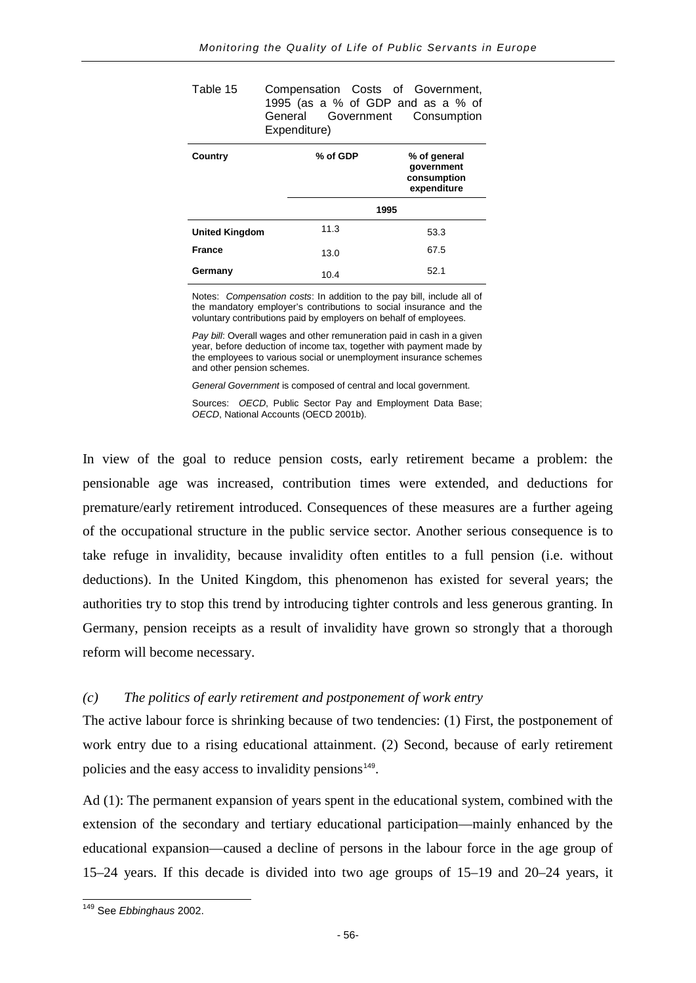| Table 15 | Compensation Costs of Government, |  |  |
|----------|-----------------------------------|--|--|
|          | 1995 (as a % of GDP and as a % of |  |  |
|          | General Government Consumption    |  |  |
|          | Expenditure)                      |  |  |

| Country               | % of GDP | % of general<br>government<br>consumption<br>expenditure |
|-----------------------|----------|----------------------------------------------------------|
|                       |          | 1995                                                     |
| <b>United Kingdom</b> | 11.3     | 53.3                                                     |
| <b>France</b>         | 13.0     | 67.5                                                     |
| Germany               | 10.4     | 52.1                                                     |

Notes: *Compensation costs*: In addition to the pay bill, include all of the mandatory employer's contributions to social insurance and the voluntary contributions paid by employers on behalf of employees.

*Pay bill*: Overall wages and other remuneration paid in cash in a given year, before deduction of income tax, together with payment made by the employees to various social or unemployment insurance schemes and other pension schemes.

*General Government* is composed of central and local government.

Sources: *OECD*, Public Sector Pay and Employment Data Base; *OECD*, National Accounts (OECD 2001b).

In view of the goal to reduce pension costs, early retirement became a problem: the pensionable age was increased, contribution times were extended, and deductions for premature/early retirement introduced. Consequences of these measures are a further ageing of the occupational structure in the public service sector. Another serious consequence is to take refuge in invalidity, because invalidity often entitles to a full pension (i.e. without deductions). In the United Kingdom, this phenomenon has existed for several years; the authorities try to stop this trend by introducing tighter controls and less generous granting. In Germany, pension receipts as a result of invalidity have grown so strongly that a thorough reform will become necessary.

### *(c) The politics of early retirement and postponement of work entry*

The active labour force is shrinking because of two tendencies: (1) First, the postponement of work entry due to a rising educational attainment. (2) Second, because of early retirement policies and the easy access to invalidity pensions<sup>[149](#page-59-0)</sup>.

Ad (1): The permanent expansion of years spent in the educational system, combined with the extension of the secondary and tertiary educational participation—mainly enhanced by the educational expansion—caused a decline of persons in the labour force in the age group of 15–24 years. If this decade is divided into two age groups of 15–19 and 20–24 years, it

<span id="page-59-0"></span><sup>149</sup> See *Ebbinghaus* 2002.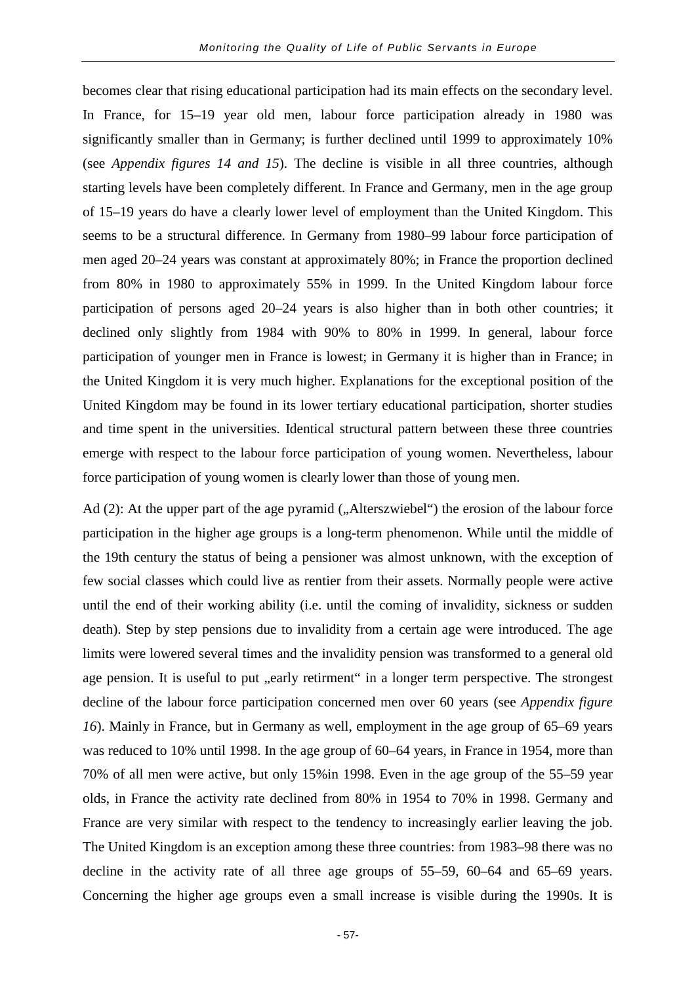becomes clear that rising educational participation had its main effects on the secondary level. In France, for 15–19 year old men, labour force participation already in 1980 was significantly smaller than in Germany; is further declined until 1999 to approximately 10% (see *Appendix figures 14 and 15*). The decline is visible in all three countries, although starting levels have been completely different. In France and Germany, men in the age group of 15–19 years do have a clearly lower level of employment than the United Kingdom. This seems to be a structural difference. In Germany from 1980–99 labour force participation of men aged 20–24 years was constant at approximately 80%; in France the proportion declined from 80% in 1980 to approximately 55% in 1999. In the United Kingdom labour force participation of persons aged 20–24 years is also higher than in both other countries; it declined only slightly from 1984 with 90% to 80% in 1999. In general, labour force participation of younger men in France is lowest; in Germany it is higher than in France; in the United Kingdom it is very much higher. Explanations for the exceptional position of the United Kingdom may be found in its lower tertiary educational participation, shorter studies and time spent in the universities. Identical structural pattern between these three countries emerge with respect to the labour force participation of young women. Nevertheless, labour force participation of young women is clearly lower than those of young men.

Ad  $(2)$ : At the upper part of the age pyramid  $($ , Alterszwiebel $'$ ) the erosion of the labour force participation in the higher age groups is a long-term phenomenon. While until the middle of the 19th century the status of being a pensioner was almost unknown, with the exception of few social classes which could live as rentier from their assets. Normally people were active until the end of their working ability (i.e. until the coming of invalidity, sickness or sudden death). Step by step pensions due to invalidity from a certain age were introduced. The age limits were lowered several times and the invalidity pension was transformed to a general old age pension. It is useful to put "early retirment" in a longer term perspective. The strongest decline of the labour force participation concerned men over 60 years (see *Appendix figure 16*). Mainly in France, but in Germany as well, employment in the age group of 65–69 years was reduced to 10% until 1998. In the age group of 60–64 years, in France in 1954, more than 70% of all men were active, but only 15%in 1998. Even in the age group of the 55–59 year olds, in France the activity rate declined from 80% in 1954 to 70% in 1998. Germany and France are very similar with respect to the tendency to increasingly earlier leaving the job. The United Kingdom is an exception among these three countries: from 1983–98 there was no decline in the activity rate of all three age groups of 55–59, 60–64 and 65–69 years. Concerning the higher age groups even a small increase is visible during the 1990s. It is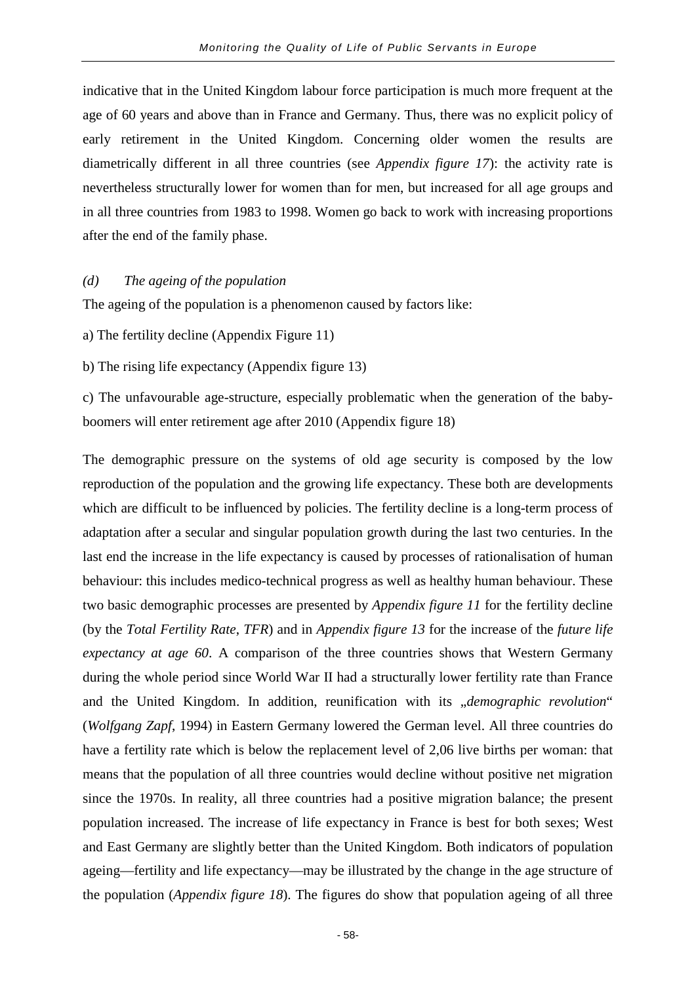indicative that in the United Kingdom labour force participation is much more frequent at the age of 60 years and above than in France and Germany. Thus, there was no explicit policy of early retirement in the United Kingdom. Concerning older women the results are diametrically different in all three countries (see *Appendix figure 17*): the activity rate is nevertheless structurally lower for women than for men, but increased for all age groups and in all three countries from 1983 to 1998. Women go back to work with increasing proportions after the end of the family phase.

#### *(d) The ageing of the population*

The ageing of the population is a phenomenon caused by factors like:

a) The fertility decline (Appendix Figure 11)

b) The rising life expectancy (Appendix figure 13)

c) The unfavourable age-structure, especially problematic when the generation of the babyboomers will enter retirement age after 2010 (Appendix figure 18)

The demographic pressure on the systems of old age security is composed by the low reproduction of the population and the growing life expectancy. These both are developments which are difficult to be influenced by policies. The fertility decline is a long-term process of adaptation after a secular and singular population growth during the last two centuries. In the last end the increase in the life expectancy is caused by processes of rationalisation of human behaviour: this includes medico-technical progress as well as healthy human behaviour. These two basic demographic processes are presented by *Appendix figure 11* for the fertility decline (by the *Total Fertility Rate*, *TFR*) and in *Appendix figure 13* for the increase of the *future life expectancy at age 60*. A comparison of the three countries shows that Western Germany during the whole period since World War II had a structurally lower fertility rate than France and the United Kingdom. In addition, reunification with its "demographic revolution" (*Wolfgang Zapf*, 1994) in Eastern Germany lowered the German level. All three countries do have a fertility rate which is below the replacement level of 2,06 live births per woman: that means that the population of all three countries would decline without positive net migration since the 1970s. In reality, all three countries had a positive migration balance; the present population increased. The increase of life expectancy in France is best for both sexes; West and East Germany are slightly better than the United Kingdom. Both indicators of population ageing—fertility and life expectancy—may be illustrated by the change in the age structure of the population (*Appendix figure 18*). The figures do show that population ageing of all three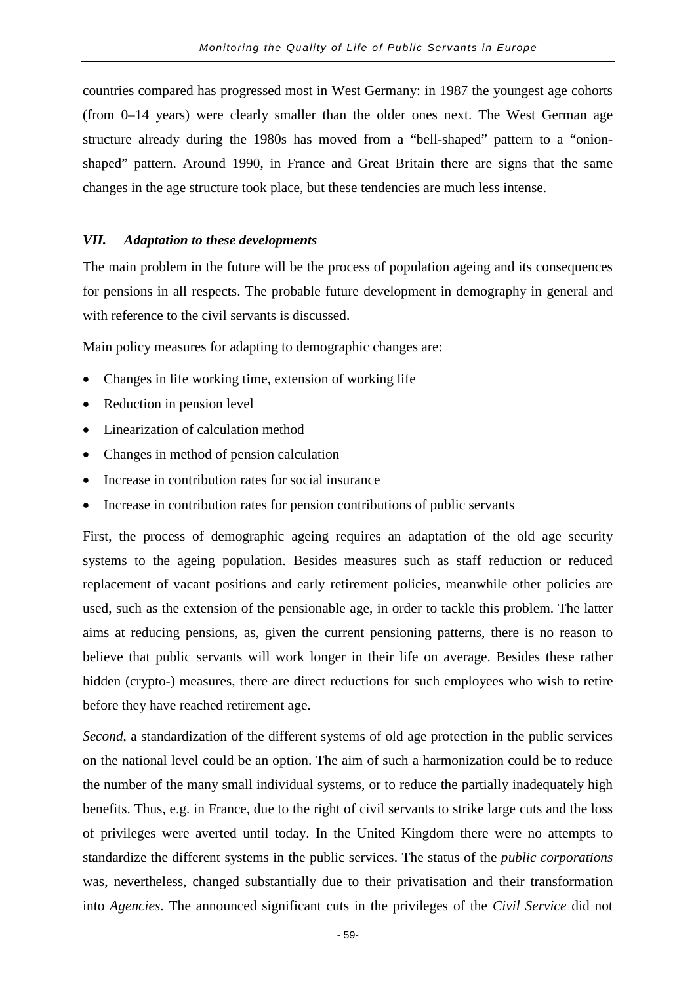countries compared has progressed most in West Germany: in 1987 the youngest age cohorts (from 0–14 years) were clearly smaller than the older ones next. The West German age structure already during the 1980s has moved from a "bell-shaped" pattern to a "onionshaped" pattern. Around 1990, in France and Great Britain there are signs that the same changes in the age structure took place, but these tendencies are much less intense.

## *VII. Adaptation to these developments*

The main problem in the future will be the process of population ageing and its consequences for pensions in all respects. The probable future development in demography in general and with reference to the civil servants is discussed.

Main policy measures for adapting to demographic changes are:

- Changes in life working time, extension of working life
- Reduction in pension level
- Linearization of calculation method
- Changes in method of pension calculation
- Increase in contribution rates for social insurance
- Increase in contribution rates for pension contributions of public servants

First, the process of demographic ageing requires an adaptation of the old age security systems to the ageing population. Besides measures such as staff reduction or reduced replacement of vacant positions and early retirement policies, meanwhile other policies are used, such as the extension of the pensionable age, in order to tackle this problem. The latter aims at reducing pensions, as, given the current pensioning patterns, there is no reason to believe that public servants will work longer in their life on average. Besides these rather hidden (crypto-) measures, there are direct reductions for such employees who wish to retire before they have reached retirement age.

*Second*, a standardization of the different systems of old age protection in the public services on the national level could be an option. The aim of such a harmonization could be to reduce the number of the many small individual systems, or to reduce the partially inadequately high benefits. Thus, e.g. in France, due to the right of civil servants to strike large cuts and the loss of privileges were averted until today. In the United Kingdom there were no attempts to standardize the different systems in the public services. The status of the *public corporations* was, nevertheless, changed substantially due to their privatisation and their transformation into *Agencies*. The announced significant cuts in the privileges of the *Civil Service* did not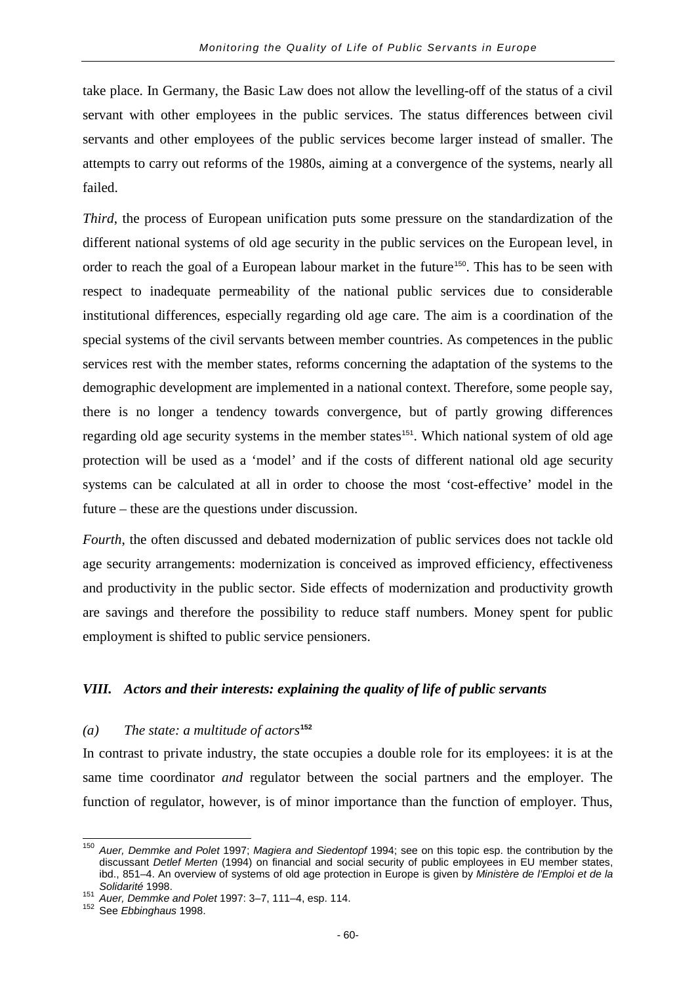take place. In Germany, the Basic Law does not allow the levelling-off of the status of a civil servant with other employees in the public services. The status differences between civil servants and other employees of the public services become larger instead of smaller. The attempts to carry out reforms of the 1980s, aiming at a convergence of the systems, nearly all failed.

*Third*, the process of European unification puts some pressure on the standardization of the different national systems of old age security in the public services on the European level, in order to reach the goal of a European labour market in the future<sup>[150](#page-63-0)</sup>. This has to be seen with respect to inadequate permeability of the national public services due to considerable institutional differences, especially regarding old age care. The aim is a coordination of the special systems of the civil servants between member countries. As competences in the public services rest with the member states, reforms concerning the adaptation of the systems to the demographic development are implemented in a national context. Therefore, some people say, there is no longer a tendency towards convergence, but of partly growing differences regarding old age security systems in the member states<sup>[151](#page-63-1)</sup>. Which national system of old age protection will be used as a 'model' and if the costs of different national old age security systems can be calculated at all in order to choose the most 'cost-effective' model in the future – these are the questions under discussion.

*Fourth*, the often discussed and debated modernization of public services does not tackle old age security arrangements: modernization is conceived as improved efficiency, effectiveness and productivity in the public sector. Side effects of modernization and productivity growth are savings and therefore the possibility to reduce staff numbers. Money spent for public employment is shifted to public service pensioners.

## *VIII. Actors and their interests: explaining the quality of life of public servants*

## *(a) The state: a multitude of actors***[152](#page-63-2)**

In contrast to private industry, the state occupies a double role for its employees: it is at the same time coordinator *and* regulator between the social partners and the employer. The function of regulator, however, is of minor importance than the function of employer. Thus,

<span id="page-63-0"></span><sup>150</sup> *Auer, Demmke and Polet* 1997; *Magiera and Siedentopf* 1994; see on this topic esp. the contribution by the discussant *Detlef Merten* (1994) on financial and social security of public employees in EU member states, ibd., 851–4. An overview of systems of old age protection in Europe is given by *Ministère de l'Emploi et de la* 

<span id="page-63-1"></span>*Solidarité* 1998. <sup>151</sup> *Auer, Demmke and Polet* 1997: 3–7, 111–4, esp. 114. <sup>152</sup> See *Ebbinghaus* 1998.

<span id="page-63-2"></span>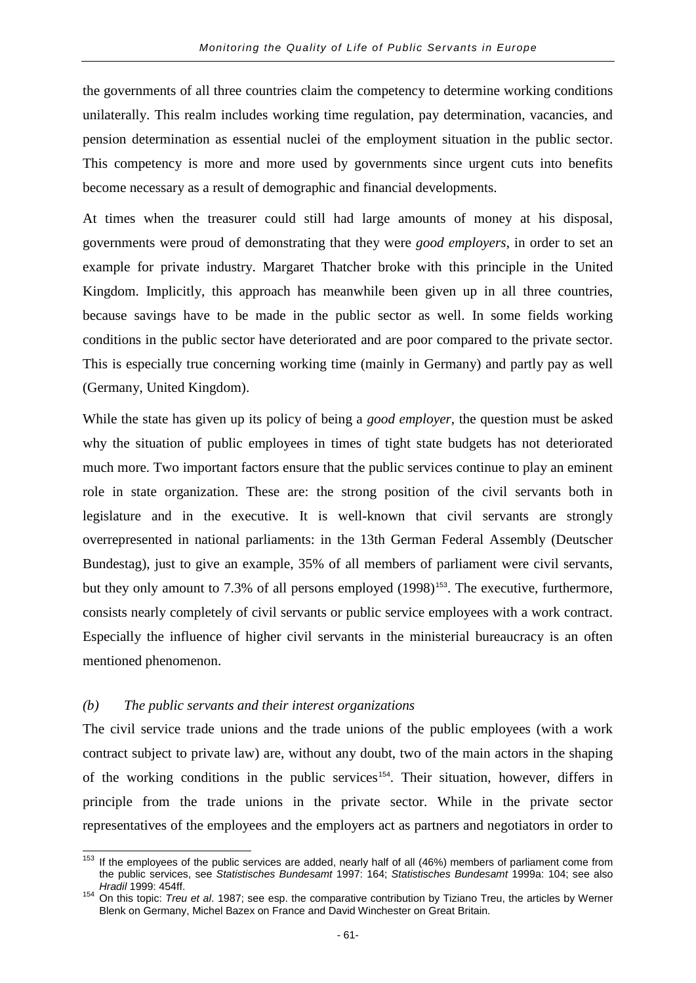the governments of all three countries claim the competency to determine working conditions unilaterally. This realm includes working time regulation, pay determination, vacancies, and pension determination as essential nuclei of the employment situation in the public sector. This competency is more and more used by governments since urgent cuts into benefits become necessary as a result of demographic and financial developments.

At times when the treasurer could still had large amounts of money at his disposal, governments were proud of demonstrating that they were *good employers*, in order to set an example for private industry. Margaret Thatcher broke with this principle in the United Kingdom. Implicitly, this approach has meanwhile been given up in all three countries, because savings have to be made in the public sector as well. In some fields working conditions in the public sector have deteriorated and are poor compared to the private sector. This is especially true concerning working time (mainly in Germany) and partly pay as well (Germany, United Kingdom).

While the state has given up its policy of being a *good employer*, the question must be asked why the situation of public employees in times of tight state budgets has not deteriorated much more. Two important factors ensure that the public services continue to play an eminent role in state organization. These are: the strong position of the civil servants both in legislature and in the executive. It is well-known that civil servants are strongly overrepresented in national parliaments: in the 13th German Federal Assembly (Deutscher Bundestag), just to give an example, 35% of all members of parliament were civil servants, but they only amount to 7.3% of all persons employed (1998)<sup>[153](#page-64-0)</sup>. The executive, furthermore, consists nearly completely of civil servants or public service employees with a work contract. Especially the influence of higher civil servants in the ministerial bureaucracy is an often mentioned phenomenon.

### *(b) The public servants and their interest organizations*

The civil service trade unions and the trade unions of the public employees (with a work contract subject to private law) are, without any doubt, two of the main actors in the shaping of the working conditions in the public services<sup>[154](#page-64-1)</sup>. Their situation, however, differs in principle from the trade unions in the private sector. While in the private sector representatives of the employees and the employers act as partners and negotiators in order to

<span id="page-64-0"></span> $153$  If the employees of the public services are added, nearly half of all (46%) members of parliament come from the public services, see *Statistisches Bundesamt* 1997: 164; *Statistisches Bundesamt* 1999a: 104; see also

<span id="page-64-1"></span>*Hradil* 1999: 454ff. <sup>154</sup> On this topic: *Treu et al*. 1987; see esp. the comparative contribution by Tiziano Treu, the articles by Werner Blenk on Germany, Michel Bazex on France and David Winchester on Great Britain.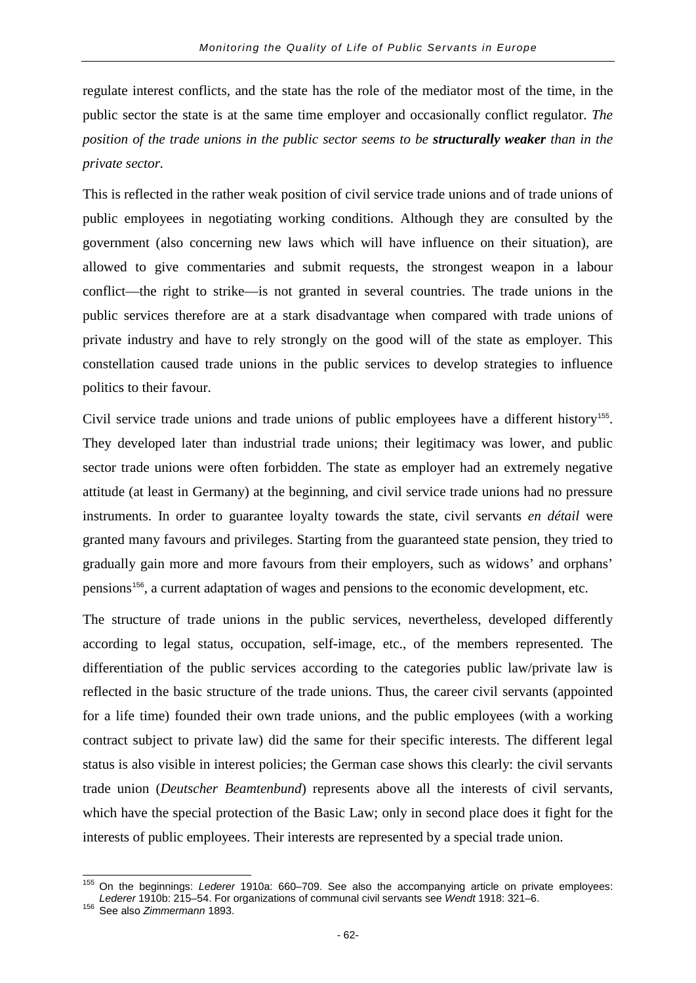regulate interest conflicts, and the state has the role of the mediator most of the time, in the public sector the state is at the same time employer and occasionally conflict regulator. *The position of the trade unions in the public sector seems to be structurally weaker than in the private sector.*

This is reflected in the rather weak position of civil service trade unions and of trade unions of public employees in negotiating working conditions. Although they are consulted by the government (also concerning new laws which will have influence on their situation), are allowed to give commentaries and submit requests, the strongest weapon in a labour conflict—the right to strike—is not granted in several countries. The trade unions in the public services therefore are at a stark disadvantage when compared with trade unions of private industry and have to rely strongly on the good will of the state as employer. This constellation caused trade unions in the public services to develop strategies to influence politics to their favour.

Civil service trade unions and trade unions of public employees have a different history<sup>[155](#page-65-0)</sup>. They developed later than industrial trade unions; their legitimacy was lower, and public sector trade unions were often forbidden. The state as employer had an extremely negative attitude (at least in Germany) at the beginning, and civil service trade unions had no pressure instruments. In order to guarantee loyalty towards the state, civil servants *en détail* were granted many favours and privileges. Starting from the guaranteed state pension, they tried to gradually gain more and more favours from their employers, such as widows' and orphans' pensions[156](#page-65-1), a current adaptation of wages and pensions to the economic development, etc.

The structure of trade unions in the public services, nevertheless, developed differently according to legal status, occupation, self-image, etc., of the members represented. The differentiation of the public services according to the categories public law/private law is reflected in the basic structure of the trade unions. Thus, the career civil servants (appointed for a life time) founded their own trade unions, and the public employees (with a working contract subject to private law) did the same for their specific interests. The different legal status is also visible in interest policies; the German case shows this clearly: the civil servants trade union (*Deutscher Beamtenbund*) represents above all the interests of civil servants, which have the special protection of the Basic Law; only in second place does it fight for the interests of public employees. Their interests are represented by a special trade union.

<span id="page-65-0"></span><sup>155</sup> On the beginnings: *Lederer* 1910a: 660–709. See also the accompanying article on private employees: *Lederer* 1910b: 215–54. For organizations of communal civil servants see *Wendt* 1918: 321–6. <sup>156</sup> See also *Zimmermann* 1893.

<span id="page-65-1"></span>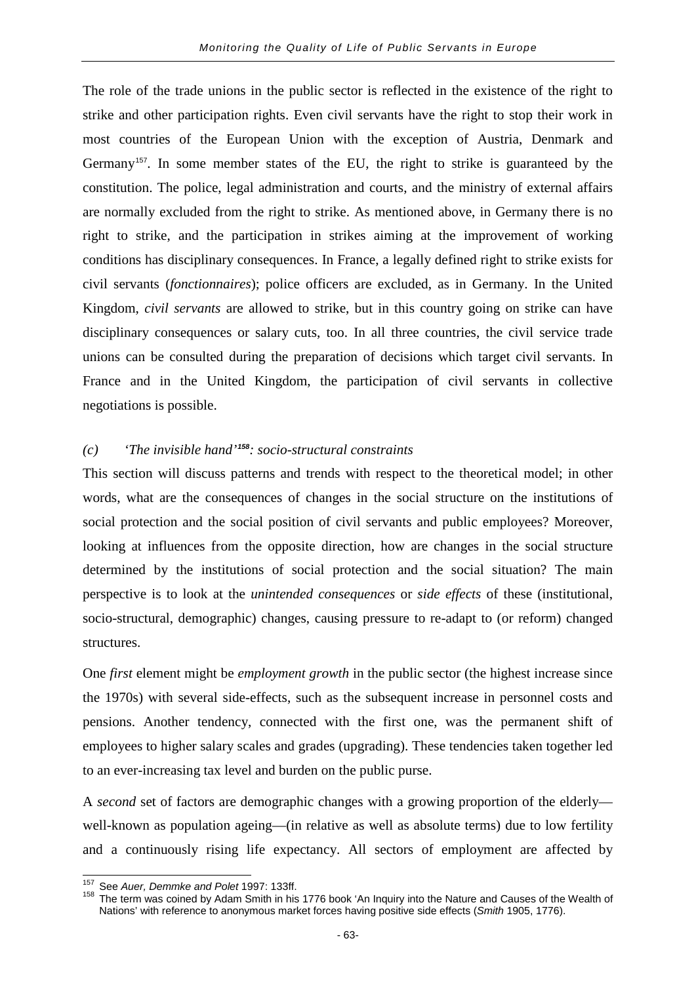The role of the trade unions in the public sector is reflected in the existence of the right to strike and other participation rights. Even civil servants have the right to stop their work in most countries of the European Union with the exception of Austria, Denmark and Germany<sup>[157](#page-66-0)</sup>. In some member states of the EU, the right to strike is guaranteed by the constitution. The police, legal administration and courts, and the ministry of external affairs are normally excluded from the right to strike. As mentioned above, in Germany there is no right to strike, and the participation in strikes aiming at the improvement of working conditions has disciplinary consequences. In France, a legally defined right to strike exists for civil servants (*fonctionnaires*); police officers are excluded, as in Germany. In the United Kingdom, *civil servants* are allowed to strike, but in this country going on strike can have disciplinary consequences or salary cuts, too. In all three countries, the civil service trade unions can be consulted during the preparation of decisions which target civil servants. In France and in the United Kingdom, the participation of civil servants in collective negotiations is possible.

# *(c) 'The invisible hand'[158](#page-66-1): socio-structural constraints*

This section will discuss patterns and trends with respect to the theoretical model; in other words, what are the consequences of changes in the social structure on the institutions of social protection and the social position of civil servants and public employees? Moreover, looking at influences from the opposite direction, how are changes in the social structure determined by the institutions of social protection and the social situation? The main perspective is to look at the *unintended consequences* or *side effects* of these (institutional, socio-structural, demographic) changes, causing pressure to re-adapt to (or reform) changed structures.

One *first* element might be *employment growth* in the public sector (the highest increase since the 1970s) with several side-effects, such as the subsequent increase in personnel costs and pensions. Another tendency, connected with the first one, was the permanent shift of employees to higher salary scales and grades (upgrading). These tendencies taken together led to an ever-increasing tax level and burden on the public purse.

A *second* set of factors are demographic changes with a growing proportion of the elderly well-known as population ageing—(in relative as well as absolute terms) due to low fertility and a continuously rising life expectancy. All sectors of employment are affected by

<span id="page-66-1"></span><span id="page-66-0"></span>

<sup>&</sup>lt;sup>157</sup> See *Auer, Demmke and Polet* 1997: 133ff.<br><sup>158</sup> The term was coined by Adam Smith in his 1776 book 'An Inquiry into the Nature and Causes of the Wealth of Nations' with reference to anonymous market forces having positive side effects (*Smith* 1905, 1776).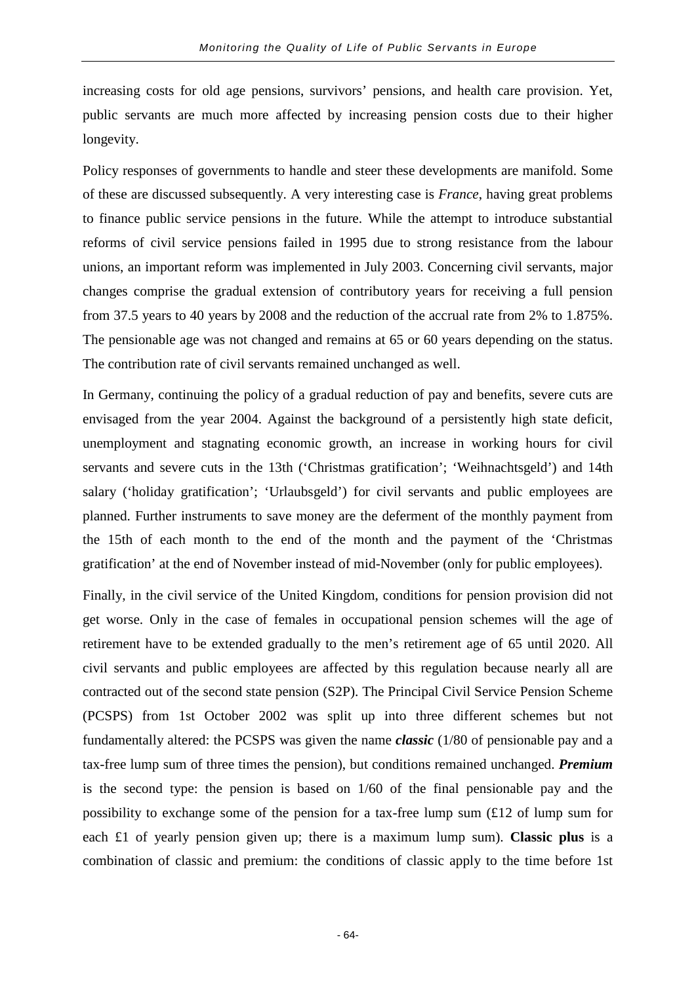increasing costs for old age pensions, survivors' pensions, and health care provision. Yet, public servants are much more affected by increasing pension costs due to their higher longevity.

Policy responses of governments to handle and steer these developments are manifold. Some of these are discussed subsequently. A very interesting case is *France*, having great problems to finance public service pensions in the future. While the attempt to introduce substantial reforms of civil service pensions failed in 1995 due to strong resistance from the labour unions, an important reform was implemented in July 2003. Concerning civil servants, major changes comprise the gradual extension of contributory years for receiving a full pension from 37.5 years to 40 years by 2008 and the reduction of the accrual rate from 2% to 1.875%. The pensionable age was not changed and remains at 65 or 60 years depending on the status. The contribution rate of civil servants remained unchanged as well.

In Germany, continuing the policy of a gradual reduction of pay and benefits, severe cuts are envisaged from the year 2004. Against the background of a persistently high state deficit, unemployment and stagnating economic growth, an increase in working hours for civil servants and severe cuts in the 13th ('Christmas gratification'; 'Weihnachtsgeld') and 14th salary ('holiday gratification'; 'Urlaubsgeld') for civil servants and public employees are planned. Further instruments to save money are the deferment of the monthly payment from the 15th of each month to the end of the month and the payment of the 'Christmas gratification' at the end of November instead of mid-November (only for public employees).

Finally, in the civil service of the United Kingdom, conditions for pension provision did not get worse. Only in the case of females in occupational pension schemes will the age of retirement have to be extended gradually to the men's retirement age of 65 until 2020. All civil servants and public employees are affected by this regulation because nearly all are contracted out of the second state pension (S2P). The Principal Civil Service Pension Scheme (PCSPS) from 1st October 2002 was split up into three different schemes but not fundamentally altered: the PCSPS was given the name *classic* (1/80 of pensionable pay and a tax-free lump sum of three times the pension), but conditions remained unchanged. *Premium* is the second type: the pension is based on 1/60 of the final pensionable pay and the possibility to exchange some of the pension for a tax-free lump sum  $(E12)$  of lump sum for each £1 of yearly pension given up; there is a maximum lump sum). **Classic plus** is a combination of classic and premium: the conditions of classic apply to the time before 1st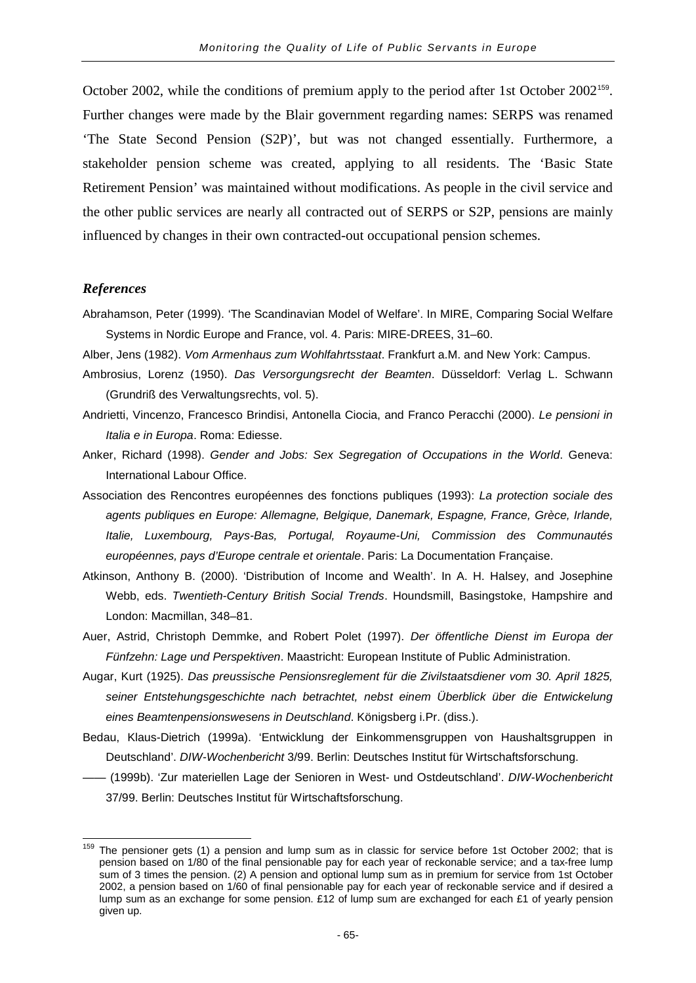October 2002, while the conditions of premium apply to the period after 1st October 2002<sup>[159](#page-68-0)</sup>. Further changes were made by the Blair government regarding names: SERPS was renamed 'The State Second Pension (S2P)', but was not changed essentially. Furthermore, a stakeholder pension scheme was created, applying to all residents. The 'Basic State Retirement Pension' was maintained without modifications. As people in the civil service and the other public services are nearly all contracted out of SERPS or S2P, pensions are mainly influenced by changes in their own contracted-out occupational pension schemes.

#### *References*

Abrahamson, Peter (1999). 'The Scandinavian Model of Welfare'. In MIRE, Comparing Social Welfare Systems in Nordic Europe and France, vol. 4. Paris: MIRE-DREES, 31–60.

Alber, Jens (1982). *Vom Armenhaus zum Wohlfahrtsstaat*. Frankfurt a.M. and New York: Campus.

Ambrosius, Lorenz (1950). *Das Versorgungsrecht der Beamten*. Düsseldorf: Verlag L. Schwann (Grundriß des Verwaltungsrechts, vol. 5).

Andrietti, Vincenzo, Francesco Brindisi, Antonella Ciocia, and Franco Peracchi (2000). *Le pensioni in Italia e in Europa*. Roma: Ediesse.

- Anker, Richard (1998). *Gender and Jobs: Sex Segregation of Occupations in the World*. Geneva: International Labour Office.
- Association des Rencontres européennes des fonctions publiques (1993): *La protection sociale des agents publiques en Europe: Allemagne, Belgique, Danemark, Espagne, France, Grèce, Irlande, Italie, Luxembourg, Pays-Bas, Portugal, Royaume-Uni, Commission des Communautés européennes, pays d'Europe centrale et orientale*. Paris: La Documentation Française.
- Atkinson, Anthony B. (2000). 'Distribution of Income and Wealth'. In A. H. Halsey, and Josephine Webb, eds. *Twentieth-Century British Social Trends*. Houndsmill, Basingstoke, Hampshire and London: Macmillan, 348–81.
- Auer, Astrid, Christoph Demmke, and Robert Polet (1997). *Der öffentliche Dienst im Europa der Fünfzehn: Lage und Perspektiven*. Maastricht: European Institute of Public Administration.
- Augar, Kurt (1925). *Das preussische Pensionsreglement für die Zivilstaatsdiener vom 30. April 1825, seiner Entstehungsgeschichte nach betrachtet, nebst einem Überblick über die Entwickelung eines Beamtenpensionswesens in Deutschland*. Königsberg i.Pr. (diss.).
- Bedau, Klaus-Dietrich (1999a). 'Entwicklung der Einkommensgruppen von Haushaltsgruppen in Deutschland'. *DIW-Wochenbericht* 3/99. Berlin: Deutsches Institut für Wirtschaftsforschung.
- —— (1999b). 'Zur materiellen Lage der Senioren in West- und Ostdeutschland'. *DIW-Wochenbericht* 37/99. Berlin: Deutsches Institut für Wirtschaftsforschung.

<span id="page-68-0"></span> $159$  The pensioner gets (1) a pension and lump sum as in classic for service before 1st October 2002; that is pension based on 1/80 of the final pensionable pay for each year of reckonable service; and a tax-free lump sum of 3 times the pension. (2) A pension and optional lump sum as in premium for service from 1st October 2002, a pension based on 1/60 of final pensionable pay for each year of reckonable service and if desired a lump sum as an exchange for some pension. £12 of lump sum are exchanged for each £1 of yearly pension given up.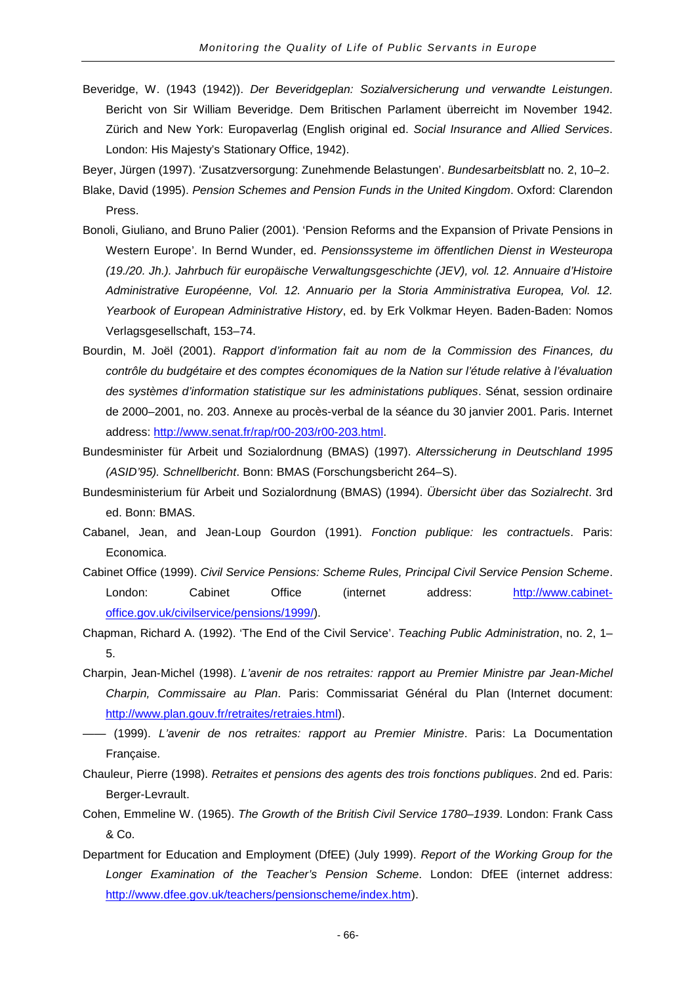- Beveridge, W. (1943 (1942)). *Der Beveridgeplan: Sozialversicherung und verwandte Leistungen*. Bericht von Sir William Beveridge. Dem Britischen Parlament überreicht im November 1942. Zürich and New York: Europaverlag (English original ed. *Social Insurance and Allied Services*. London: His Majesty's Stationary Office, 1942).
- Beyer, Jürgen (1997). 'Zusatzversorgung: Zunehmende Belastungen'. *Bundesarbeitsblatt* no. 2, 10–2.
- Blake, David (1995). *Pension Schemes and Pension Funds in the United Kingdom*. Oxford: Clarendon Press.
- Bonoli, Giuliano, and Bruno Palier (2001). 'Pension Reforms and the Expansion of Private Pensions in Western Europe'. In Bernd Wunder, ed. *Pensionssysteme im öffentlichen Dienst in Westeuropa (19./20. Jh.). Jahrbuch für europäische Verwaltungsgeschichte (JEV), vol. 12. Annuaire d'Histoire Administrative Européenne, Vol. 12. Annuario per la Storia Amministrativa Europea, Vol. 12. Yearbook of European Administrative History*, ed. by Erk Volkmar Heyen. Baden-Baden: Nomos Verlagsgesellschaft, 153–74.
- Bourdin, M. Joël (2001). *Rapport d'information fait au nom de la Commission des Finances, du contrôle du budgétaire et des comptes économiques de la Nation sur l'étude relative à l'évaluation des systèmes d'information statistique sur les administations publiques*. Sénat, session ordinaire de 2000–2001, no. 203. Annexe au procès-verbal de la séance du 30 janvier 2001. Paris. Internet address: [http://www.senat.fr/rap/r00-203/r00-203.html.](http://www.senat.fr/rap/r00-203/r00-203.html)
- Bundesminister für Arbeit und Sozialordnung (BMAS) (1997). *Alterssicherung in Deutschland 1995 (ASID'95). Schnellbericht*. Bonn: BMAS (Forschungsbericht 264–S).
- Bundesministerium für Arbeit und Sozialordnung (BMAS) (1994). *Übersicht über das Sozialrecht*. 3rd ed. Bonn: BMAS.
- Cabanel, Jean, and Jean-Loup Gourdon (1991). *Fonction publique: les contractuels*. Paris: Economica.
- Cabinet Office (1999). *Civil Service Pensions: Scheme Rules, Principal Civil Service Pension Scheme*. London: Cabinet Office (internet address: [http://www.cabinet](http://www.cabinet-office.gov.uk/civilservice/pensions/1999/)[office.gov.uk/civilservice/pensions/1999/\)](http://www.cabinet-office.gov.uk/civilservice/pensions/1999/).
- Chapman, Richard A. (1992). 'The End of the Civil Service'. *Teaching Public Administration*, no. 2, 1– 5.
- Charpin, Jean-Michel (1998). *L'avenir de nos retraites: rapport au Premier Ministre par Jean-Michel Charpin, Commissaire au Plan*. Paris: Commissariat Général du Plan (Internet document: [http://www.plan.gouv.fr/retraites/retraies.html\)](http://www.plan.gouv.fr/retraites/retraies.html).
- —— (1999). *L'avenir de nos retraites: rapport au Premier Ministre*. Paris: La Documentation Française.
- Chauleur, Pierre (1998). *Retraites et pensions des agents des trois fonctions publiques*. 2nd ed. Paris: Berger-Levrault.
- Cohen, Emmeline W. (1965). *The Growth of the British Civil Service 1780–1939*. London: Frank Cass & Co.
- Department for Education and Employment (DfEE) (July 1999). *Report of the Working Group for the Longer Examination of the Teacher's Pension Scheme*. London: DfEE (internet address: [http://www.dfee.gov.uk/teachers/pensionscheme/index.htm\)](http://www.dfee.gov.uk/teachers/pensionscheme/index.htm).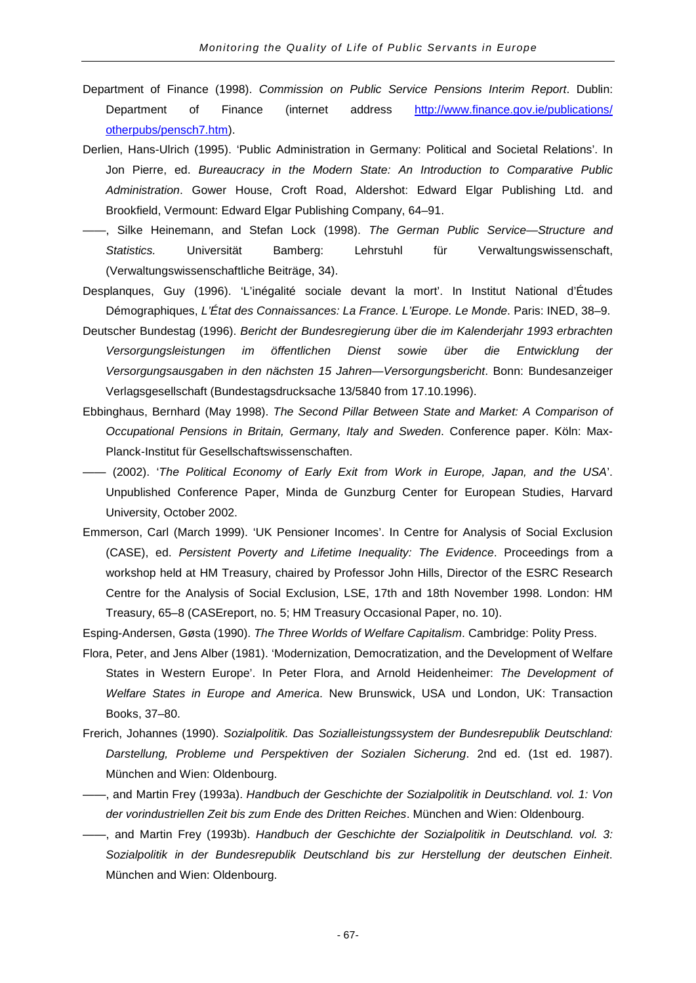- Department of Finance (1998). *Commission on Public Service Pensions Interim Report*. Dublin: Department of Finance (internet address http://www.finance.gov.ie/publications/ [otherpubs/pensch7.htm\)](http://www.finance.gov.ie/publications/%20otherpubs/pensch7.htm).
- Derlien, Hans-Ulrich (1995). 'Public Administration in Germany: Political and Societal Relations'. In Jon Pierre, ed. *Bureaucracy in the Modern State: An Introduction to Comparative Public Administration*. Gower House, Croft Road, Aldershot: Edward Elgar Publishing Ltd. and Brookfield, Vermount: Edward Elgar Publishing Company, 64–91.
- ——, Silke Heinemann, and Stefan Lock (1998). *The German Public Service—Structure and Statistics.* Universität Bamberg: Lehrstuhl für Verwaltungswissenschaft, (Verwaltungswissenschaftliche Beiträge, 34).
- Desplanques, Guy (1996). 'L'inégalité sociale devant la mort'. In Institut National d'Études Démographiques, *L'État des Connaissances: La France. L'Europe. Le Monde*. Paris: INED, 38–9.
- Deutscher Bundestag (1996). *Bericht der Bundesregierung über die im Kalenderjahr 1993 erbrachten Versorgungsleistungen im öffentlichen Dienst sowie über die Entwicklung der Versorgungsausgaben in den nächsten 15 Jahren—Versorgungsbericht*. Bonn: Bundesanzeiger Verlagsgesellschaft (Bundestagsdrucksache 13/5840 from 17.10.1996).
- Ebbinghaus, Bernhard (May 1998). *The Second Pillar Between State and Market: A Comparison of Occupational Pensions in Britain, Germany, Italy and Sweden*. Conference paper. Köln: Max-Planck-Institut für Gesellschaftswissenschaften.
- —— (2002). '*The Political Economy of Early Exit from Work in Europe, Japan, and the USA*'. Unpublished Conference Paper, Minda de Gunzburg Center for European Studies, Harvard University, October 2002.
- Emmerson, Carl (March 1999). 'UK Pensioner Incomes'. In Centre for Analysis of Social Exclusion (CASE), ed. *Persistent Poverty and Lifetime Inequality: The Evidence*. Proceedings from a workshop held at HM Treasury, chaired by Professor John Hills, Director of the ESRC Research Centre for the Analysis of Social Exclusion, LSE, 17th and 18th November 1998. London: HM Treasury, 65–8 (CASEreport, no. 5; HM Treasury Occasional Paper, no. 10).

Esping-Andersen, Gøsta (1990). *The Three Worlds of Welfare Capitalism*. Cambridge: Polity Press.

- Flora, Peter, and Jens Alber (1981). 'Modernization, Democratization, and the Development of Welfare States in Western Europe'. In Peter Flora, and Arnold Heidenheimer: *The Development of Welfare States in Europe and America*. New Brunswick, USA und London, UK: Transaction Books, 37–80.
- Frerich, Johannes (1990). *Sozialpolitik. Das Sozialleistungssystem der Bundesrepublik Deutschland: Darstellung, Probleme und Perspektiven der Sozialen Sicherung*. 2nd ed. (1st ed. 1987). München and Wien: Oldenbourg.
- ——, and Martin Frey (1993a). *Handbuch der Geschichte der Sozialpolitik in Deutschland. vol. 1: Von der vorindustriellen Zeit bis zum Ende des Dritten Reiches*. München and Wien: Oldenbourg.
- ——, and Martin Frey (1993b). *Handbuch der Geschichte der Sozialpolitik in Deutschland. vol. 3: Sozialpolitik in der Bundesrepublik Deutschland bis zur Herstellung der deutschen Einheit*. München and Wien: Oldenbourg.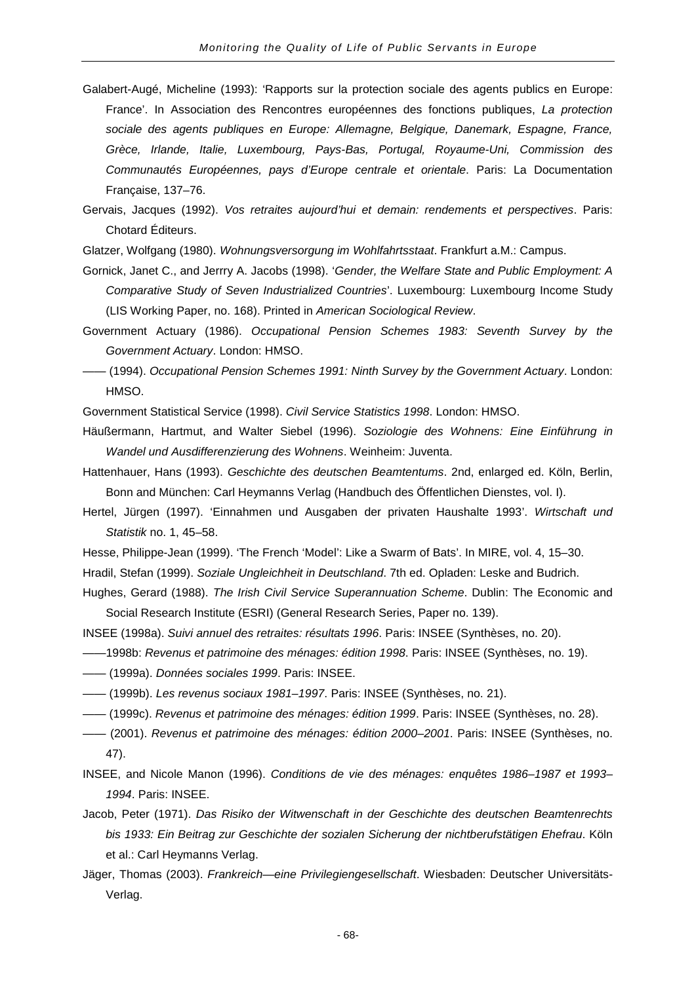- Galabert-Augé, Micheline (1993): 'Rapports sur la protection sociale des agents publics en Europe: France'. In Association des Rencontres européennes des fonctions publiques, *La protection sociale des agents publiques en Europe: Allemagne, Belgique, Danemark, Espagne, France, Grèce, Irlande, Italie, Luxembourg, Pays-Bas, Portugal, Royaume-Uni, Commission des Communautés Européennes, pays d'Europe centrale et orientale*. Paris: La Documentation Française, 137–76.
- Gervais, Jacques (1992). *Vos retraites aujourd'hui et demain: rendements et perspectives*. Paris: Chotard Éditeurs.
- Glatzer, Wolfgang (1980). *Wohnungsversorgung im Wohlfahrtsstaat*. Frankfurt a.M.: Campus.
- Gornick, Janet C., and Jerrry A. Jacobs (1998). '*Gender, the Welfare State and Public Employment: A Comparative Study of Seven Industrialized Countries*'. Luxembourg: Luxembourg Income Study (LIS Working Paper, no. 168). Printed in *American Sociological Review*.
- Government Actuary (1986). *Occupational Pension Schemes 1983: Seventh Survey by the Government Actuary*. London: HMSO.
- —— (1994). *Occupational Pension Schemes 1991: Ninth Survey by the Government Actuary*. London: HMSO.

Government Statistical Service (1998). *Civil Service Statistics 1998*. London: HMSO.

- Häußermann, Hartmut, and Walter Siebel (1996). *Soziologie des Wohnens: Eine Einführung in Wandel und Ausdifferenzierung des Wohnens*. Weinheim: Juventa.
- Hattenhauer, Hans (1993). *Geschichte des deutschen Beamtentums*. 2nd, enlarged ed. Köln, Berlin, Bonn and München: Carl Heymanns Verlag (Handbuch des Öffentlichen Dienstes, vol. I).
- Hertel, Jürgen (1997). 'Einnahmen und Ausgaben der privaten Haushalte 1993'. *Wirtschaft und Statistik* no. 1, 45–58.
- Hesse, Philippe-Jean (1999). 'The French 'Model': Like a Swarm of Bats'. In MIRE, vol. 4, 15–30.
- Hradil, Stefan (1999). *Soziale Ungleichheit in Deutschland*. 7th ed. Opladen: Leske and Budrich.
- Hughes, Gerard (1988). *The Irish Civil Service Superannuation Scheme*. Dublin: The Economic and Social Research Institute (ESRI) (General Research Series, Paper no. 139).
- INSEE (1998a). *Suivi annuel des retraites: résultats 1996*. Paris: INSEE (Synthèses, no. 20).
- ——1998b: *Revenus et patrimoine des ménages: édition 1998*. Paris: INSEE (Synthèses, no. 19).
- —— (1999a). *Données sociales 1999*. Paris: INSEE.
- —— (1999b). *Les revenus sociaux 1981–1997*. Paris: INSEE (Synthèses, no. 21).
- —— (1999c). *Revenus et patrimoine des ménages: édition 1999*. Paris: INSEE (Synthèses, no. 28).
- —— (2001). *Revenus et patrimoine des ménages: édition 2000–2001*. Paris: INSEE (Synthèses, no. 47).
- INSEE, and Nicole Manon (1996). *Conditions de vie des ménages: enquêtes 1986–1987 et 1993– 1994*. Paris: INSEE.
- Jacob, Peter (1971). *Das Risiko der Witwenschaft in der Geschichte des deutschen Beamtenrechts bis 1933: Ein Beitrag zur Geschichte der sozialen Sicherung der nichtberufstätigen Ehefrau*. Köln et al.: Carl Heymanns Verlag.
- Jäger, Thomas (2003). *Frankreich—eine Privilegiengesellschaft*. Wiesbaden: Deutscher Universitäts-Verlag.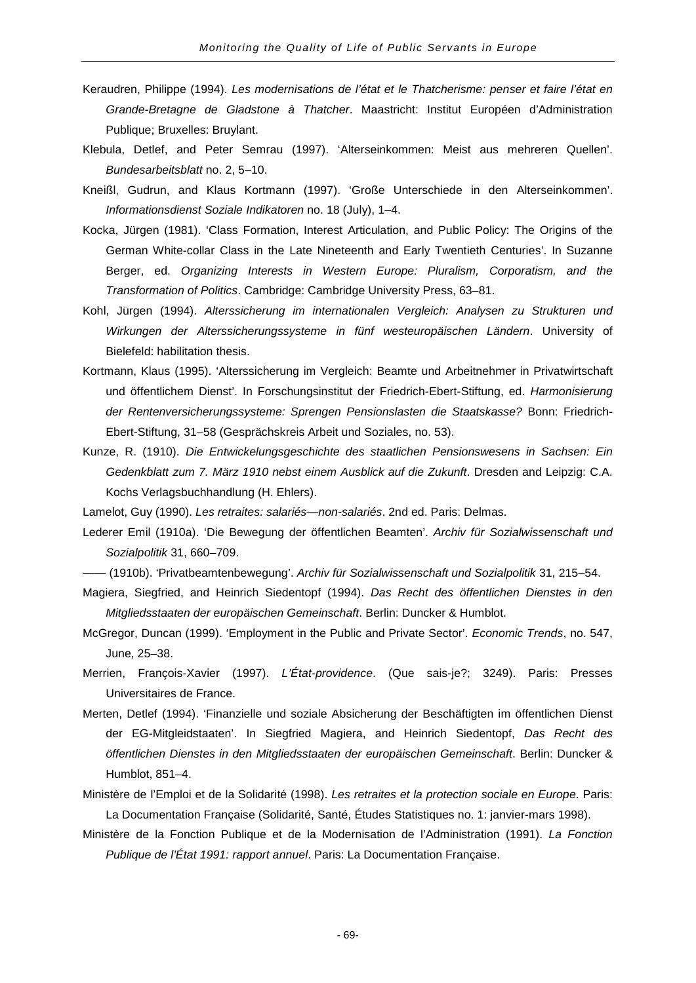- Keraudren, Philippe (1994). *Les modernisations de l'état et le Thatcherisme: penser et faire l'état en Grande-Bretagne de Gladstone à Thatcher*. Maastricht: Institut Européen d'Administration Publique; Bruxelles: Bruylant.
- Klebula, Detlef, and Peter Semrau (1997). 'Alterseinkommen: Meist aus mehreren Quellen'. *Bundesarbeitsblatt* no. 2, 5–10.
- Kneißl, Gudrun, and Klaus Kortmann (1997). 'Große Unterschiede in den Alterseinkommen'. *Informationsdienst Soziale Indikatoren* no. 18 (July), 1–4.
- Kocka, Jürgen (1981). 'Class Formation, Interest Articulation, and Public Policy: The Origins of the German White-collar Class in the Late Nineteenth and Early Twentieth Centuries'. In Suzanne Berger, ed. *Organizing Interests in Western Europe: Pluralism, Corporatism, and the Transformation of Politics*. Cambridge: Cambridge University Press, 63–81.
- Kohl, Jürgen (1994). *Alterssicherung im internationalen Vergleich: Analysen zu Strukturen und Wirkungen der Alterssicherungssysteme in fünf westeuropäischen Ländern*. University of Bielefeld: habilitation thesis.
- Kortmann, Klaus (1995). 'Alterssicherung im Vergleich: Beamte und Arbeitnehmer in Privatwirtschaft und öffentlichem Dienst'. In Forschungsinstitut der Friedrich-Ebert-Stiftung, ed. *Harmonisierung der Rentenversicherungssysteme: Sprengen Pensionslasten die Staatskasse?* Bonn: Friedrich-Ebert-Stiftung, 31–58 (Gesprächskreis Arbeit und Soziales, no. 53).
- Kunze, R. (1910). *Die Entwickelungsgeschichte des staatlichen Pensionswesens in Sachsen: Ein Gedenkblatt zum 7. März 1910 nebst einem Ausblick auf die Zukunft*. Dresden and Leipzig: C.A. Kochs Verlagsbuchhandlung (H. Ehlers).

Lamelot, Guy (1990). *Les retraites: salariés—non-salariés*. 2nd ed. Paris: Delmas.

- Lederer Emil (1910a). 'Die Bewegung der öffentlichen Beamten'. *Archiv für Sozialwissenschaft und Sozialpolitik* 31, 660–709.
- —— (1910b). 'Privatbeamtenbewegung'. *Archiv für Sozialwissenschaft und Sozialpolitik* 31, 215–54.
- Magiera, Siegfried, and Heinrich Siedentopf (1994). *Das Recht des öffentlichen Dienstes in den Mitgliedsstaaten der europäischen Gemeinschaft*. Berlin: Duncker & Humblot.
- McGregor, Duncan (1999). 'Employment in the Public and Private Sector'. *Economic Trends*, no. 547, June, 25–38.
- Merrien, François-Xavier (1997). *L'État-providence*. (Que sais-je?; 3249). Paris: Presses Universitaires de France.
- Merten, Detlef (1994). 'Finanzielle und soziale Absicherung der Beschäftigten im öffentlichen Dienst der EG-Mitgleidstaaten'. In Siegfried Magiera, and Heinrich Siedentopf, *Das Recht des öffentlichen Dienstes in den Mitgliedsstaaten der europäischen Gemeinschaft*. Berlin: Duncker & Humblot, 851–4.
- Ministère de l'Emploi et de la Solidarité (1998). *Les retraites et la protection sociale en Europe*. Paris: La Documentation Française (Solidarité, Santé, Études Statistiques no. 1: janvier-mars 1998).
- Ministère de la Fonction Publique et de la Modernisation de l'Administration (1991). *La Fonction Publique de l'État 1991: rapport annuel*. Paris: La Documentation Française.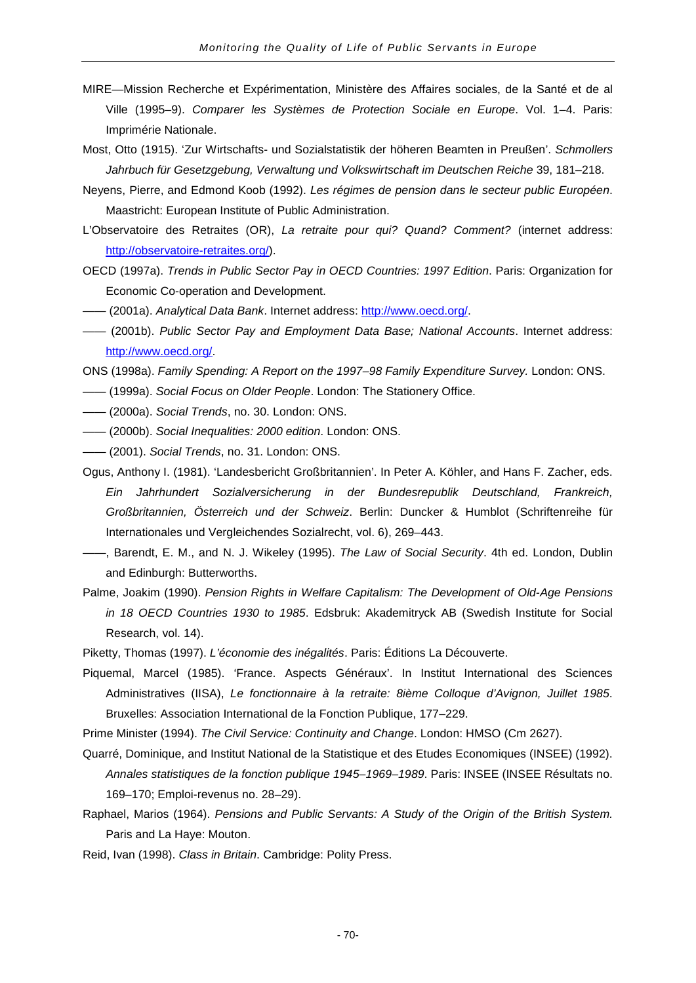- MIRE—Mission Recherche et Expérimentation, Ministère des Affaires sociales, de la Santé et de al Ville (1995–9). *Comparer les Systèmes de Protection Sociale en Europe*. Vol. 1–4. Paris: Imprimérie Nationale.
- Most, Otto (1915). 'Zur Wirtschafts- und Sozialstatistik der höheren Beamten in Preußen'. *Schmollers Jahrbuch für Gesetzgebung, Verwaltung und Volkswirtschaft im Deutschen Reiche* 39, 181–218.
- Neyens, Pierre, and Edmond Koob (1992). *Les régimes de pension dans le secteur public Européen*. Maastricht: European Institute of Public Administration.
- L'Observatoire des Retraites (OR), *La retraite pour qui? Quand? Comment?* (internet address: [http://observatoire-retraites.org/\)](http://observatoire-retraites.org/).
- OECD (1997a). *Trends in Public Sector Pay in OECD Countries: 1997 Edition*. Paris: Organization for Economic Co-operation and Development.
- —— (2001a). *Analytical Data Bank*. Internet address: [http://www.oecd.org/.](http://www.oecd.org/)
- —— (2001b). *Public Sector Pay and Employment Data Base; National Accounts*. Internet address: [http://www.oecd.org/.](http://www.oecd.org/)
- ONS (1998a). *Family Spending: A Report on the 1997–98 Family Expenditure Survey.* London: ONS.
- —— (1999a). *Social Focus on Older People*. London: The Stationery Office.
- —— (2000a). *Social Trends*, no. 30. London: ONS.
- —— (2000b). *Social Inequalities: 2000 edition*. London: ONS.
- —— (2001). *Social Trends*, no. 31. London: ONS.
- Ogus, Anthony I. (1981). 'Landesbericht Großbritannien'. In Peter A. Köhler, and Hans F. Zacher, eds. *Ein Jahrhundert Sozialversicherung in der Bundesrepublik Deutschland, Frankreich, Großbritannien, Österreich und der Schweiz*. Berlin: Duncker & Humblot (Schriftenreihe für Internationales und Vergleichendes Sozialrecht, vol. 6), 269–443.
- ——, Barendt, E. M., and N. J. Wikeley (1995). *The Law of Social Security*. 4th ed. London, Dublin and Edinburgh: Butterworths.
- Palme, Joakim (1990). *Pension Rights in Welfare Capitalism: The Development of Old-Age Pensions in 18 OECD Countries 1930 to 1985*. Edsbruk: Akademitryck AB (Swedish Institute for Social Research, vol. 14).
- Piketty, Thomas (1997). *L'économie des inégalités*. Paris: Éditions La Découverte.
- Piquemal, Marcel (1985). 'France. Aspects Généraux'. In Institut International des Sciences Administratives (IISA), *Le fonctionnaire à la retraite: 8ième Colloque d'Avignon, Juillet 1985*. Bruxelles: Association International de la Fonction Publique, 177–229.
- Prime Minister (1994). *The Civil Service: Continuity and Change*. London: HMSO (Cm 2627).
- Quarré, Dominique, and Institut National de la Statistique et des Etudes Economiques (INSEE) (1992). *Annales statistiques de la fonction publique 1945–1969–1989*. Paris: INSEE (INSEE Résultats no. 169–170; Emploi-revenus no. 28–29).
- Raphael, Marios (1964). *Pensions and Public Servants: A Study of the Origin of the British System.* Paris and La Haye: Mouton.
- Reid, Ivan (1998). *Class in Britain*. Cambridge: Polity Press.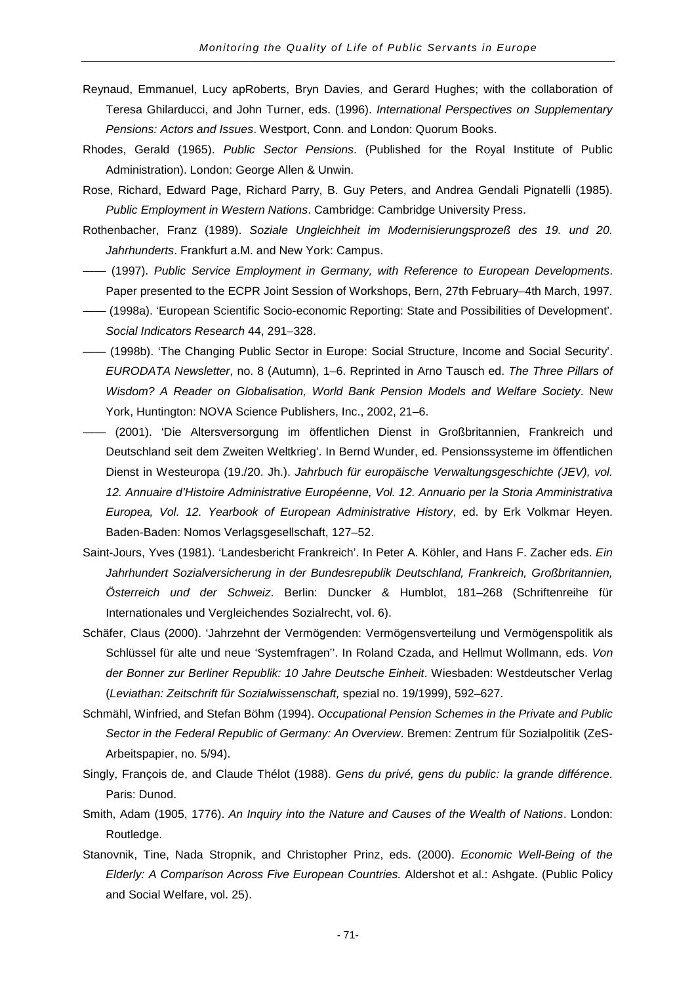- Reynaud, Emmanuel, Lucy apRoberts, Bryn Davies, and Gerard Hughes; with the collaboration of Teresa Ghilarducci, and John Turner, eds. (1996). *International Perspectives on Supplementary Pensions: Actors and Issues*. Westport, Conn. and London: Quorum Books.
- Rhodes, Gerald (1965). *Public Sector Pensions*. (Published for the Royal Institute of Public Administration). London: George Allen & Unwin.
- Rose, Richard, Edward Page, Richard Parry, B. Guy Peters, and Andrea Gendali Pignatelli (1985). *Public Employment in Western Nations*. Cambridge: Cambridge University Press.
- Rothenbacher, Franz (1989). *Soziale Ungleichheit im Modernisierungsprozeß des 19. und 20. Jahrhunderts*. Frankfurt a.M. and New York: Campus.
- —— (1997). *Public Service Employment in Germany, with Reference to European Developments*. Paper presented to the ECPR Joint Session of Workshops, Bern, 27th February–4th March, 1997.
- —— (1998a). 'European Scientific Socio-economic Reporting: State and Possibilities of Development'. *Social Indicators Research* 44, 291–328.
- —— (1998b). 'The Changing Public Sector in Europe: Social Structure, Income and Social Security'. *EURODATA Newsletter*, no. 8 (Autumn), 1–6. Reprinted in Arno Tausch ed. *The Three Pillars of Wisdom? A Reader on Globalisation, World Bank Pension Models and Welfare Society*. New York, Huntington: NOVA Science Publishers, Inc., 2002, 21–6.
- —— (2001). 'Die Altersversorgung im öffentlichen Dienst in Großbritannien, Frankreich und Deutschland seit dem Zweiten Weltkrieg'. In Bernd Wunder, ed. Pensionssysteme im öffentlichen Dienst in Westeuropa (19./20. Jh.). *Jahrbuch für europäische Verwaltungsgeschichte (JEV), vol. 12. Annuaire d'Histoire Administrative Européenne, Vol. 12. Annuario per la Storia Amministrativa Europea, Vol. 12. Yearbook of European Administrative History*, ed. by Erk Volkmar Heyen. Baden-Baden: Nomos Verlagsgesellschaft, 127–52.
- Saint-Jours, Yves (1981). 'Landesbericht Frankreich'. In Peter A. Köhler, and Hans F. Zacher eds. *Ein Jahrhundert Sozialversicherung in der Bundesrepublik Deutschland, Frankreich, Großbritannien, Österreich und der Schweiz*. Berlin: Duncker & Humblot, 181–268 (Schriftenreihe für Internationales und Vergleichendes Sozialrecht, vol. 6).
- Schäfer, Claus (2000). 'Jahrzehnt der Vermögenden: Vermögensverteilung und Vermögenspolitik als Schlüssel für alte und neue 'Systemfragen''. In Roland Czada, and Hellmut Wollmann, eds. *Von der Bonner zur Berliner Republik: 10 Jahre Deutsche Einheit*. Wiesbaden: Westdeutscher Verlag (*Leviathan: Zeitschrift für Sozialwissenschaft,* spezial no. 19/1999), 592–627.
- Schmähl, Winfried, and Stefan Böhm (1994). *Occupational Pension Schemes in the Private and Public Sector in the Federal Republic of Germany: An Overview*. Bremen: Zentrum für Sozialpolitik (ZeS-Arbeitspapier, no. 5/94).
- Singly, François de, and Claude Thélot (1988). *Gens du privé, gens du public: la grande différence*. Paris: Dunod.
- Smith, Adam (1905, 1776). *An Inquiry into the Nature and Causes of the Wealth of Nations*. London: Routledge.
- Stanovnik, Tine, Nada Stropnik, and Christopher Prinz, eds. (2000). *Economic Well-Being of the Elderly: A Comparison Across Five European Countries.* Aldershot et al.: Ashgate. (Public Policy and Social Welfare, vol. 25).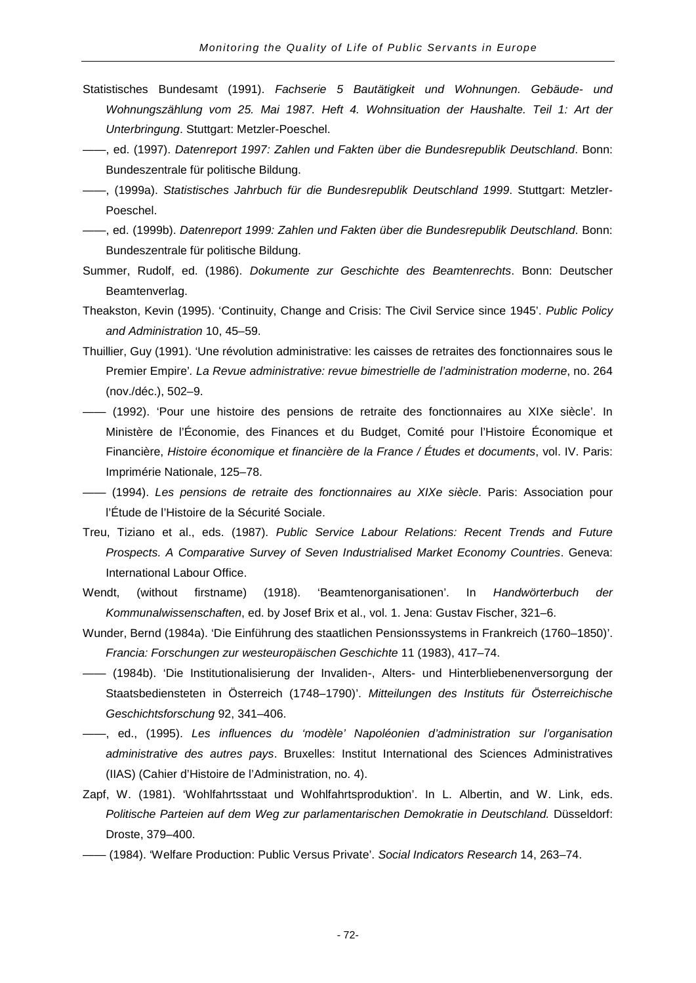- Statistisches Bundesamt (1991). *Fachserie 5 Bautätigkeit und Wohnungen. Gebäude- und Wohnungszählung vom 25. Mai 1987. Heft 4. Wohnsituation der Haushalte. Teil 1: Art der Unterbringung*. Stuttgart: Metzler-Poeschel.
- ——, ed. (1997). *Datenreport 1997: Zahlen und Fakten über die Bundesrepublik Deutschland*. Bonn: Bundeszentrale für politische Bildung.
- ——, (1999a). *Statistisches Jahrbuch für die Bundesrepublik Deutschland 1999*. Stuttgart: Metzler-Poeschel.
- ——, ed. (1999b). *Datenreport 1999: Zahlen und Fakten über die Bundesrepublik Deutschland*. Bonn: Bundeszentrale für politische Bildung.
- Summer, Rudolf, ed. (1986). *Dokumente zur Geschichte des Beamtenrechts*. Bonn: Deutscher Beamtenverlag.
- Theakston, Kevin (1995). 'Continuity, Change and Crisis: The Civil Service since 1945'. *Public Policy and Administration* 10, 45–59.
- Thuillier, Guy (1991). 'Une révolution administrative: les caisses de retraites des fonctionnaires sous le Premier Empire'*. La Revue administrative: revue bimestrielle de l'administration moderne*, no. 264 (nov./déc.), 502–9.
- —— (1992). 'Pour une histoire des pensions de retraite des fonctionnaires au XIXe siècle'. In Ministère de l'Économie, des Finances et du Budget, Comité pour l'Histoire Économique et Financière, *Histoire économique et financière de la France / Études et documents*, vol. IV. Paris: Imprimérie Nationale, 125–78.
- —— (1994). *Les pensions de retraite des fonctionnaires au XIXe siècle*. Paris: Association pour l'Étude de l'Histoire de la Sécurité Sociale.
- Treu, Tiziano et al., eds. (1987). *Public Service Labour Relations: Recent Trends and Future Prospects. A Comparative Survey of Seven Industrialised Market Economy Countries*. Geneva: International Labour Office.
- Wendt, (without firstname) (1918). 'Beamtenorganisationen'. In *Handwörterbuch der Kommunalwissenschaften*, ed. by Josef Brix et al., vol. 1. Jena: Gustav Fischer, 321–6.
- Wunder, Bernd (1984a). 'Die Einführung des staatlichen Pensionssystems in Frankreich (1760–1850)'. *Francia: Forschungen zur westeuropäischen Geschichte* 11 (1983), 417–74.
- —— (1984b). 'Die Institutionalisierung der Invaliden-, Alters- und Hinterbliebenenversorgung der Staatsbediensteten in Österreich (1748–1790)'. *Mitteilungen des Instituts für Österreichische Geschichtsforschung* 92, 341–406.
- ——, ed., (1995). *Les influences du 'modèle' Napoléonien d'administration sur l'organisation administrative des autres pays*. Bruxelles: Institut International des Sciences Administratives (IIAS) (Cahier d'Histoire de l'Administration, no. 4).
- Zapf, W. (1981). 'Wohlfahrtsstaat und Wohlfahrtsproduktion'. In L. Albertin, and W. Link, eds. Politische Parteien auf dem Weg zur parlamentarischen Demokratie in Deutschland. Düsseldorf: Droste, 379–400.
- —— (1984). 'Welfare Production: Public Versus Private'. *Social Indicators Research* 14, 263–74.